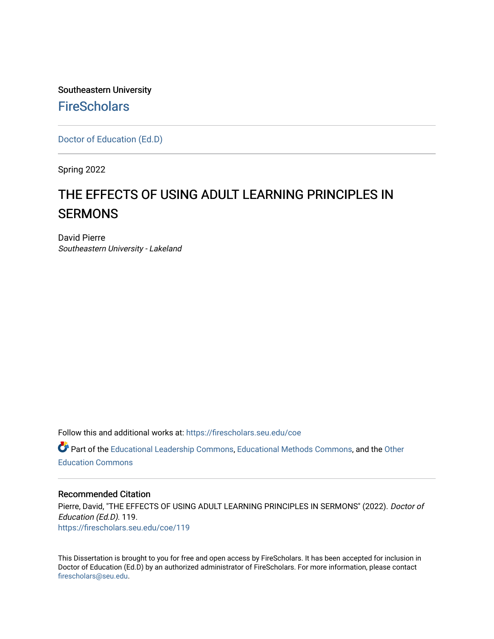Southeastern University **FireScholars** 

[Doctor of Education \(Ed.D\)](https://firescholars.seu.edu/coe) 

Spring 2022

# THE EFFECTS OF USING ADULT LEARNING PRINCIPLES IN **SERMONS**

David Pierre Southeastern University - Lakeland

Follow this and additional works at: [https://firescholars.seu.edu/coe](https://firescholars.seu.edu/coe?utm_source=firescholars.seu.edu%2Fcoe%2F119&utm_medium=PDF&utm_campaign=PDFCoverPages)

Part of the [Educational Leadership Commons,](http://network.bepress.com/hgg/discipline/1230?utm_source=firescholars.seu.edu%2Fcoe%2F119&utm_medium=PDF&utm_campaign=PDFCoverPages) [Educational Methods Commons,](http://network.bepress.com/hgg/discipline/1227?utm_source=firescholars.seu.edu%2Fcoe%2F119&utm_medium=PDF&utm_campaign=PDFCoverPages) and the [Other](http://network.bepress.com/hgg/discipline/811?utm_source=firescholars.seu.edu%2Fcoe%2F119&utm_medium=PDF&utm_campaign=PDFCoverPages) [Education Commons](http://network.bepress.com/hgg/discipline/811?utm_source=firescholars.seu.edu%2Fcoe%2F119&utm_medium=PDF&utm_campaign=PDFCoverPages) 

# Recommended Citation

Pierre, David, "THE EFFECTS OF USING ADULT LEARNING PRINCIPLES IN SERMONS" (2022). Doctor of Education (Ed.D). 119. [https://firescholars.seu.edu/coe/119](https://firescholars.seu.edu/coe/119?utm_source=firescholars.seu.edu%2Fcoe%2F119&utm_medium=PDF&utm_campaign=PDFCoverPages) 

This Dissertation is brought to you for free and open access by FireScholars. It has been accepted for inclusion in Doctor of Education (Ed.D) by an authorized administrator of FireScholars. For more information, please contact [firescholars@seu.edu.](mailto:firescholars@seu.edu)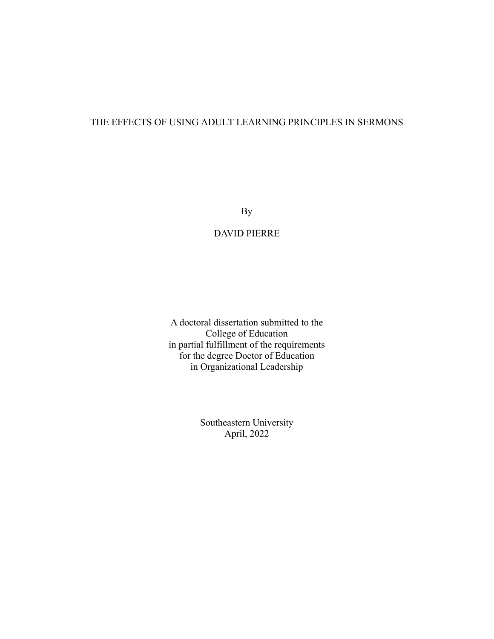# THE EFFECTS OF USING ADULT LEARNING PRINCIPLES IN SERMONS

By

# DAVID PIERRE

A doctoral dissertation submitted to the College of Education in partial fulfillment of the requirements for the degree Doctor of Education in Organizational Leadership

> Southeastern University April, 2022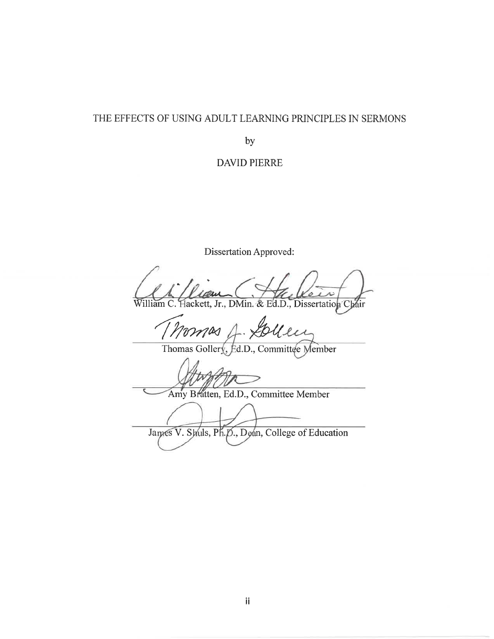# THE EFFECTS OF USING ADULT LEARNING PRINCIPLES IN SERMONS

by

**DAVID PIERRE** 

Dissertation Approved:

William C. Hackett, Jr., DMin. & Ed.D., Dissertation Chair

omas

Thomas Gollery, Ed.D., Committee Member

Amy Bratten, Ed.D., Committee Member

James V. Shuls, Ph.D., Dean, College of Education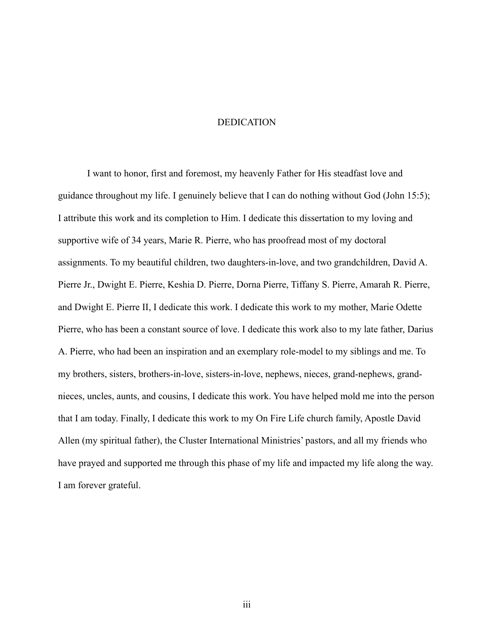#### DEDICATION

I want to honor, first and foremost, my heavenly Father for His steadfast love and guidance throughout my life. I genuinely believe that I can do nothing without God (John 15:5); I attribute this work and its completion to Him. I dedicate this dissertation to my loving and supportive wife of 34 years, Marie R. Pierre, who has proofread most of my doctoral assignments. To my beautiful children, two daughters-in-love, and two grandchildren, David A. Pierre Jr., Dwight E. Pierre, Keshia D. Pierre, Dorna Pierre, Tiffany S. Pierre, Amarah R. Pierre, and Dwight E. Pierre II, I dedicate this work. I dedicate this work to my mother, Marie Odette Pierre, who has been a constant source of love. I dedicate this work also to my late father, Darius A. Pierre, who had been an inspiration and an exemplary role-model to my siblings and me. To my brothers, sisters, brothers-in-love, sisters-in-love, nephews, nieces, grand-nephews, grandnieces, uncles, aunts, and cousins, I dedicate this work. You have helped mold me into the person that I am today. Finally, I dedicate this work to my On Fire Life church family, Apostle David Allen (my spiritual father), the Cluster International Ministries' pastors, and all my friends who have prayed and supported me through this phase of my life and impacted my life along the way. I am forever grateful.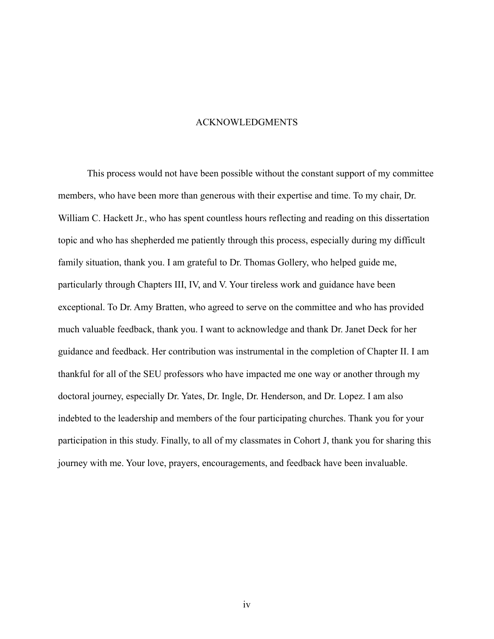#### ACKNOWLEDGMENTS

This process would not have been possible without the constant support of my committee members, who have been more than generous with their expertise and time. To my chair, Dr. William C. Hackett Jr., who has spent countless hours reflecting and reading on this dissertation topic and who has shepherded me patiently through this process, especially during my difficult family situation, thank you. I am grateful to Dr. Thomas Gollery, who helped guide me, particularly through Chapters III, IV, and V. Your tireless work and guidance have been exceptional. To Dr. Amy Bratten, who agreed to serve on the committee and who has provided much valuable feedback, thank you. I want to acknowledge and thank Dr. Janet Deck for her guidance and feedback. Her contribution was instrumental in the completion of Chapter II. I am thankful for all of the SEU professors who have impacted me one way or another through my doctoral journey, especially Dr. Yates, Dr. Ingle, Dr. Henderson, and Dr. Lopez. I am also indebted to the leadership and members of the four participating churches. Thank you for your participation in this study. Finally, to all of my classmates in Cohort J, thank you for sharing this journey with me. Your love, prayers, encouragements, and feedback have been invaluable.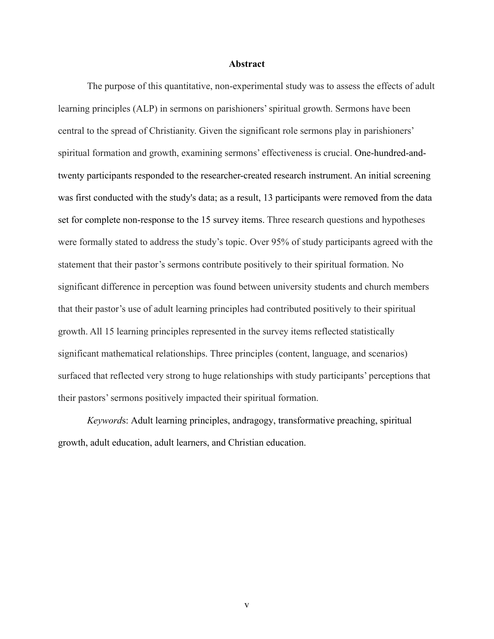### **Abstract**

The purpose of this quantitative, non-experimental study was to assess the effects of adult learning principles (ALP) in sermons on parishioners' spiritual growth. Sermons have been central to the spread of Christianity. Given the significant role sermons play in parishioners' spiritual formation and growth, examining sermons' effectiveness is crucial. One-hundred-andtwenty participants responded to the researcher-created research instrument. An initial screening was first conducted with the study's data; as a result, 13 participants were removed from the data set for complete non-response to the 15 survey items. Three research questions and hypotheses were formally stated to address the study's topic. Over 95% of study participants agreed with the statement that their pastor's sermons contribute positively to their spiritual formation. No significant difference in perception was found between university students and church members that their pastor's use of adult learning principles had contributed positively to their spiritual growth. All 15 learning principles represented in the survey items reflected statistically significant mathematical relationships. Three principles (content, language, and scenarios) surfaced that reflected very strong to huge relationships with study participants' perceptions that their pastors' sermons positively impacted their spiritual formation.

*Keyword*s: Adult learning principles, andragogy, transformative preaching, spiritual growth, adult education, adult learners, and Christian education.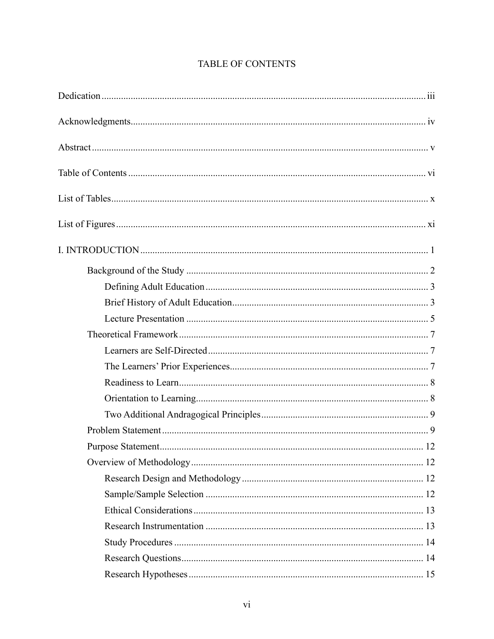# TABLE OF CONTENTS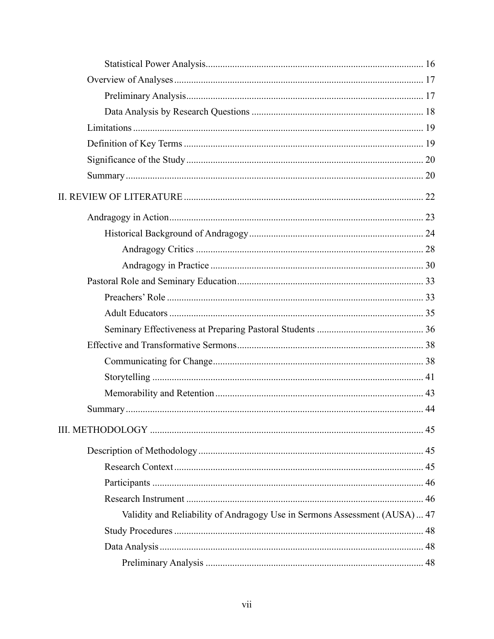| Validity and Reliability of Andragogy Use in Sermons Assessment (AUSA) 47 |  |
|---------------------------------------------------------------------------|--|
|                                                                           |  |
|                                                                           |  |
|                                                                           |  |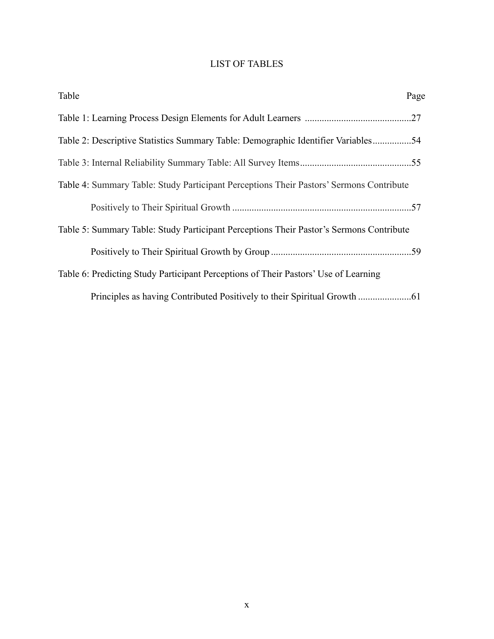# LIST OF TABLES

| Table<br>Page                                                                           |  |
|-----------------------------------------------------------------------------------------|--|
|                                                                                         |  |
| Table 2: Descriptive Statistics Summary Table: Demographic Identifier Variables54       |  |
|                                                                                         |  |
| Table 4: Summary Table: Study Participant Perceptions Their Pastors' Sermons Contribute |  |
|                                                                                         |  |
| Table 5: Summary Table: Study Participant Perceptions Their Pastor's Sermons Contribute |  |
|                                                                                         |  |
| Table 6: Predicting Study Participant Perceptions of Their Pastors' Use of Learning     |  |
|                                                                                         |  |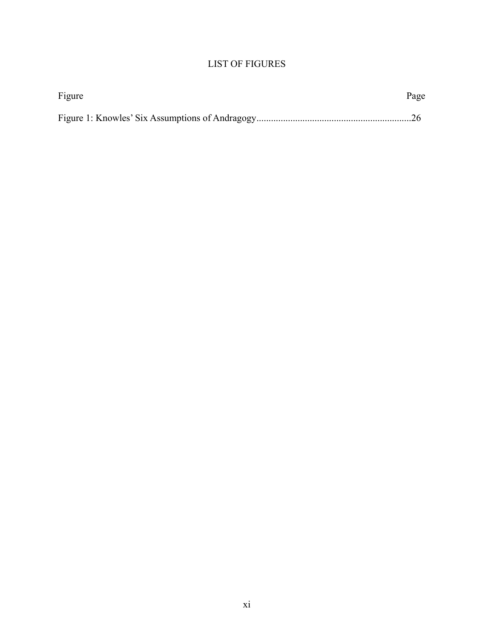# LIST OF FIGURES

| Figure | Page |
|--------|------|
|        |      |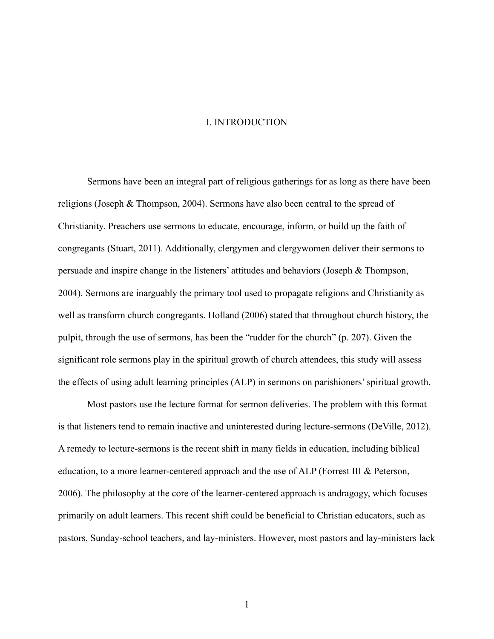#### I. INTRODUCTION

Sermons have been an integral part of religious gatherings for as long as there have been religions (Joseph & Thompson, 2004). Sermons have also been central to the spread of Christianity. Preachers use sermons to educate, encourage, inform, or build up the faith of congregants (Stuart, 2011). Additionally, clergymen and clergywomen deliver their sermons to persuade and inspire change in the listeners' attitudes and behaviors (Joseph & Thompson, 2004). Sermons are inarguably the primary tool used to propagate religions and Christianity as well as transform church congregants. Holland (2006) stated that throughout church history, the pulpit, through the use of sermons, has been the "rudder for the church" (p. 207). Given the significant role sermons play in the spiritual growth of church attendees, this study will assess the effects of using adult learning principles (ALP) in sermons on parishioners' spiritual growth.

Most pastors use the lecture format for sermon deliveries. The problem with this format is that listeners tend to remain inactive and uninterested during lecture-sermons (DeVille, 2012). A remedy to lecture-sermons is the recent shift in many fields in education, including biblical education, to a more learner-centered approach and the use of ALP (Forrest III & Peterson, 2006). The philosophy at the core of the learner-centered approach is andragogy, which focuses primarily on adult learners. This recent shift could be beneficial to Christian educators, such as pastors, Sunday-school teachers, and lay-ministers. However, most pastors and lay-ministers lack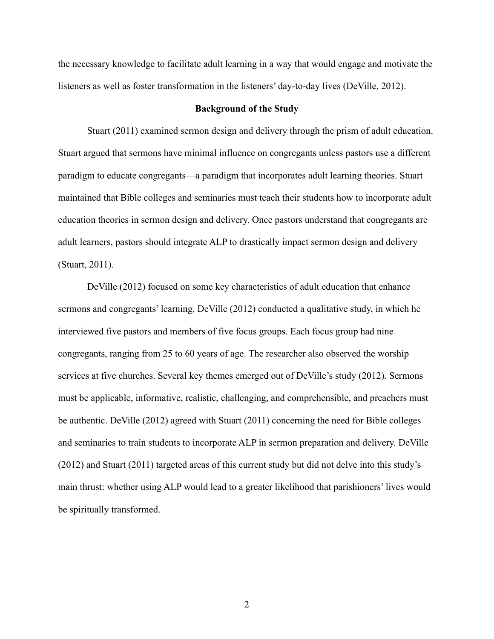the necessary knowledge to facilitate adult learning in a way that would engage and motivate the listeners as well as foster transformation in the listeners' day-to-day lives (DeVille, 2012).

# **Background of the Study**

Stuart (2011) examined sermon design and delivery through the prism of adult education. Stuart argued that sermons have minimal influence on congregants unless pastors use a different paradigm to educate congregants—a paradigm that incorporates adult learning theories. Stuart maintained that Bible colleges and seminaries must teach their students how to incorporate adult education theories in sermon design and delivery. Once pastors understand that congregants are adult learners, pastors should integrate ALP to drastically impact sermon design and delivery (Stuart, 2011).

DeVille (2012) focused on some key characteristics of adult education that enhance sermons and congregants' learning. DeVille (2012) conducted a qualitative study, in which he interviewed five pastors and members of five focus groups. Each focus group had nine congregants, ranging from 25 to 60 years of age. The researcher also observed the worship services at five churches. Several key themes emerged out of DeVille's study (2012). Sermons must be applicable, informative, realistic, challenging, and comprehensible, and preachers must be authentic. DeVille (2012) agreed with Stuart (2011) concerning the need for Bible colleges and seminaries to train students to incorporate ALP in sermon preparation and delivery. DeVille (2012) and Stuart (2011) targeted areas of this current study but did not delve into this study's main thrust: whether using ALP would lead to a greater likelihood that parishioners' lives would be spiritually transformed.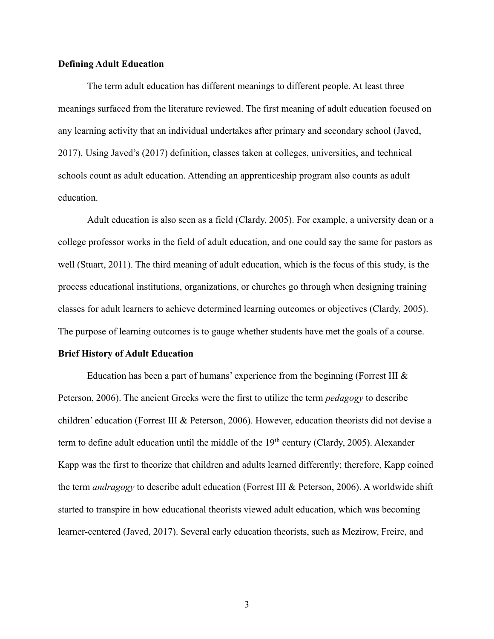# **Defining Adult Education**

The term adult education has different meanings to different people. At least three meanings surfaced from the literature reviewed. The first meaning of adult education focused on any learning activity that an individual undertakes after primary and secondary school (Javed, 2017). Using Javed's (2017) definition, classes taken at colleges, universities, and technical schools count as adult education. Attending an apprenticeship program also counts as adult education.

Adult education is also seen as a field (Clardy, 2005). For example, a university dean or a college professor works in the field of adult education, and one could say the same for pastors as well (Stuart, 2011). The third meaning of adult education, which is the focus of this study, is the process educational institutions, organizations, or churches go through when designing training classes for adult learners to achieve determined learning outcomes or objectives (Clardy, 2005). The purpose of learning outcomes is to gauge whether students have met the goals of a course.

#### **Brief History of Adult Education**

Education has been a part of humans' experience from the beginning (Forrest III  $\&$ Peterson, 2006). The ancient Greeks were the first to utilize the term *pedagogy* to describe children' education (Forrest III & Peterson, 2006). However, education theorists did not devise a term to define adult education until the middle of the 19<sup>th</sup> century (Clardy, 2005). Alexander Kapp was the first to theorize that children and adults learned differently; therefore, Kapp coined the term *andragogy* to describe adult education (Forrest III & Peterson, 2006). A worldwide shift started to transpire in how educational theorists viewed adult education, which was becoming learner-centered (Javed, 2017). Several early education theorists, such as Mezirow, Freire, and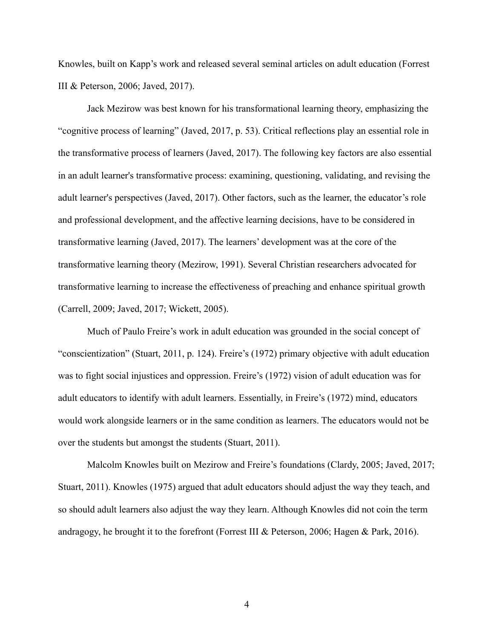Knowles, built on Kapp's work and released several seminal articles on adult education (Forrest III & Peterson, 2006; Javed, 2017).

Jack Mezirow was best known for his transformational learning theory, emphasizing the "cognitive process of learning" (Javed, 2017, p. 53). Critical reflections play an essential role in the transformative process of learners (Javed, 2017). The following key factors are also essential in an adult learner's transformative process: examining, questioning, validating, and revising the adult learner's perspectives (Javed, 2017). Other factors, such as the learner, the educator's role and professional development, and the affective learning decisions, have to be considered in transformative learning (Javed, 2017). The learners' development was at the core of the transformative learning theory (Mezirow, 1991). Several Christian researchers advocated for transformative learning to increase the effectiveness of preaching and enhance spiritual growth (Carrell, 2009; Javed, 2017; Wickett, 2005).

Much of Paulo Freire's work in adult education was grounded in the social concept of "conscientization" (Stuart, 2011, p. 124). Freire's (1972) primary objective with adult education was to fight social injustices and oppression. Freire's (1972) vision of adult education was for adult educators to identify with adult learners. Essentially, in Freire's (1972) mind, educators would work alongside learners or in the same condition as learners. The educators would not be over the students but amongst the students (Stuart, 2011).

Malcolm Knowles built on Mezirow and Freire's foundations (Clardy, 2005; Javed, 2017; Stuart, 2011). Knowles (1975) argued that adult educators should adjust the way they teach, and so should adult learners also adjust the way they learn. Although Knowles did not coin the term andragogy, he brought it to the forefront (Forrest III & Peterson, 2006; Hagen & Park, 2016).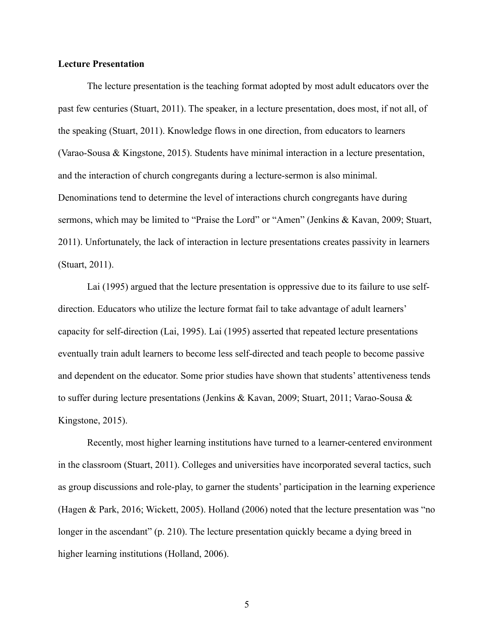# **Lecture Presentation**

The lecture presentation is the teaching format adopted by most adult educators over the past few centuries (Stuart, 2011). The speaker, in a lecture presentation, does most, if not all, of the speaking (Stuart, 2011). Knowledge flows in one direction, from educators to learners (Varao-Sousa & Kingstone, 2015). Students have minimal interaction in a lecture presentation, and the interaction of church congregants during a lecture-sermon is also minimal. Denominations tend to determine the level of interactions church congregants have during sermons, which may be limited to "Praise the Lord" or "Amen" (Jenkins & Kavan, 2009; Stuart, 2011). Unfortunately, the lack of interaction in lecture presentations creates passivity in learners (Stuart, 2011).

Lai (1995) argued that the lecture presentation is oppressive due to its failure to use selfdirection. Educators who utilize the lecture format fail to take advantage of adult learners' capacity for self-direction (Lai, 1995). Lai (1995) asserted that repeated lecture presentations eventually train adult learners to become less self-directed and teach people to become passive and dependent on the educator. Some prior studies have shown that students' attentiveness tends to suffer during lecture presentations (Jenkins & Kavan, 2009; Stuart, 2011; Varao-Sousa & Kingstone, 2015).

Recently, most higher learning institutions have turned to a learner-centered environment in the classroom (Stuart, 2011). Colleges and universities have incorporated several tactics, such as group discussions and role-play, to garner the students' participation in the learning experience (Hagen & Park, 2016; Wickett, 2005). Holland (2006) noted that the lecture presentation was "no longer in the ascendant" (p. 210). The lecture presentation quickly became a dying breed in higher learning institutions (Holland, 2006).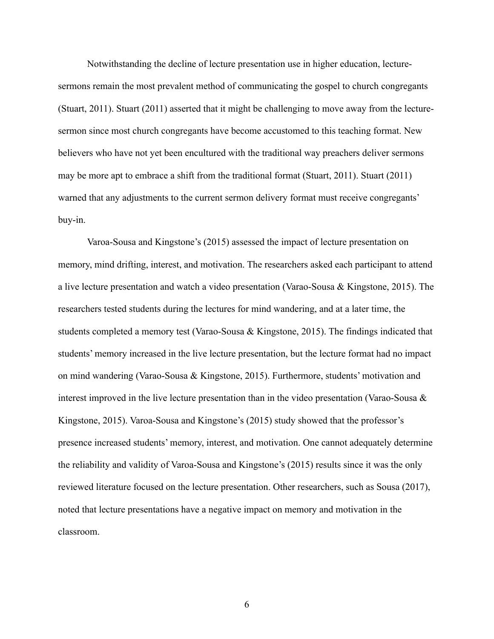Notwithstanding the decline of lecture presentation use in higher education, lecturesermons remain the most prevalent method of communicating the gospel to church congregants (Stuart, 2011). Stuart (2011) asserted that it might be challenging to move away from the lecturesermon since most church congregants have become accustomed to this teaching format. New believers who have not yet been encultured with the traditional way preachers deliver sermons may be more apt to embrace a shift from the traditional format (Stuart, 2011). Stuart (2011) warned that any adjustments to the current sermon delivery format must receive congregants' buy-in.

Varoa-Sousa and Kingstone's (2015) assessed the impact of lecture presentation on memory, mind drifting, interest, and motivation. The researchers asked each participant to attend a live lecture presentation and watch a video presentation (Varao-Sousa & Kingstone, 2015). The researchers tested students during the lectures for mind wandering, and at a later time, the students completed a memory test (Varao-Sousa & Kingstone, 2015). The findings indicated that students' memory increased in the live lecture presentation, but the lecture format had no impact on mind wandering (Varao-Sousa & Kingstone, 2015). Furthermore, students' motivation and interest improved in the live lecture presentation than in the video presentation (Varao-Sousa & Kingstone, 2015). Varoa-Sousa and Kingstone's (2015) study showed that the professor's presence increased students' memory, interest, and motivation. One cannot adequately determine the reliability and validity of Varoa-Sousa and Kingstone's (2015) results since it was the only reviewed literature focused on the lecture presentation. Other researchers, such as Sousa (2017), noted that lecture presentations have a negative impact on memory and motivation in the classroom.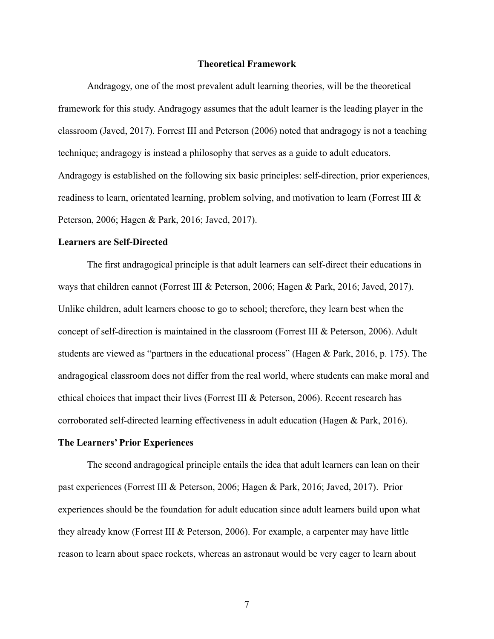## **Theoretical Framework**

Andragogy, one of the most prevalent adult learning theories, will be the theoretical framework for this study. Andragogy assumes that the adult learner is the leading player in the classroom (Javed, 2017). Forrest III and Peterson (2006) noted that andragogy is not a teaching technique; andragogy is instead a philosophy that serves as a guide to adult educators. Andragogy is established on the following six basic principles: self-direction, prior experiences, readiness to learn, orientated learning, problem solving, and motivation to learn (Forrest III & Peterson, 2006; Hagen & Park, 2016; Javed, 2017).

## **Learners are Self-Directed**

The first andragogical principle is that adult learners can self-direct their educations in ways that children cannot (Forrest III & Peterson, 2006; Hagen & Park, 2016; Javed, 2017). Unlike children, adult learners choose to go to school; therefore, they learn best when the concept of self-direction is maintained in the classroom (Forrest III & Peterson, 2006). Adult students are viewed as "partners in the educational process" (Hagen & Park, 2016, p. 175). The andragogical classroom does not differ from the real world, where students can make moral and ethical choices that impact their lives (Forrest III & Peterson, 2006). Recent research has corroborated self-directed learning effectiveness in adult education (Hagen & Park, 2016).

#### **The Learners' Prior Experiences**

The second andragogical principle entails the idea that adult learners can lean on their past experiences (Forrest III & Peterson, 2006; Hagen & Park, 2016; Javed, 2017). Prior experiences should be the foundation for adult education since adult learners build upon what they already know (Forrest III & Peterson, 2006). For example, a carpenter may have little reason to learn about space rockets, whereas an astronaut would be very eager to learn about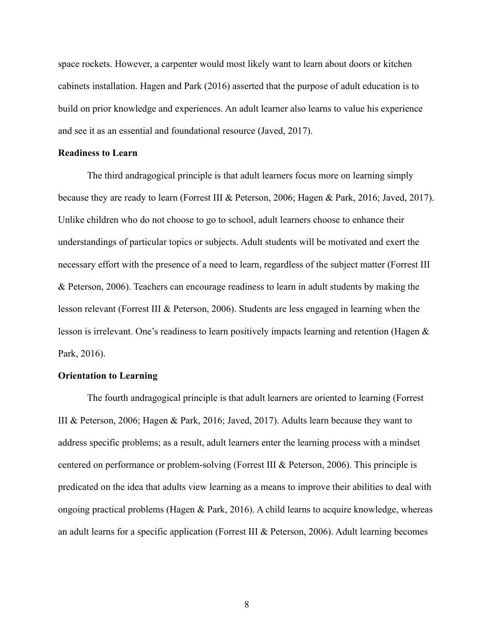space rockets. However, a carpenter would most likely want to learn about doors or kitchen cabinets installation. Hagen and Park (2016) asserted that the purpose of adult education is to build on prior knowledge and experiences. An adult learner also learns to value his experience and see it as an essential and foundational resource (Javed, 2017).

#### **Readiness to Learn**

The third andragogical principle is that adult learners focus more on learning simply because they are ready to learn (Forrest III & Peterson, 2006; Hagen & Park, 2016; Javed, 2017). Unlike children who do not choose to go to school, adult learners choose to enhance their understandings of particular topics or subjects. Adult students will be motivated and exert the necessary effort with the presence of a need to learn, regardless of the subject matter (Forrest III & Peterson, 2006). Teachers can encourage readiness to learn in adult students by making the lesson relevant (Forrest III & Peterson, 2006). Students are less engaged in learning when the lesson is irrelevant. One's readiness to learn positively impacts learning and retention (Hagen & Park, 2016).

#### **Orientation to Learning**

The fourth andragogical principle is that adult learners are oriented to learning (Forrest III & Peterson, 2006; Hagen & Park, 2016; Javed, 2017). Adults learn because they want to address specific problems; as a result, adult learners enter the learning process with a mindset centered on performance or problem-solving (Forrest III & Peterson, 2006). This principle is predicated on the idea that adults view learning as a means to improve their abilities to deal with ongoing practical problems (Hagen & Park, 2016). A child learns to acquire knowledge, whereas an adult learns for a specific application (Forrest III & Peterson, 2006). Adult learning becomes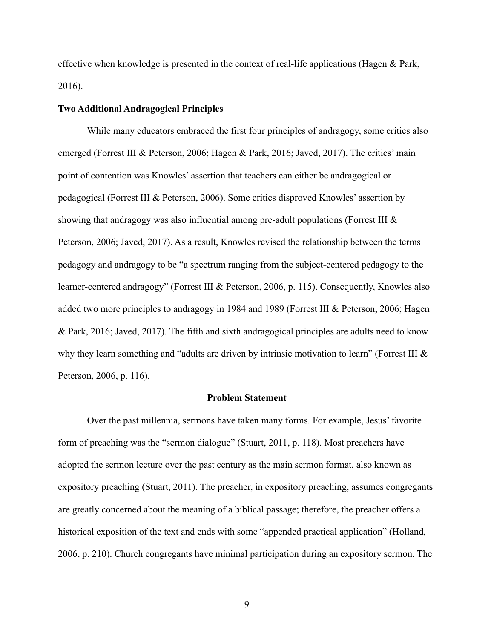effective when knowledge is presented in the context of real-life applications (Hagen & Park, 2016).

# **Two Additional Andragogical Principles**

While many educators embraced the first four principles of andragogy, some critics also emerged (Forrest III & Peterson, 2006; Hagen & Park, 2016; Javed, 2017). The critics' main point of contention was Knowles' assertion that teachers can either be andragogical or pedagogical (Forrest III & Peterson, 2006). Some critics disproved Knowles' assertion by showing that andragogy was also influential among pre-adult populations (Forrest III & Peterson, 2006; Javed, 2017). As a result, Knowles revised the relationship between the terms pedagogy and andragogy to be "a spectrum ranging from the subject-centered pedagogy to the learner-centered andragogy" (Forrest III & Peterson, 2006, p. 115). Consequently, Knowles also added two more principles to andragogy in 1984 and 1989 (Forrest III & Peterson, 2006; Hagen & Park, 2016; Javed, 2017). The fifth and sixth andragogical principles are adults need to know why they learn something and "adults are driven by intrinsic motivation to learn" (Forrest III & Peterson, 2006, p. 116).

#### **Problem Statement**

Over the past millennia, sermons have taken many forms. For example, Jesus' favorite form of preaching was the "sermon dialogue" (Stuart, 2011, p. 118). Most preachers have adopted the sermon lecture over the past century as the main sermon format, also known as expository preaching (Stuart, 2011). The preacher, in expository preaching, assumes congregants are greatly concerned about the meaning of a biblical passage; therefore, the preacher offers a historical exposition of the text and ends with some "appended practical application" (Holland, 2006, p. 210). Church congregants have minimal participation during an expository sermon. The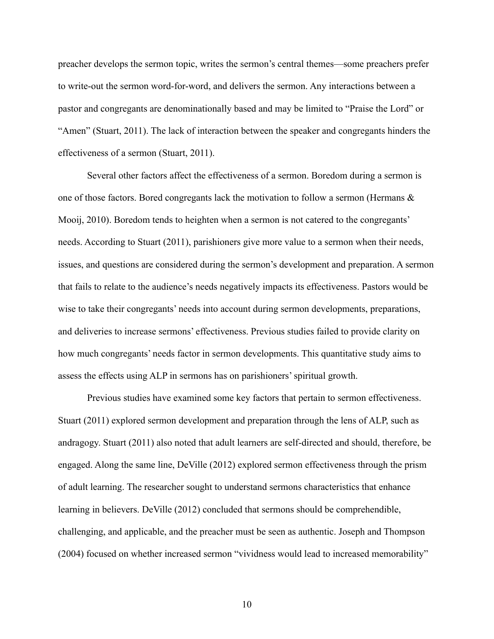preacher develops the sermon topic, writes the sermon's central themes—some preachers prefer to write-out the sermon word-for-word, and delivers the sermon. Any interactions between a pastor and congregants are denominationally based and may be limited to "Praise the Lord" or "Amen" (Stuart, 2011). The lack of interaction between the speaker and congregants hinders the effectiveness of a sermon (Stuart, 2011).

Several other factors affect the effectiveness of a sermon. Boredom during a sermon is one of those factors. Bored congregants lack the motivation to follow a sermon (Hermans & Mooij, 2010). Boredom tends to heighten when a sermon is not catered to the congregants' needs. According to Stuart (2011), parishioners give more value to a sermon when their needs, issues, and questions are considered during the sermon's development and preparation. A sermon that fails to relate to the audience's needs negatively impacts its effectiveness. Pastors would be wise to take their congregants' needs into account during sermon developments, preparations, and deliveries to increase sermons' effectiveness. Previous studies failed to provide clarity on how much congregants' needs factor in sermon developments. This quantitative study aims to assess the effects using ALP in sermons has on parishioners' spiritual growth.

Previous studies have examined some key factors that pertain to sermon effectiveness. Stuart (2011) explored sermon development and preparation through the lens of ALP, such as andragogy. Stuart (2011) also noted that adult learners are self-directed and should, therefore, be engaged. Along the same line, DeVille (2012) explored sermon effectiveness through the prism of adult learning. The researcher sought to understand sermons characteristics that enhance learning in believers. DeVille (2012) concluded that sermons should be comprehendible, challenging, and applicable, and the preacher must be seen as authentic. Joseph and Thompson (2004) focused on whether increased sermon "vividness would lead to increased memorability"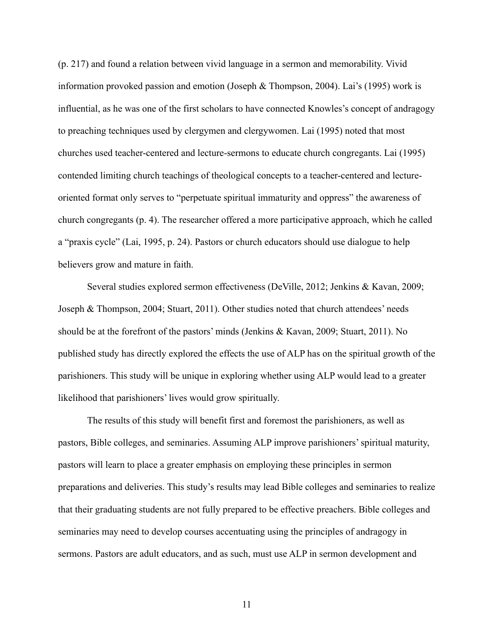(p. 217) and found a relation between vivid language in a sermon and memorability. Vivid information provoked passion and emotion (Joseph & Thompson, 2004). Lai's (1995) work is influential, as he was one of the first scholars to have connected Knowles's concept of andragogy to preaching techniques used by clergymen and clergywomen. Lai (1995) noted that most churches used teacher-centered and lecture-sermons to educate church congregants. Lai (1995) contended limiting church teachings of theological concepts to a teacher-centered and lectureoriented format only serves to "perpetuate spiritual immaturity and oppress" the awareness of church congregants (p. 4). The researcher offered a more participative approach, which he called a "praxis cycle" (Lai, 1995, p. 24). Pastors or church educators should use dialogue to help believers grow and mature in faith.

Several studies explored sermon effectiveness (DeVille, 2012; Jenkins & Kavan, 2009; Joseph & Thompson, 2004; Stuart, 2011). Other studies noted that church attendees' needs should be at the forefront of the pastors' minds (Jenkins & Kavan, 2009; Stuart, 2011). No published study has directly explored the effects the use of ALP has on the spiritual growth of the parishioners. This study will be unique in exploring whether using ALP would lead to a greater likelihood that parishioners' lives would grow spiritually.

The results of this study will benefit first and foremost the parishioners, as well as pastors, Bible colleges, and seminaries. Assuming ALP improve parishioners' spiritual maturity, pastors will learn to place a greater emphasis on employing these principles in sermon preparations and deliveries. This study's results may lead Bible colleges and seminaries to realize that their graduating students are not fully prepared to be effective preachers. Bible colleges and seminaries may need to develop courses accentuating using the principles of andragogy in sermons. Pastors are adult educators, and as such, must use ALP in sermon development and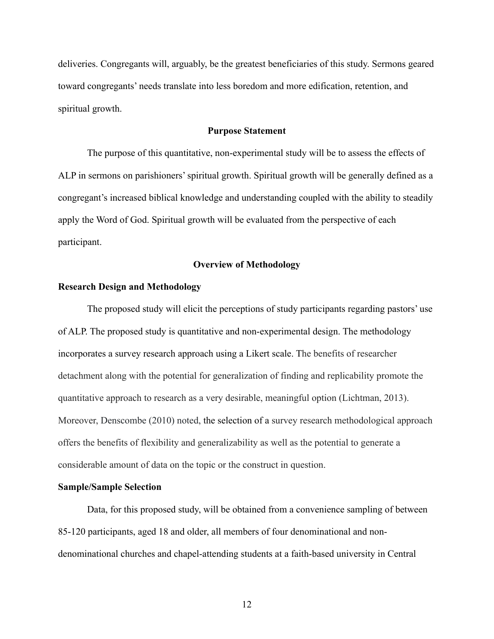deliveries. Congregants will, arguably, be the greatest beneficiaries of this study. Sermons geared toward congregants' needs translate into less boredom and more edification, retention, and spiritual growth.

# **Purpose Statement**

The purpose of this quantitative, non-experimental study will be to assess the effects of ALP in sermons on parishioners' spiritual growth. Spiritual growth will be generally defined as a congregant's increased biblical knowledge and understanding coupled with the ability to steadily apply the Word of God. Spiritual growth will be evaluated from the perspective of each participant.

### **Overview of Methodology**

## **Research Design and Methodology**

The proposed study will elicit the perceptions of study participants regarding pastors' use of ALP. The proposed study is quantitative and non-experimental design. The methodology incorporates a survey research approach using a Likert scale. The benefits of researcher detachment along with the potential for generalization of finding and replicability promote the quantitative approach to research as a very desirable, meaningful option (Lichtman, 2013). Moreover, Denscombe (2010) noted, the selection of a survey research methodological approach offers the benefits of flexibility and generalizability as well as the potential to generate a considerable amount of data on the topic or the construct in question.

#### **Sample/Sample Selection**

Data, for this proposed study, will be obtained from a convenience sampling of between 85-120 participants, aged 18 and older, all members of four denominational and nondenominational churches and chapel-attending students at a faith-based university in Central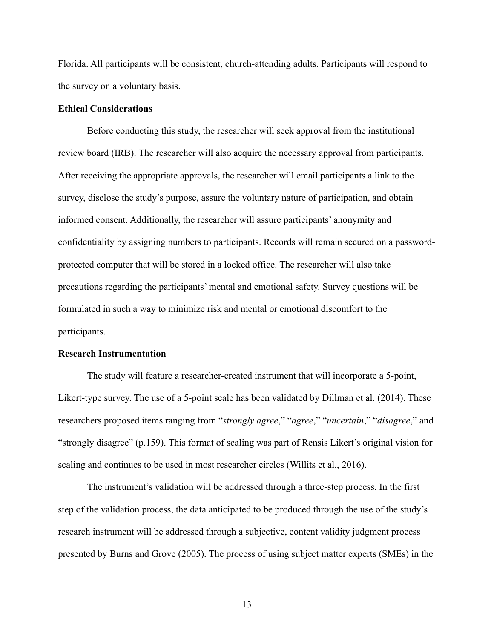Florida. All participants will be consistent, church-attending adults. Participants will respond to the survey on a voluntary basis.

## **Ethical Considerations**

Before conducting this study, the researcher will seek approval from the institutional review board (IRB). The researcher will also acquire the necessary approval from participants. After receiving the appropriate approvals, the researcher will email participants a link to the survey, disclose the study's purpose, assure the voluntary nature of participation, and obtain informed consent. Additionally, the researcher will assure participants' anonymity and confidentiality by assigning numbers to participants. Records will remain secured on a passwordprotected computer that will be stored in a locked office. The researcher will also take precautions regarding the participants' mental and emotional safety. Survey questions will be formulated in such a way to minimize risk and mental or emotional discomfort to the participants.

#### **Research Instrumentation**

The study will feature a researcher-created instrument that will incorporate a 5-point, Likert-type survey. The use of a 5-point scale has been validated by Dillman et al. (2014). These researchers proposed items ranging from "*strongly agree*," "*agree*," "*uncertain*," "*disagree*," and "strongly disagree" (p.159). This format of scaling was part of Rensis Likert's original vision for scaling and continues to be used in most researcher circles (Willits et al., 2016).

The instrument's validation will be addressed through a three-step process. In the first step of the validation process, the data anticipated to be produced through the use of the study's research instrument will be addressed through a subjective, content validity judgment process presented by Burns and Grove (2005). The process of using subject matter experts (SMEs) in the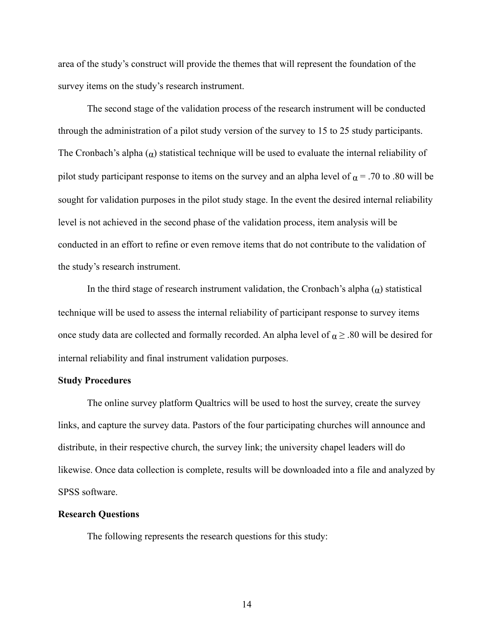area of the study's construct will provide the themes that will represent the foundation of the survey items on the study's research instrument.

The second stage of the validation process of the research instrument will be conducted through the administration of a pilot study version of the survey to 15 to 25 study participants. The Cronbach's alpha  $(α)$  statistical technique will be used to evaluate the internal reliability of pilot study participant response to items on the survey and an alpha level of  $\alpha$  = .70 to .80 will be sought for validation purposes in the pilot study stage. In the event the desired internal reliability level is not achieved in the second phase of the validation process, item analysis will be conducted in an effort to refine or even remove items that do not contribute to the validation of the study's research instrument.

In the third stage of research instrument validation, the Cronbach's alpha  $(\alpha)$  statistical technique will be used to assess the internal reliability of participant response to survey items once study data are collected and formally recorded. An alpha level of  $\alpha \geq .80$  will be desired for internal reliability and final instrument validation purposes.

#### **Study Procedures**

The online survey platform Qualtrics will be used to host the survey, create the survey links, and capture the survey data. Pastors of the four participating churches will announce and distribute, in their respective church, the survey link; the university chapel leaders will do likewise. Once data collection is complete, results will be downloaded into a file and analyzed by SPSS software.

# **Research Questions**

The following represents the research questions for this study: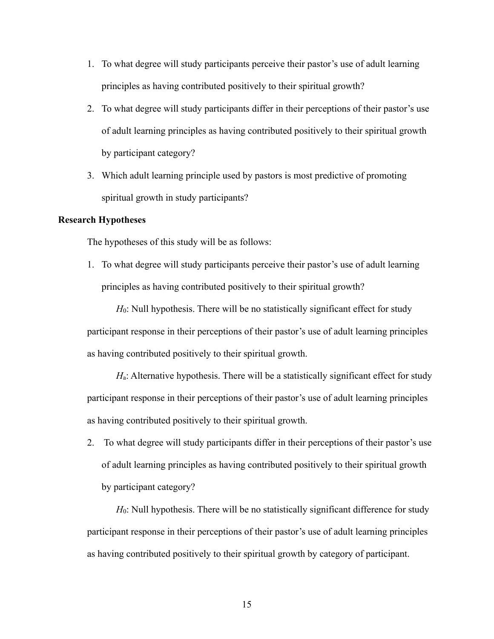- 1. To what degree will study participants perceive their pastor's use of adult learning principles as having contributed positively to their spiritual growth?
- 2. To what degree will study participants differ in their perceptions of their pastor's use of adult learning principles as having contributed positively to their spiritual growth by participant category?
- 3. Which adult learning principle used by pastors is most predictive of promoting spiritual growth in study participants?

# **Research Hypotheses**

The hypotheses of this study will be as follows:

1. To what degree will study participants perceive their pastor's use of adult learning principles as having contributed positively to their spiritual growth?

*H*<sub>0</sub>: Null hypothesis. There will be no statistically significant effect for study participant response in their perceptions of their pastor's use of adult learning principles as having contributed positively to their spiritual growth.

*H*<sub>a</sub>: Alternative hypothesis. There will be a statistically significant effect for study participant response in their perceptions of their pastor's use of adult learning principles as having contributed positively to their spiritual growth.

2. To what degree will study participants differ in their perceptions of their pastor's use of adult learning principles as having contributed positively to their spiritual growth by participant category?

*H*<sub>0</sub>: Null hypothesis. There will be no statistically significant difference for study participant response in their perceptions of their pastor's use of adult learning principles as having contributed positively to their spiritual growth by category of participant.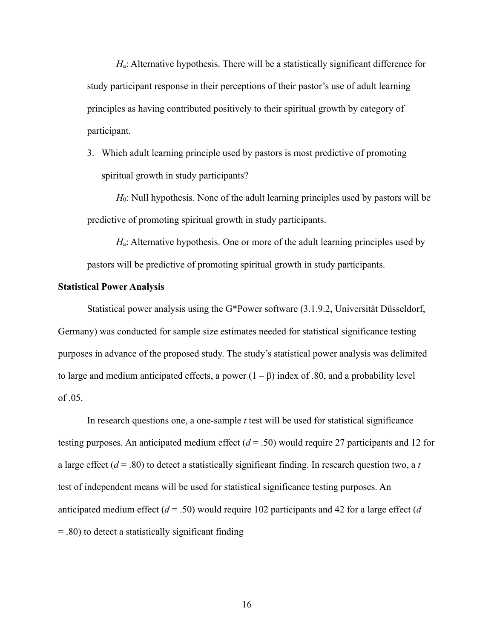*H*a: Alternative hypothesis. There will be a statistically significant difference for study participant response in their perceptions of their pastor's use of adult learning principles as having contributed positively to their spiritual growth by category of participant.

3. Which adult learning principle used by pastors is most predictive of promoting spiritual growth in study participants?

*H*0: Null hypothesis. None of the adult learning principles used by pastors will be predictive of promoting spiritual growth in study participants.

*H*<sub>a</sub>: Alternative hypothesis. One or more of the adult learning principles used by pastors will be predictive of promoting spiritual growth in study participants.

## **Statistical Power Analysis**

Statistical power analysis using the G\*Power software (3.1.9.2, Universität Düsseldorf, Germany) was conducted for sample size estimates needed for statistical significance testing purposes in advance of the proposed study. The study's statistical power analysis was delimited to large and medium anticipated effects, a power  $(1 – β)$  index of .80, and a probability level of .05.

In research questions one, a one-sample *t* test will be used for statistical significance testing purposes. An anticipated medium effect (*d* = .50) would require 27 participants and 12 for a large effect  $(d = .80)$  to detect a statistically significant finding. In research question two, a *t* test of independent means will be used for statistical significance testing purposes. An anticipated medium effect (*d* = .50) would require 102 participants and 42 for a large effect (*d* = .80) to detect a statistically significant finding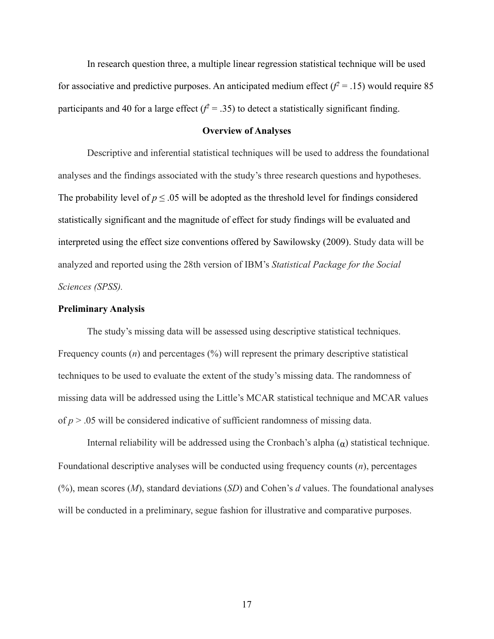In research question three, a multiple linear regression statistical technique will be used for associative and predictive purposes. An anticipated medium effect  $(f^2 = .15)$  would require 85 participants and 40 for a large effect  $(f^2 = .35)$  to detect a statistically significant finding.

# **Overview of Analyses**

Descriptive and inferential statistical techniques will be used to address the foundational analyses and the findings associated with the study's three research questions and hypotheses. The probability level of  $p \le 0.05$  will be adopted as the threshold level for findings considered statistically significant and the magnitude of effect for study findings will be evaluated and interpreted using the effect size conventions offered by Sawilowsky (2009). Study data will be analyzed and reported using the 28th version of IBM's *Statistical Package for the Social Sciences (SPSS).*

# **Preliminary Analysis**

The study's missing data will be assessed using descriptive statistical techniques. Frequency counts (*n*) and percentages (%) will represent the primary descriptive statistical techniques to be used to evaluate the extent of the study's missing data. The randomness of missing data will be addressed using the Little's MCAR statistical technique and MCAR values of *p* > .05 will be considered indicative of sufficient randomness of missing data.

Internal reliability will be addressed using the Cronbach's alpha  $(α)$  statistical technique. Foundational descriptive analyses will be conducted using frequency counts (*n*), percentages (%), mean scores (*M*), standard deviations (*SD*) and Cohen's *d* values. The foundational analyses will be conducted in a preliminary, segue fashion for illustrative and comparative purposes.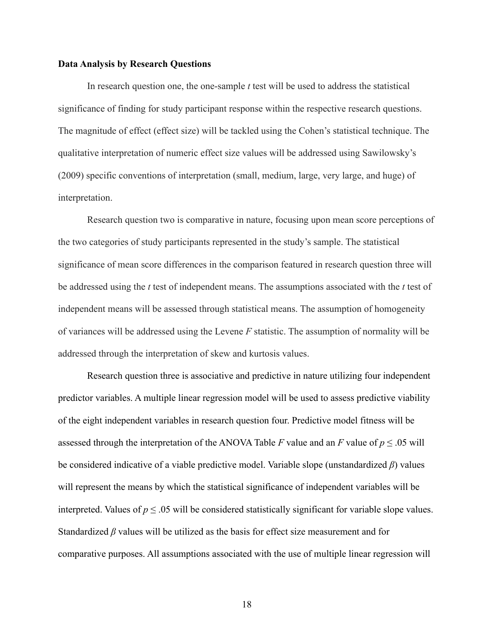#### **Data Analysis by Research Questions**

In research question one, the one-sample *t* test will be used to address the statistical significance of finding for study participant response within the respective research questions. The magnitude of effect (effect size) will be tackled using the Cohen's statistical technique. The qualitative interpretation of numeric effect size values will be addressed using Sawilowsky's (2009) specific conventions of interpretation (small, medium, large, very large, and huge) of interpretation.

Research question two is comparative in nature, focusing upon mean score perceptions of the two categories of study participants represented in the study's sample. The statistical significance of mean score differences in the comparison featured in research question three will be addressed using the *t* test of independent means. The assumptions associated with the *t* test of independent means will be assessed through statistical means. The assumption of homogeneity of variances will be addressed using the Levene *F* statistic. The assumption of normality will be addressed through the interpretation of skew and kurtosis values.

Research question three is associative and predictive in nature utilizing four independent predictor variables. A multiple linear regression model will be used to assess predictive viability of the eight independent variables in research question four. Predictive model fitness will be assessed through the interpretation of the ANOVA Table *F* value and an *F* value of  $p \le 0.05$  will be considered indicative of a viable predictive model. Variable slope (unstandardized *β*) values will represent the means by which the statistical significance of independent variables will be interpreted. Values of  $p \le 0.05$  will be considered statistically significant for variable slope values. Standardized *β* values will be utilized as the basis for effect size measurement and for comparative purposes. All assumptions associated with the use of multiple linear regression will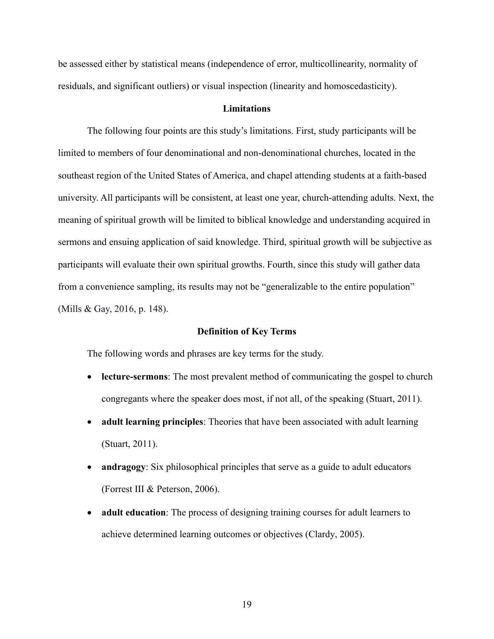be assessed either by statistical means (independence of error, multicollinearity, normality of residuals, and significant outliers) or visual inspection (linearity and homoscedasticity).

## **Limitations**

The following four points are this study's limitations. First, study participants will be limited to members of four denominational and non-denominational churches, located in the southeast region of the United States of America, and chapel attending students at a faith-based university. All participants will be consistent, at least one year, church-attending adults. Next, the meaning of spiritual growth will be limited to biblical knowledge and understanding acquired in sermons and ensuing application of said knowledge. Third, spiritual growth will be subjective as participants will evaluate their own spiritual growths. Fourth, since this study will gather data from a convenience sampling, its results may not be "generalizable to the entire population" (Mills & Gay, 2016, p. 148).

#### **Definition of Key Terms**

The following words and phrases are key terms for the study.

- **lecture-sermons**: The most prevalent method of communicating the gospel to church congregants where the speaker does most, if not all, of the speaking (Stuart, 2011).
- **adult learning principles**: Theories that have been associated with adult learning (Stuart, 2011).
- **andragogy**: Six philosophical principles that serve as a guide to adult educators (Forrest III & Peterson, 2006).
- **adult education**: The process of designing training courses for adult learners to achieve determined learning outcomes or objectives (Clardy, 2005).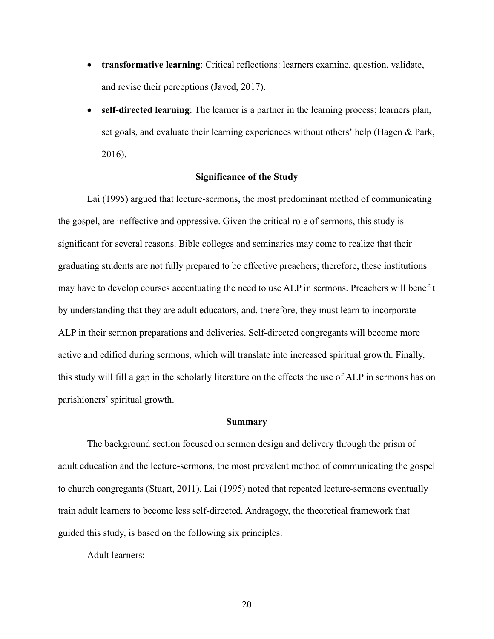- **transformative learning**: Critical reflections: learners examine, question, validate, and revise their perceptions (Javed, 2017).
- **self-directed learning**: The learner is a partner in the learning process; learners plan, set goals, and evaluate their learning experiences without others' help (Hagen & Park, 2016).

## **Significance of the Study**

Lai (1995) argued that lecture-sermons, the most predominant method of communicating the gospel, are ineffective and oppressive. Given the critical role of sermons, this study is significant for several reasons. Bible colleges and seminaries may come to realize that their graduating students are not fully prepared to be effective preachers; therefore, these institutions may have to develop courses accentuating the need to use ALP in sermons. Preachers will benefit by understanding that they are adult educators, and, therefore, they must learn to incorporate ALP in their sermon preparations and deliveries. Self-directed congregants will become more active and edified during sermons, which will translate into increased spiritual growth. Finally, this study will fill a gap in the scholarly literature on the effects the use of ALP in sermons has on parishioners' spiritual growth.

#### **Summary**

The background section focused on sermon design and delivery through the prism of adult education and the lecture-sermons, the most prevalent method of communicating the gospel to church congregants (Stuart, 2011). Lai (1995) noted that repeated lecture-sermons eventually train adult learners to become less self-directed. Andragogy, the theoretical framework that guided this study, is based on the following six principles.

Adult learners: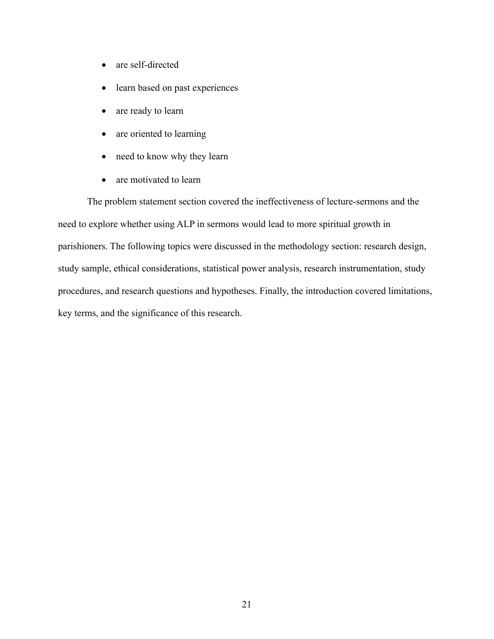- are self-directed
- learn based on past experiences
- are ready to learn
- are oriented to learning
- need to know why they learn
- are motivated to learn

The problem statement section covered the ineffectiveness of lecture-sermons and the need to explore whether using ALP in sermons would lead to more spiritual growth in parishioners. The following topics were discussed in the methodology section: research design, study sample, ethical considerations, statistical power analysis, research instrumentation, study procedures, and research questions and hypotheses. Finally, the introduction covered limitations, key terms, and the significance of this research.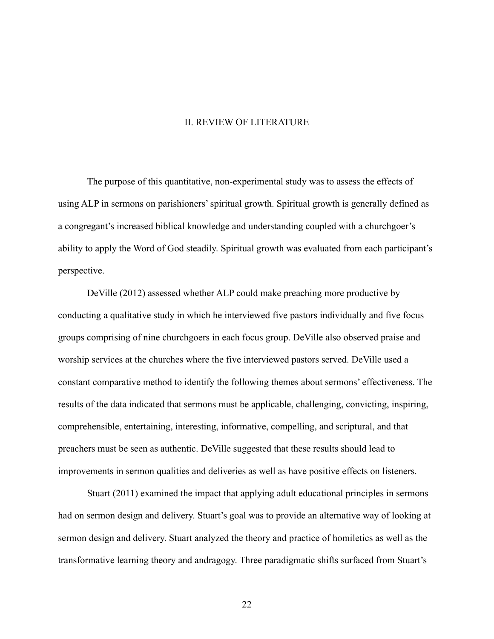## II. REVIEW OF LITERATURE

The purpose of this quantitative, non-experimental study was to assess the effects of using ALP in sermons on parishioners'spiritual growth. Spiritual growth is generally defined as a congregant's increased biblical knowledge and understanding coupled with a churchgoer's ability to apply the Word of God steadily. Spiritual growth was evaluated from each participant's perspective.

DeVille (2012) assessed whether ALP could make preaching more productive by conducting a qualitative study in which he interviewed five pastors individually and five focus groups comprising of nine churchgoers in each focus group. DeVille also observed praise and worship services at the churches where the five interviewed pastors served. DeVille used a constant comparative method to identify the following themes about sermons' effectiveness. The results of the data indicated that sermons must be applicable, challenging, convicting, inspiring, comprehensible, entertaining, interesting, informative, compelling, and scriptural, and that preachers must be seen as authentic. DeVille suggested that these results should lead to improvements in sermon qualities and deliveries as well as have positive effects on listeners.

Stuart (2011) examined the impact that applying adult educational principles in sermons had on sermon design and delivery. Stuart's goal was to provide an alternative way of looking at sermon design and delivery. Stuart analyzed the theory and practice of homiletics as well as the transformative learning theory and andragogy. Three paradigmatic shifts surfaced from Stuart's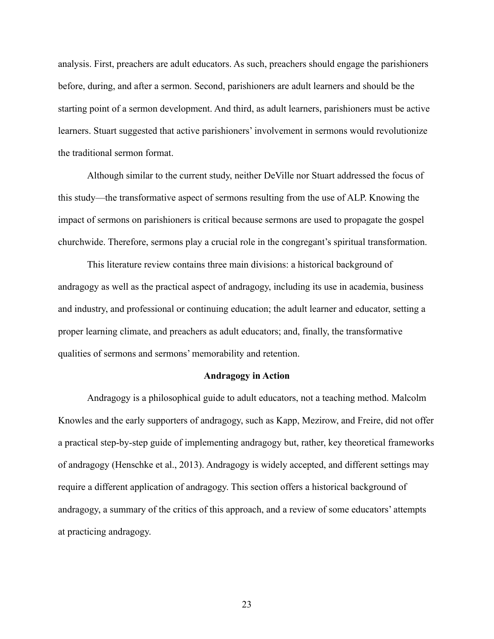analysis. First, preachers are adult educators. As such, preachers should engage the parishioners before, during, and after a sermon. Second, parishioners are adult learners and should be the starting point of a sermon development. And third, as adult learners, parishioners must be active learners. Stuart suggested that active parishioners' involvement in sermons would revolutionize the traditional sermon format.

Although similar to the current study, neither DeVille nor Stuart addressed the focus of this study—the transformative aspect of sermons resulting from the use of ALP. Knowing the impact of sermons on parishioners is critical because sermons are used to propagate the gospel churchwide. Therefore, sermons play a crucial role in the congregant's spiritual transformation.

This literature review contains three main divisions: a historical background of andragogy as well as the practical aspect of andragogy, including its use in academia, business and industry, and professional or continuing education; the adult learner and educator, setting a proper learning climate, and preachers as adult educators; and, finally, the transformative qualities of sermons and sermons' memorability and retention.

#### **Andragogy in Action**

Andragogy is a philosophical guide to adult educators, not a teaching method. Malcolm Knowles and the early supporters of andragogy, such as Kapp, Mezirow, and Freire, did not offer a practical step-by-step guide of implementing andragogy but, rather, key theoretical frameworks of andragogy (Henschke et al., 2013). Andragogy is widely accepted, and different settings may require a different application of andragogy. This section offers a historical background of andragogy, a summary of the critics of this approach, and a review of some educators' attempts at practicing andragogy.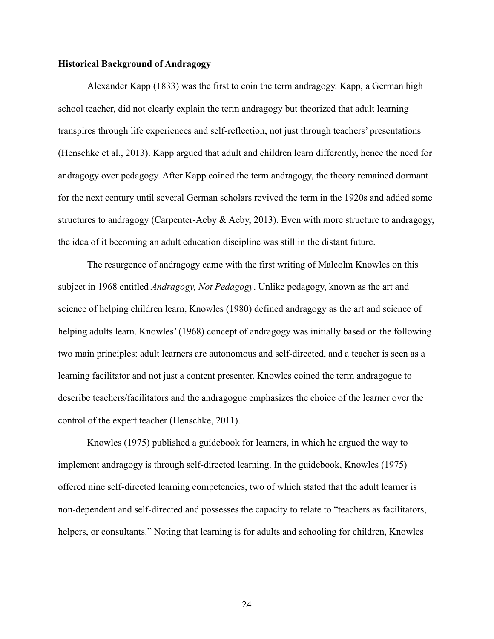# **Historical Background of Andragogy**

Alexander Kapp (1833) was the first to coin the term andragogy. Kapp, a German high school teacher, did not clearly explain the term andragogy but theorized that adult learning transpires through life experiences and self-reflection, not just through teachers' presentations (Henschke et al., 2013). Kapp argued that adult and children learn differently, hence the need for andragogy over pedagogy. After Kapp coined the term andragogy, the theory remained dormant for the next century until several German scholars revived the term in the 1920s and added some structures to andragogy (Carpenter-Aeby & Aeby, 2013). Even with more structure to andragogy, the idea of it becoming an adult education discipline was still in the distant future.

The resurgence of andragogy came with the first writing of Malcolm Knowles on this subject in 1968 entitled *Andragogy, Not Pedagogy*. Unlike pedagogy, known as the art and science of helping children learn, Knowles (1980) defined andragogy as the art and science of helping adults learn. Knowles' (1968) concept of andragogy was initially based on the following two main principles: adult learners are autonomous and self-directed, and a teacher is seen as a learning facilitator and not just a content presenter. Knowles coined the term andragogue to describe teachers/facilitators and the andragogue emphasizes the choice of the learner over the control of the expert teacher (Henschke, 2011).

Knowles (1975) published a guidebook for learners, in which he argued the way to implement andragogy is through self-directed learning. In the guidebook, Knowles (1975) offered nine self-directed learning competencies, two of which stated that the adult learner is non-dependent and self-directed and possesses the capacity to relate to "teachers as facilitators, helpers, or consultants." Noting that learning is for adults and schooling for children, Knowles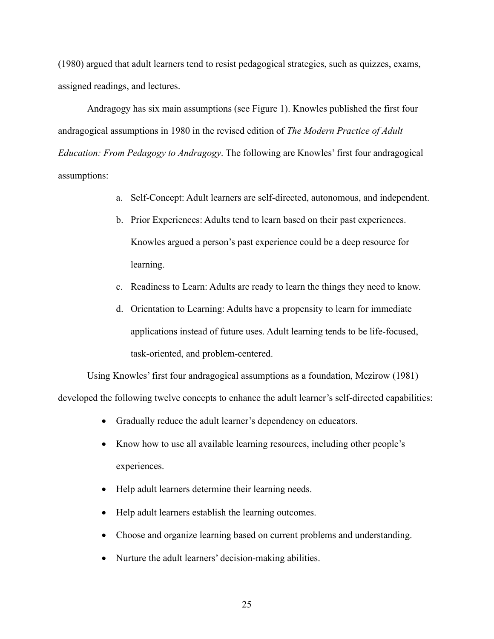(1980) argued that adult learners tend to resist pedagogical strategies, such as quizzes, exams, assigned readings, and lectures.

Andragogy has six main assumptions (see Figure 1). Knowles published the first four andragogical assumptions in 1980 in the revised edition of *The Modern Practice of Adult Education: From Pedagogy to Andragogy*. The following are Knowles' first four andragogical assumptions:

- a. Self-Concept: Adult learners are self-directed, autonomous, and independent.
- b. Prior Experiences: Adults tend to learn based on their past experiences. Knowles argued a person's past experience could be a deep resource for learning.
- c. Readiness to Learn: Adults are ready to learn the things they need to know.
- d. Orientation to Learning: Adults have a propensity to learn for immediate applications instead of future uses. Adult learning tends to be life-focused, task-oriented, and problem-centered.

Using Knowles' first four andragogical assumptions as a foundation, Mezirow (1981) developed the following twelve concepts to enhance the adult learner's self-directed capabilities:

- Gradually reduce the adult learner's dependency on educators.
- Know how to use all available learning resources, including other people's experiences.
- Help adult learners determine their learning needs.
- Help adult learners establish the learning outcomes.
- Choose and organize learning based on current problems and understanding.
- Nurture the adult learners' decision-making abilities.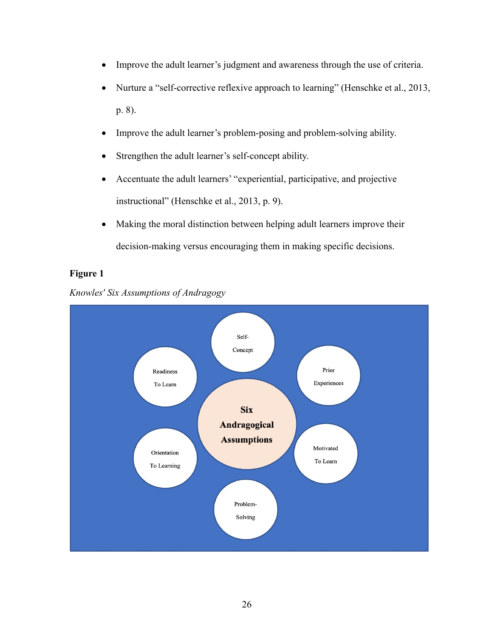- Improve the adult learner's judgment and awareness through the use of criteria.
- Nurture a "self-corrective reflexive approach to learning" (Henschke et al., 2013, p. 8).
- Improve the adult learner's problem-posing and problem-solving ability.
- Strengthen the adult learner's self-concept ability.
- Accentuate the adult learners' "experiential, participative, and projective instructional" (Henschke et al., 2013, p. 9).
- Making the moral distinction between helping adult learners improve their decision-making versus encouraging them in making specific decisions.

# **Figure 1**



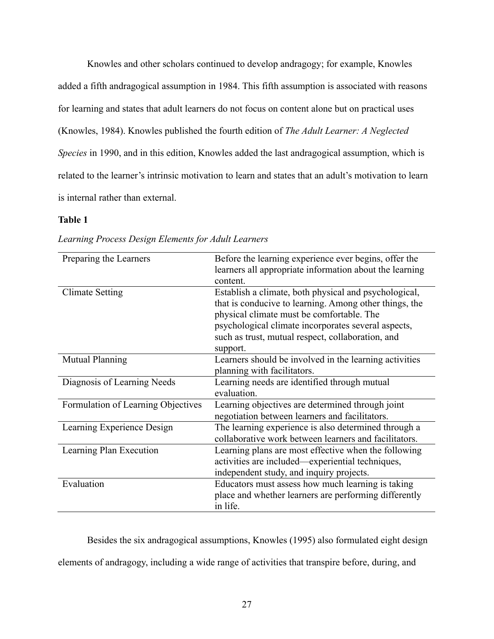Knowles and other scholars continued to develop andragogy; for example, Knowles added a fifth andragogical assumption in 1984. This fifth assumption is associated with reasons for learning and states that adult learners do not focus on content alone but on practical uses (Knowles, 1984). Knowles published the fourth edition of *The Adult Learner: A Neglected Species* in 1990, and in this edition, Knowles added the last andragogical assumption, which is related to the learner's intrinsic motivation to learn and states that an adult's motivation to learn is internal rather than external.

# **Table 1**

| Preparing the Learners             | Before the learning experience ever begins, offer the<br>learners all appropriate information about the learning<br>content.                                                                                                                                                         |
|------------------------------------|--------------------------------------------------------------------------------------------------------------------------------------------------------------------------------------------------------------------------------------------------------------------------------------|
| <b>Climate Setting</b>             | Establish a climate, both physical and psychological,<br>that is conducive to learning. Among other things, the<br>physical climate must be comfortable. The<br>psychological climate incorporates several aspects,<br>such as trust, mutual respect, collaboration, and<br>support. |
| <b>Mutual Planning</b>             | Learners should be involved in the learning activities<br>planning with facilitators.                                                                                                                                                                                                |
| Diagnosis of Learning Needs        | Learning needs are identified through mutual<br>evaluation.                                                                                                                                                                                                                          |
| Formulation of Learning Objectives | Learning objectives are determined through joint<br>negotiation between learners and facilitators.                                                                                                                                                                                   |
| Learning Experience Design         | The learning experience is also determined through a<br>collaborative work between learners and facilitators.                                                                                                                                                                        |
| Learning Plan Execution            | Learning plans are most effective when the following<br>activities are included—experiential techniques,<br>independent study, and inquiry projects.                                                                                                                                 |
| Evaluation                         | Educators must assess how much learning is taking<br>place and whether learners are performing differently<br>in life.                                                                                                                                                               |

*Learning Process Design Elements for Adult Learners*

Besides the six andragogical assumptions, Knowles (1995) also formulated eight design elements of andragogy, including a wide range of activities that transpire before, during, and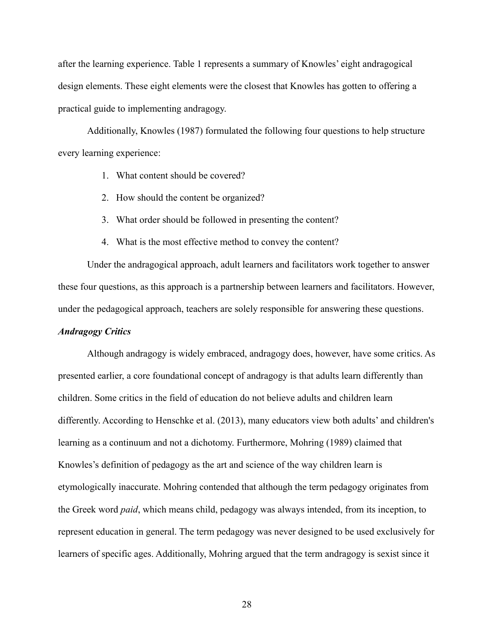after the learning experience. Table 1 represents a summary of Knowles' eight andragogical design elements. These eight elements were the closest that Knowles has gotten to offering a practical guide to implementing andragogy.

Additionally, Knowles (1987) formulated the following four questions to help structure every learning experience:

- 1. What content should be covered?
- 2. How should the content be organized?
- 3. What order should be followed in presenting the content?
- 4. What is the most effective method to convey the content?

Under the andragogical approach, adult learners and facilitators work together to answer these four questions, as this approach is a partnership between learners and facilitators. However, under the pedagogical approach, teachers are solely responsible for answering these questions.

# *Andragogy Critics*

Although andragogy is widely embraced, andragogy does, however, have some critics. As presented earlier, a core foundational concept of andragogy is that adults learn differently than children. Some critics in the field of education do not believe adults and children learn differently. According to Henschke et al. (2013), many educators view both adults' and children's learning as a continuum and not a dichotomy. Furthermore, Mohring (1989) claimed that Knowles's definition of pedagogy as the art and science of the way children learn is etymologically inaccurate. Mohring contended that although the term pedagogy originates from the Greek word *paid*, which means child, pedagogy was always intended, from its inception, to represent education in general. The term pedagogy was never designed to be used exclusively for learners of specific ages. Additionally, Mohring argued that the term andragogy is sexist since it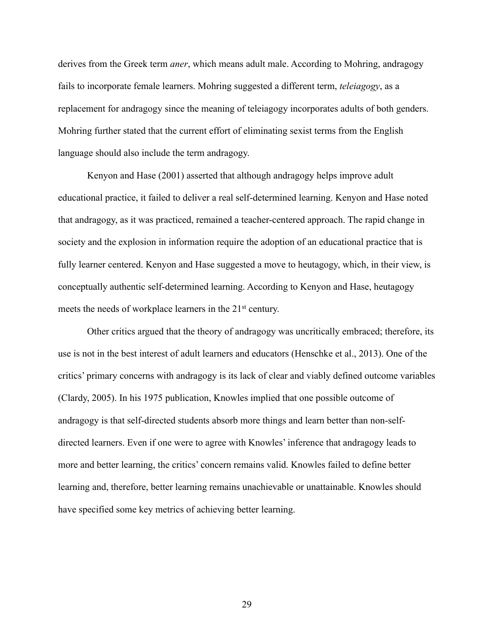derives from the Greek term *aner*, which means adult male. According to Mohring, andragogy fails to incorporate female learners. Mohring suggested a different term, *teleiagogy*, as a replacement for andragogy since the meaning of teleiagogy incorporates adults of both genders. Mohring further stated that the current effort of eliminating sexist terms from the English language should also include the term andragogy.

Kenyon and Hase (2001) asserted that although andragogy helps improve adult educational practice, it failed to deliver a real self-determined learning. Kenyon and Hase noted that andragogy, as it was practiced, remained a teacher-centered approach. The rapid change in society and the explosion in information require the adoption of an educational practice that is fully learner centered. Kenyon and Hase suggested a move to heutagogy, which, in their view, is conceptually authentic self-determined learning. According to Kenyon and Hase, heutagogy meets the needs of workplace learners in the 21<sup>st</sup> century.

Other critics argued that the theory of andragogy was uncritically embraced; therefore, its use is not in the best interest of adult learners and educators (Henschke et al., 2013). One of the critics' primary concerns with andragogy is its lack of clear and viably defined outcome variables (Clardy, 2005). In his 1975 publication, Knowles implied that one possible outcome of andragogy is that self-directed students absorb more things and learn better than non-selfdirected learners. Even if one were to agree with Knowles' inference that andragogy leads to more and better learning, the critics' concern remains valid. Knowles failed to define better learning and, therefore, better learning remains unachievable or unattainable. Knowles should have specified some key metrics of achieving better learning.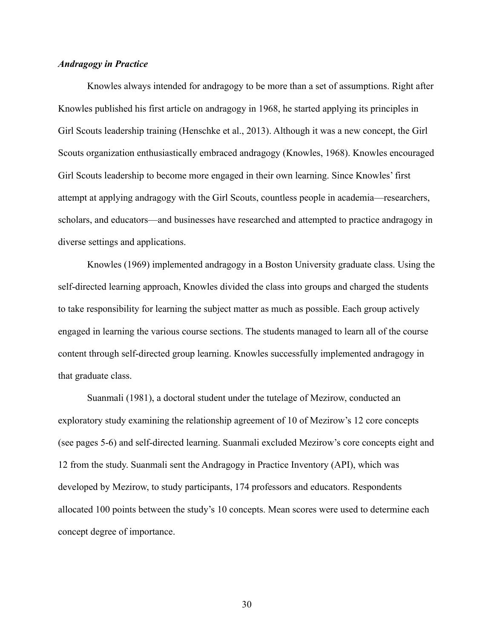# *Andragogy in Practice*

Knowles always intended for andragogy to be more than a set of assumptions. Right after Knowles published his first article on andragogy in 1968, he started applying its principles in Girl Scouts leadership training (Henschke et al., 2013). Although it was a new concept, the Girl Scouts organization enthusiastically embraced andragogy (Knowles, 1968). Knowles encouraged Girl Scouts leadership to become more engaged in their own learning. Since Knowles' first attempt at applying andragogy with the Girl Scouts, countless people in academia—researchers, scholars, and educators—and businesses have researched and attempted to practice andragogy in diverse settings and applications.

Knowles (1969) implemented andragogy in a Boston University graduate class. Using the self-directed learning approach, Knowles divided the class into groups and charged the students to take responsibility for learning the subject matter as much as possible. Each group actively engaged in learning the various course sections. The students managed to learn all of the course content through self-directed group learning. Knowles successfully implemented andragogy in that graduate class.

Suanmali (1981), a doctoral student under the tutelage of Mezirow, conducted an exploratory study examining the relationship agreement of 10 of Mezirow's 12 core concepts (see pages 5-6) and self-directed learning. Suanmali excluded Mezirow's core concepts eight and 12 from the study. Suanmali sent the Andragogy in Practice Inventory (API), which was developed by Mezirow, to study participants, 174 professors and educators. Respondents allocated 100 points between the study's 10 concepts. Mean scores were used to determine each concept degree of importance.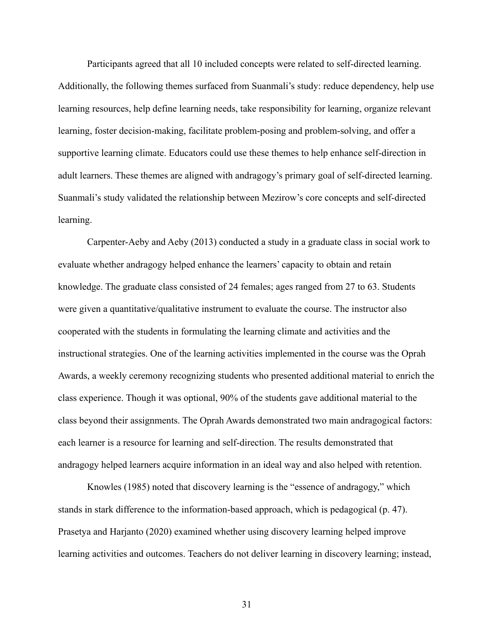Participants agreed that all 10 included concepts were related to self-directed learning. Additionally, the following themes surfaced from Suanmali's study: reduce dependency, help use learning resources, help define learning needs, take responsibility for learning, organize relevant learning, foster decision-making, facilitate problem-posing and problem-solving, and offer a supportive learning climate. Educators could use these themes to help enhance self-direction in adult learners. These themes are aligned with andragogy's primary goal of self-directed learning. Suanmali's study validated the relationship between Mezirow's core concepts and self-directed learning.

Carpenter-Aeby and Aeby (2013) conducted a study in a graduate class in social work to evaluate whether andragogy helped enhance the learners' capacity to obtain and retain knowledge. The graduate class consisted of 24 females; ages ranged from 27 to 63. Students were given a quantitative/qualitative instrument to evaluate the course. The instructor also cooperated with the students in formulating the learning climate and activities and the instructional strategies. One of the learning activities implemented in the course was the Oprah Awards, a weekly ceremony recognizing students who presented additional material to enrich the class experience. Though it was optional, 90% of the students gave additional material to the class beyond their assignments. The Oprah Awards demonstrated two main andragogical factors: each learner is a resource for learning and self-direction. The results demonstrated that andragogy helped learners acquire information in an ideal way and also helped with retention.

Knowles (1985) noted that discovery learning is the "essence of andragogy," which stands in stark difference to the information-based approach, which is pedagogical (p. 47). Prasetya and Harjanto (2020) examined whether using discovery learning helped improve learning activities and outcomes. Teachers do not deliver learning in discovery learning; instead,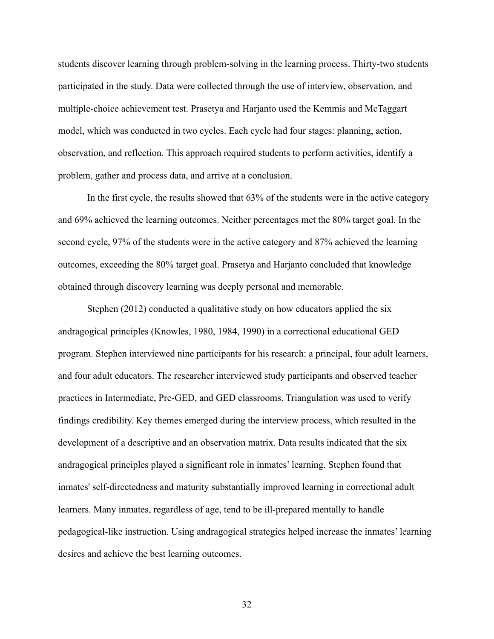students discover learning through problem-solving in the learning process. Thirty-two students participated in the study. Data were collected through the use of interview, observation, and multiple-choice achievement test. Prasetya and Harjanto used the Kemmis and McTaggart model, which was conducted in two cycles. Each cycle had four stages: planning, action, observation, and reflection. This approach required students to perform activities, identify a problem, gather and process data, and arrive at a conclusion.

In the first cycle, the results showed that 63% of the students were in the active category and 69% achieved the learning outcomes. Neither percentages met the 80% target goal. In the second cycle, 97% of the students were in the active category and 87% achieved the learning outcomes, exceeding the 80% target goal. Prasetya and Harjanto concluded that knowledge obtained through discovery learning was deeply personal and memorable.

Stephen (2012) conducted a qualitative study on how educators applied the six andragogical principles (Knowles, 1980, 1984, 1990) in a correctional educational GED program. Stephen interviewed nine participants for his research: a principal, four adult learners, and four adult educators. The researcher interviewed study participants and observed teacher practices in Intermediate, Pre-GED, and GED classrooms. Triangulation was used to verify findings credibility. Key themes emerged during the interview process, which resulted in the development of a descriptive and an observation matrix. Data results indicated that the six andragogical principles played a significant role in inmates' learning. Stephen found that inmates' self-directedness and maturity substantially improved learning in correctional adult learners. Many inmates, regardless of age, tend to be ill-prepared mentally to handle pedagogical-like instruction. Using andragogical strategies helped increase the inmates' learning desires and achieve the best learning outcomes.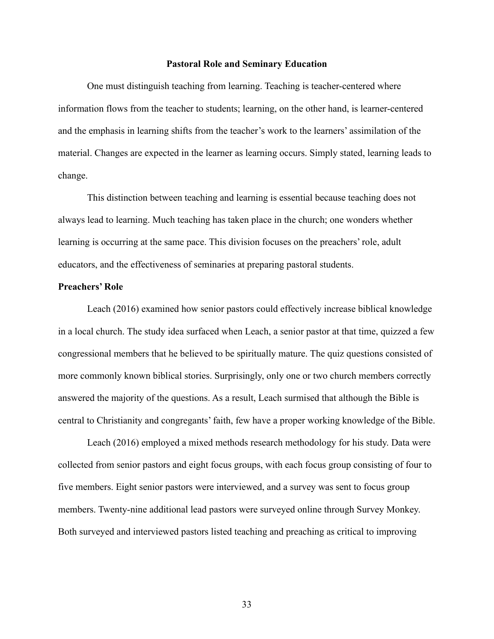#### **Pastoral Role and Seminary Education**

One must distinguish teaching from learning. Teaching is teacher-centered where information flows from the teacher to students; learning, on the other hand, is learner-centered and the emphasis in learning shifts from the teacher's work to the learners' assimilation of the material. Changes are expected in the learner as learning occurs. Simply stated, learning leads to change.

This distinction between teaching and learning is essential because teaching does not always lead to learning. Much teaching has taken place in the church; one wonders whether learning is occurring at the same pace. This division focuses on the preachers' role, adult educators, and the effectiveness of seminaries at preparing pastoral students.

#### **Preachers' Role**

Leach (2016) examined how senior pastors could effectively increase biblical knowledge in a local church. The study idea surfaced when Leach, a senior pastor at that time, quizzed a few congressional members that he believed to be spiritually mature. The quiz questions consisted of more commonly known biblical stories. Surprisingly, only one or two church members correctly answered the majority of the questions. As a result, Leach surmised that although the Bible is central to Christianity and congregants' faith, few have a proper working knowledge of the Bible.

Leach (2016) employed a mixed methods research methodology for his study. Data were collected from senior pastors and eight focus groups, with each focus group consisting of four to five members. Eight senior pastors were interviewed, and a survey was sent to focus group members. Twenty-nine additional lead pastors were surveyed online through Survey Monkey. Both surveyed and interviewed pastors listed teaching and preaching as critical to improving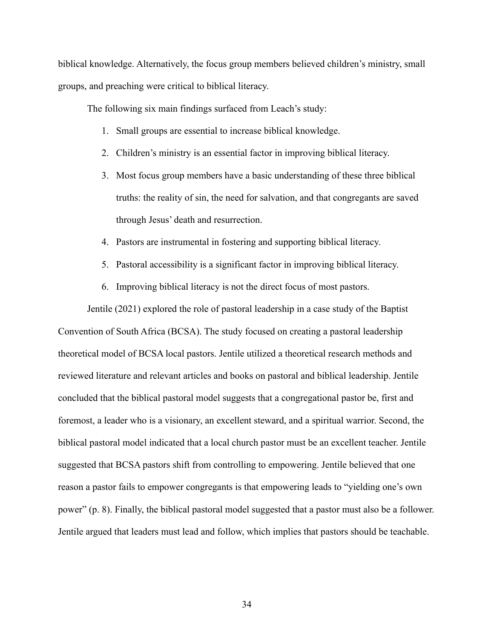biblical knowledge. Alternatively, the focus group members believed children's ministry, small groups, and preaching were critical to biblical literacy.

The following six main findings surfaced from Leach's study:

- 1. Small groups are essential to increase biblical knowledge.
- 2. Children's ministry is an essential factor in improving biblical literacy.
- 3. Most focus group members have a basic understanding of these three biblical truths: the reality of sin, the need for salvation, and that congregants are saved through Jesus' death and resurrection.
- 4. Pastors are instrumental in fostering and supporting biblical literacy.
- 5. Pastoral accessibility is a significant factor in improving biblical literacy.
- 6. Improving biblical literacy is not the direct focus of most pastors.

Jentile (2021) explored the role of pastoral leadership in a case study of the Baptist Convention of South Africa (BCSA). The study focused on creating a pastoral leadership theoretical model of BCSA local pastors. Jentile utilized a theoretical research methods and reviewed literature and relevant articles and books on pastoral and biblical leadership. Jentile concluded that the biblical pastoral model suggests that a congregational pastor be, first and foremost, a leader who is a visionary, an excellent steward, and a spiritual warrior. Second, the biblical pastoral model indicated that a local church pastor must be an excellent teacher. Jentile suggested that BCSA pastors shift from controlling to empowering. Jentile believed that one reason a pastor fails to empower congregants is that empowering leads to "yielding one's own power" (p. 8). Finally, the biblical pastoral model suggested that a pastor must also be a follower. Jentile argued that leaders must lead and follow, which implies that pastors should be teachable.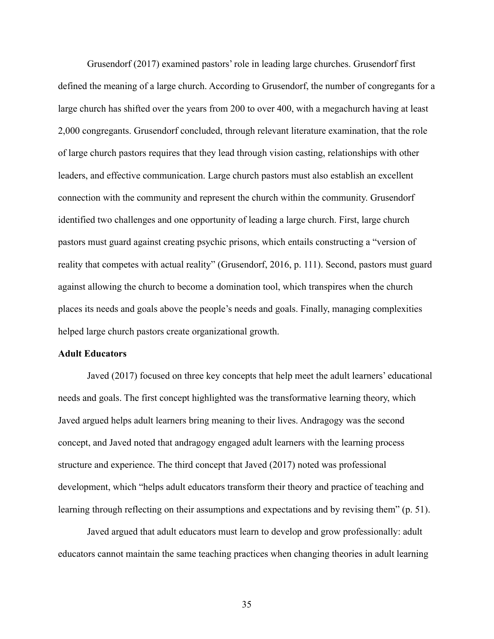Grusendorf (2017) examined pastors' role in leading large churches. Grusendorf first defined the meaning of a large church. According to Grusendorf, the number of congregants for a large church has shifted over the years from 200 to over 400, with a megachurch having at least 2,000 congregants. Grusendorf concluded, through relevant literature examination, that the role of large church pastors requires that they lead through vision casting, relationships with other leaders, and effective communication. Large church pastors must also establish an excellent connection with the community and represent the church within the community. Grusendorf identified two challenges and one opportunity of leading a large church. First, large church pastors must guard against creating psychic prisons, which entails constructing a "version of reality that competes with actual reality" (Grusendorf, 2016, p. 111). Second, pastors must guard against allowing the church to become a domination tool, which transpires when the church places its needs and goals above the people's needs and goals. Finally, managing complexities helped large church pastors create organizational growth.

# **Adult Educators**

Javed (2017) focused on three key concepts that help meet the adult learners' educational needs and goals. The first concept highlighted was the transformative learning theory, which Javed argued helps adult learners bring meaning to their lives. Andragogy was the second concept, and Javed noted that andragogy engaged adult learners with the learning process structure and experience. The third concept that Javed (2017) noted was professional development, which "helps adult educators transform their theory and practice of teaching and learning through reflecting on their assumptions and expectations and by revising them" (p. 51).

Javed argued that adult educators must learn to develop and grow professionally: adult educators cannot maintain the same teaching practices when changing theories in adult learning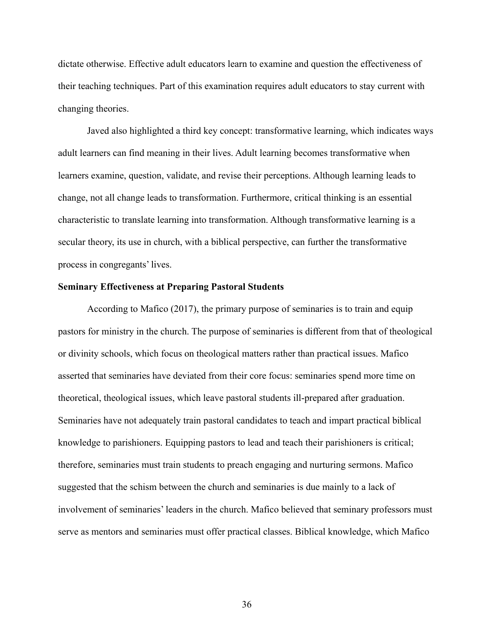dictate otherwise. Effective adult educators learn to examine and question the effectiveness of their teaching techniques. Part of this examination requires adult educators to stay current with changing theories.

Javed also highlighted a third key concept: transformative learning, which indicates ways adult learners can find meaning in their lives. Adult learning becomes transformative when learners examine, question, validate, and revise their perceptions. Although learning leads to change, not all change leads to transformation. Furthermore, critical thinking is an essential characteristic to translate learning into transformation. Although transformative learning is a secular theory, its use in church, with a biblical perspective, can further the transformative process in congregants' lives.

### **Seminary Effectiveness at Preparing Pastoral Students**

According to Mafico (2017), the primary purpose of seminaries is to train and equip pastors for ministry in the church. The purpose of seminaries is different from that of theological or divinity schools, which focus on theological matters rather than practical issues. Mafico asserted that seminaries have deviated from their core focus: seminaries spend more time on theoretical, theological issues, which leave pastoral students ill-prepared after graduation. Seminaries have not adequately train pastoral candidates to teach and impart practical biblical knowledge to parishioners. Equipping pastors to lead and teach their parishioners is critical; therefore, seminaries must train students to preach engaging and nurturing sermons. Mafico suggested that the schism between the church and seminaries is due mainly to a lack of involvement of seminaries' leaders in the church. Mafico believed that seminary professors must serve as mentors and seminaries must offer practical classes. Biblical knowledge, which Mafico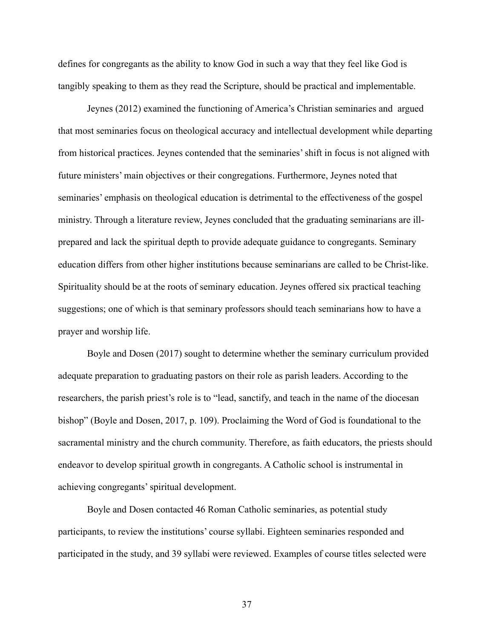defines for congregants as the ability to know God in such a way that they feel like God is tangibly speaking to them as they read the Scripture, should be practical and implementable.

Jeynes (2012) examined the functioning of America's Christian seminaries and argued that most seminaries focus on theological accuracy and intellectual development while departing from historical practices. Jeynes contended that the seminaries' shift in focus is not aligned with future ministers' main objectives or their congregations. Furthermore, Jeynes noted that seminaries' emphasis on theological education is detrimental to the effectiveness of the gospel ministry. Through a literature review, Jeynes concluded that the graduating seminarians are illprepared and lack the spiritual depth to provide adequate guidance to congregants. Seminary education differs from other higher institutions because seminarians are called to be Christ-like. Spirituality should be at the roots of seminary education. Jeynes offered six practical teaching suggestions; one of which is that seminary professors should teach seminarians how to have a prayer and worship life.

Boyle and Dosen (2017) sought to determine whether the seminary curriculum provided adequate preparation to graduating pastors on their role as parish leaders. According to the researchers, the parish priest's role is to "lead, sanctify, and teach in the name of the diocesan bishop" (Boyle and Dosen, 2017, p. 109). Proclaiming the Word of God is foundational to the sacramental ministry and the church community. Therefore, as faith educators, the priests should endeavor to develop spiritual growth in congregants. A Catholic school is instrumental in achieving congregants' spiritual development.

Boyle and Dosen contacted 46 Roman Catholic seminaries, as potential study participants, to review the institutions' course syllabi. Eighteen seminaries responded and participated in the study, and 39 syllabi were reviewed. Examples of course titles selected were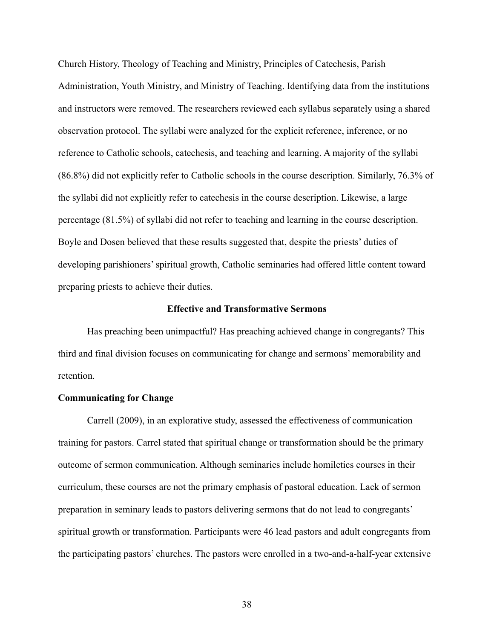Church History, Theology of Teaching and Ministry, Principles of Catechesis, Parish Administration, Youth Ministry, and Ministry of Teaching. Identifying data from the institutions and instructors were removed. The researchers reviewed each syllabus separately using a shared observation protocol. The syllabi were analyzed for the explicit reference, inference, or no reference to Catholic schools, catechesis, and teaching and learning. A majority of the syllabi (86.8%) did not explicitly refer to Catholic schools in the course description. Similarly, 76.3% of the syllabi did not explicitly refer to catechesis in the course description. Likewise, a large percentage (81.5%) of syllabi did not refer to teaching and learning in the course description. Boyle and Dosen believed that these results suggested that, despite the priests' duties of developing parishioners' spiritual growth, Catholic seminaries had offered little content toward preparing priests to achieve their duties.

#### **Effective and Transformative Sermons**

Has preaching been unimpactful? Has preaching achieved change in congregants? This third and final division focuses on communicating for change and sermons' memorability and retention.

#### **Communicating for Change**

Carrell (2009), in an explorative study, assessed the effectiveness of communication training for pastors. Carrel stated that spiritual change or transformation should be the primary outcome of sermon communication. Although seminaries include homiletics courses in their curriculum, these courses are not the primary emphasis of pastoral education. Lack of sermon preparation in seminary leads to pastors delivering sermons that do not lead to congregants' spiritual growth or transformation. Participants were 46 lead pastors and adult congregants from the participating pastors' churches. The pastors were enrolled in a two-and-a-half-year extensive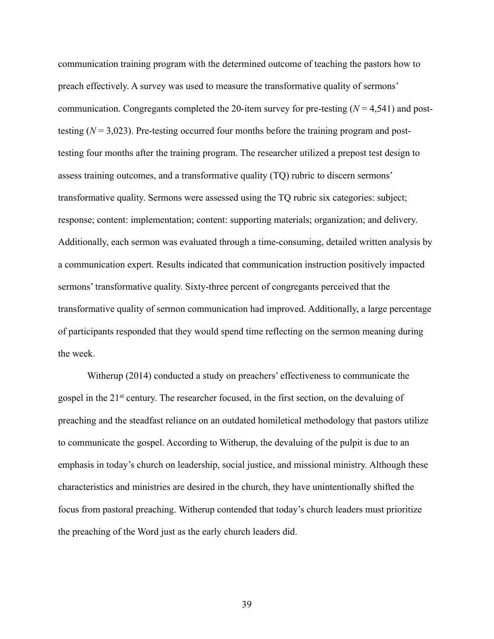communication training program with the determined outcome of teaching the pastors how to preach effectively. A survey was used to measure the transformative quality of sermons' communication. Congregants completed the 20-item survey for pre-testing (*N* = 4,541) and posttesting  $(N = 3,023)$ . Pre-testing occurred four months before the training program and posttesting four months after the training program. The researcher utilized a prepost test design to assess training outcomes, and a transformative quality (TQ) rubric to discern sermons' transformative quality. Sermons were assessed using the TQ rubric six categories: subject; response; content: implementation; content: supporting materials; organization; and delivery. Additionally, each sermon was evaluated through a time-consuming, detailed written analysis by a communication expert. Results indicated that communication instruction positively impacted sermons' transformative quality. Sixty-three percent of congregants perceived that the transformative quality of sermon communication had improved. Additionally, a large percentage of participants responded that they would spend time reflecting on the sermon meaning during the week.

Witherup (2014) conducted a study on preachers' effectiveness to communicate the gospel in the 21<sup>st</sup> century. The researcher focused, in the first section, on the devaluing of preaching and the steadfast reliance on an outdated homiletical methodology that pastors utilize to communicate the gospel. According to Witherup, the devaluing of the pulpit is due to an emphasis in today's church on leadership, social justice, and missional ministry. Although these characteristics and ministries are desired in the church, they have unintentionally shifted the focus from pastoral preaching. Witherup contended that today's church leaders must prioritize the preaching of the Word just as the early church leaders did.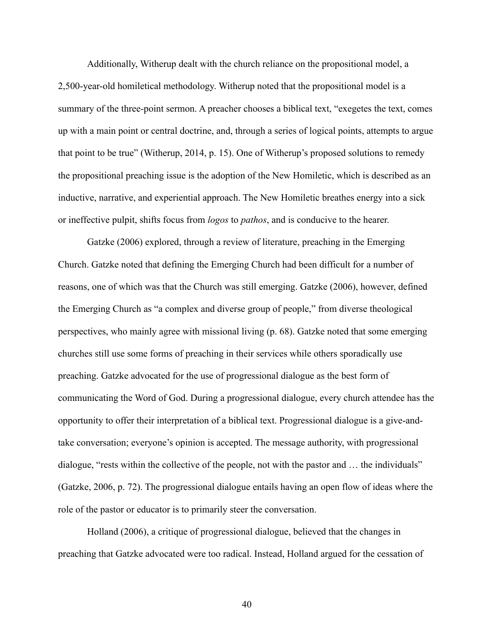Additionally, Witherup dealt with the church reliance on the propositional model, a 2,500-year-old homiletical methodology. Witherup noted that the propositional model is a summary of the three-point sermon. A preacher chooses a biblical text, "exegetes the text, comes up with a main point or central doctrine, and, through a series of logical points, attempts to argue that point to be true" (Witherup, 2014, p. 15). One of Witherup's proposed solutions to remedy the propositional preaching issue is the adoption of the New Homiletic, which is described as an inductive, narrative, and experiential approach. The New Homiletic breathes energy into a sick or ineffective pulpit, shifts focus from *logos* to *pathos*, and is conducive to the hearer.

Gatzke (2006) explored, through a review of literature, preaching in the Emerging Church. Gatzke noted that defining the Emerging Church had been difficult for a number of reasons, one of which was that the Church was still emerging. Gatzke (2006), however, defined the Emerging Church as "a complex and diverse group of people," from diverse theological perspectives, who mainly agree with missional living (p. 68). Gatzke noted that some emerging churches still use some forms of preaching in their services while others sporadically use preaching. Gatzke advocated for the use of progressional dialogue as the best form of communicating the Word of God. During a progressional dialogue, every church attendee has the opportunity to offer their interpretation of a biblical text. Progressional dialogue is a give-andtake conversation; everyone's opinion is accepted. The message authority, with progressional dialogue, "rests within the collective of the people, not with the pastor and … the individuals" (Gatzke, 2006, p. 72). The progressional dialogue entails having an open flow of ideas where the role of the pastor or educator is to primarily steer the conversation.

Holland (2006), a critique of progressional dialogue, believed that the changes in preaching that Gatzke advocated were too radical. Instead, Holland argued for the cessation of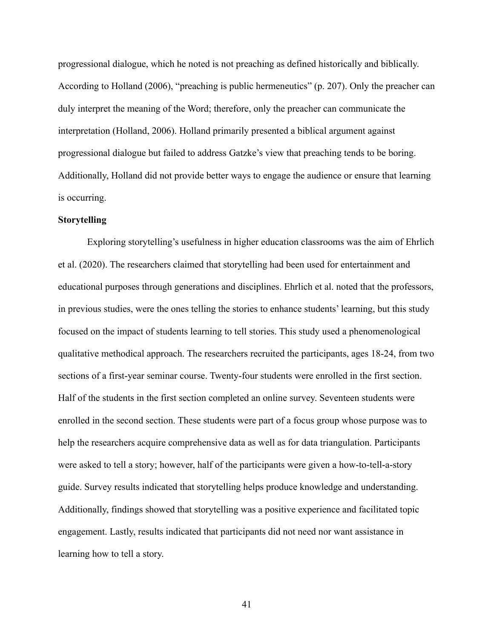progressional dialogue, which he noted is not preaching as defined historically and biblically. According to Holland (2006), "preaching is public hermeneutics" (p. 207). Only the preacher can duly interpret the meaning of the Word; therefore, only the preacher can communicate the interpretation (Holland, 2006). Holland primarily presented a biblical argument against progressional dialogue but failed to address Gatzke's view that preaching tends to be boring. Additionally, Holland did not provide better ways to engage the audience or ensure that learning is occurring.

# **Storytelling**

Exploring storytelling's usefulness in higher education classrooms was the aim of Ehrlich et al. (2020). The researchers claimed that storytelling had been used for entertainment and educational purposes through generations and disciplines. Ehrlich et al. noted that the professors, in previous studies, were the ones telling the stories to enhance students' learning, but this study focused on the impact of students learning to tell stories. This study used a phenomenological qualitative methodical approach. The researchers recruited the participants, ages 18-24, from two sections of a first-year seminar course. Twenty-four students were enrolled in the first section. Half of the students in the first section completed an online survey. Seventeen students were enrolled in the second section. These students were part of a focus group whose purpose was to help the researchers acquire comprehensive data as well as for data triangulation. Participants were asked to tell a story; however, half of the participants were given a how-to-tell-a-story guide. Survey results indicated that storytelling helps produce knowledge and understanding. Additionally, findings showed that storytelling was a positive experience and facilitated topic engagement. Lastly, results indicated that participants did not need nor want assistance in learning how to tell a story.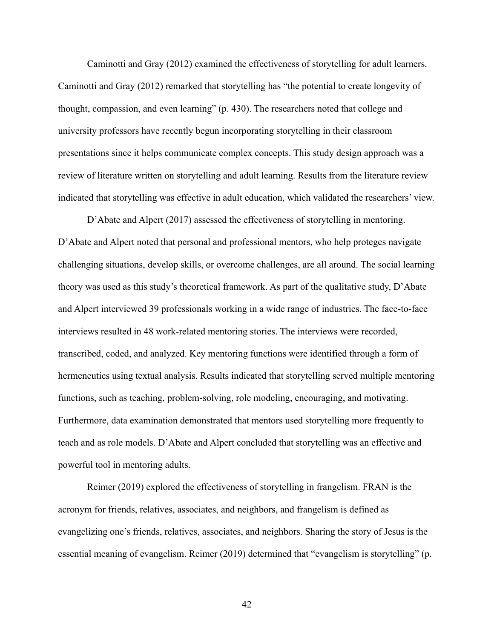Caminotti and Gray (2012) examined the effectiveness of storytelling for adult learners. Caminotti and Gray (2012) remarked that storytelling has "the potential to create longevity of thought, compassion, and even learning" (p. 430). The researchers noted that college and university professors have recently begun incorporating storytelling in their classroom presentations since it helps communicate complex concepts. This study design approach was a review of literature written on storytelling and adult learning. Results from the literature review indicated that storytelling was effective in adult education, which validated the researchers' view.

D'Abate and Alpert (2017) assessed the effectiveness of storytelling in mentoring. D'Abate and Alpert noted that personal and professional mentors, who help proteges navigate challenging situations, develop skills, or overcome challenges, are all around. The social learning theory was used as this study's theoretical framework. As part of the qualitative study, D'Abate and Alpert interviewed 39 professionals working in a wide range of industries. The face-to-face interviews resulted in 48 work-related mentoring stories. The interviews were recorded, transcribed, coded, and analyzed. Key mentoring functions were identified through a form of hermeneutics using textual analysis. Results indicated that storytelling served multiple mentoring functions, such as teaching, problem-solving, role modeling, encouraging, and motivating. Furthermore, data examination demonstrated that mentors used storytelling more frequently to teach and as role models. D'Abate and Alpert concluded that storytelling was an effective and powerful tool in mentoring adults.

Reimer (2019) explored the effectiveness of storytelling in frangelism. FRAN is the acronym for friends, relatives, associates, and neighbors, and frangelism is defined as evangelizing one's friends, relatives, associates, and neighbors. Sharing the story of Jesus is the essential meaning of evangelism. Reimer (2019) determined that "evangelism is storytelling" (p.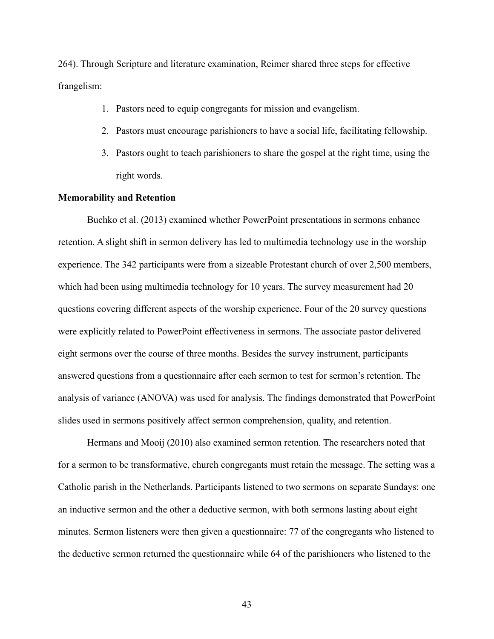264). Through Scripture and literature examination, Reimer shared three steps for effective frangelism:

- 1. Pastors need to equip congregants for mission and evangelism.
- 2. Pastors must encourage parishioners to have a social life, facilitating fellowship.
- 3. Pastors ought to teach parishioners to share the gospel at the right time, using the right words.

#### **Memorability and Retention**

Buchko et al. (2013) examined whether PowerPoint presentations in sermons enhance retention. A slight shift in sermon delivery has led to multimedia technology use in the worship experience. The 342 participants were from a sizeable Protestant church of over 2,500 members, which had been using multimedia technology for 10 years. The survey measurement had 20 questions covering different aspects of the worship experience. Four of the 20 survey questions were explicitly related to PowerPoint effectiveness in sermons. The associate pastor delivered eight sermons over the course of three months. Besides the survey instrument, participants answered questions from a questionnaire after each sermon to test for sermon's retention. The analysis of variance (ANOVA) was used for analysis. The findings demonstrated that PowerPoint slides used in sermons positively affect sermon comprehension, quality, and retention.

Hermans and Mooij (2010) also examined sermon retention. The researchers noted that for a sermon to be transformative, church congregants must retain the message. The setting was a Catholic parish in the Netherlands. Participants listened to two sermons on separate Sundays: one an inductive sermon and the other a deductive sermon, with both sermons lasting about eight minutes. Sermon listeners were then given a questionnaire: 77 of the congregants who listened to the deductive sermon returned the questionnaire while 64 of the parishioners who listened to the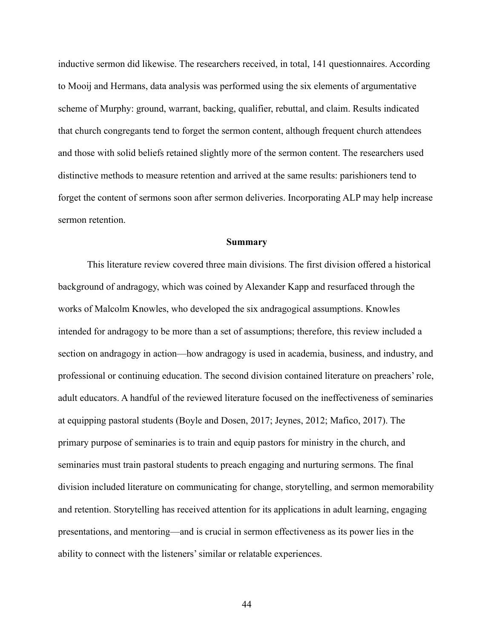inductive sermon did likewise. The researchers received, in total, 141 questionnaires. According to Mooij and Hermans, data analysis was performed using the six elements of argumentative scheme of Murphy: ground, warrant, backing, qualifier, rebuttal, and claim. Results indicated that church congregants tend to forget the sermon content, although frequent church attendees and those with solid beliefs retained slightly more of the sermon content. The researchers used distinctive methods to measure retention and arrived at the same results: parishioners tend to forget the content of sermons soon after sermon deliveries. Incorporating ALP may help increase sermon retention.

#### **Summary**

This literature review covered three main divisions. The first division offered a historical background of andragogy, which was coined by Alexander Kapp and resurfaced through the works of Malcolm Knowles, who developed the six andragogical assumptions. Knowles intended for andragogy to be more than a set of assumptions; therefore, this review included a section on andragogy in action—how andragogy is used in academia, business, and industry, and professional or continuing education. The second division contained literature on preachers' role, adult educators. A handful of the reviewed literature focused on the ineffectiveness of seminaries at equipping pastoral students (Boyle and Dosen, 2017; Jeynes, 2012; Mafico, 2017). The primary purpose of seminaries is to train and equip pastors for ministry in the church, and seminaries must train pastoral students to preach engaging and nurturing sermons. The final division included literature on communicating for change, storytelling, and sermon memorability and retention. Storytelling has received attention for its applications in adult learning, engaging presentations, and mentoring—and is crucial in sermon effectiveness as its power lies in the ability to connect with the listeners'similar or relatable experiences.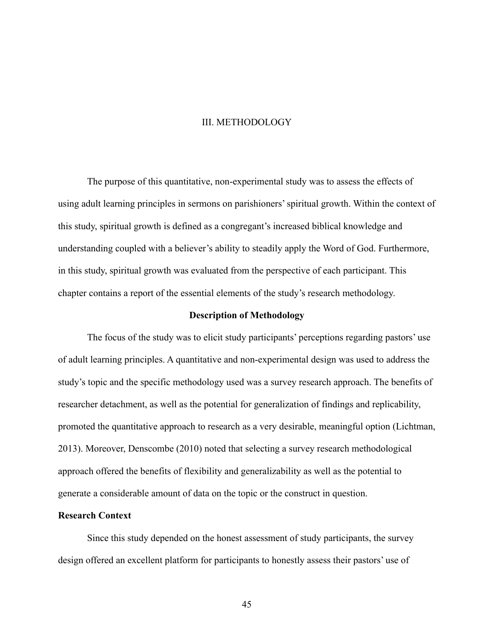#### III. METHODOLOGY

The purpose of this quantitative, non-experimental study was to assess the effects of using adult learning principles in sermons on parishioners' spiritual growth. Within the context of this study, spiritual growth is defined as a congregant's increased biblical knowledge and understanding coupled with a believer's ability to steadily apply the Word of God. Furthermore, in this study, spiritual growth was evaluated from the perspective of each participant. This chapter contains a report of the essential elements of the study's research methodology.

### **Description of Methodology**

The focus of the study was to elicit study participants' perceptions regarding pastors' use of adult learning principles. A quantitative and non-experimental design was used to address the study's topic and the specific methodology used was a survey research approach. The benefits of researcher detachment, as well as the potential for generalization of findings and replicability, promoted the quantitative approach to research as a very desirable, meaningful option (Lichtman, 2013). Moreover, Denscombe (2010) noted that selecting a survey research methodological approach offered the benefits of flexibility and generalizability as well as the potential to generate a considerable amount of data on the topic or the construct in question.

# **Research Context**

Since this study depended on the honest assessment of study participants, the survey design offered an excellent platform for participants to honestly assess their pastors' use of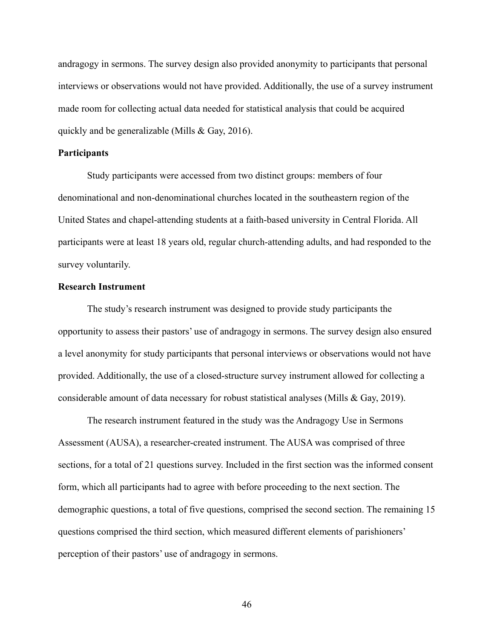andragogy in sermons. The survey design also provided anonymity to participants that personal interviews or observations would not have provided. Additionally, the use of a survey instrument made room for collecting actual data needed for statistical analysis that could be acquired quickly and be generalizable (Mills & Gay, 2016).

#### **Participants**

Study participants were accessed from two distinct groups: members of four denominational and non-denominational churches located in the southeastern region of the United States and chapel-attending students at a faith-based university in Central Florida. All participants were at least 18 years old, regular church-attending adults, and had responded to the survey voluntarily.

## **Research Instrument**

The study's research instrument was designed to provide study participants the opportunity to assess their pastors' use of andragogy in sermons. The survey design also ensured a level anonymity for study participants that personal interviews or observations would not have provided. Additionally, the use of a closed-structure survey instrument allowed for collecting a considerable amount of data necessary for robust statistical analyses (Mills & Gay, 2019).

The research instrument featured in the study was the Andragogy Use in Sermons Assessment (AUSA), a researcher-created instrument. The AUSA was comprised of three sections, for a total of 21 questions survey. Included in the first section was the informed consent form, which all participants had to agree with before proceeding to the next section. The demographic questions, a total of five questions, comprised the second section. The remaining 15 questions comprised the third section, which measured different elements of parishioners' perception of their pastors' use of andragogy in sermons.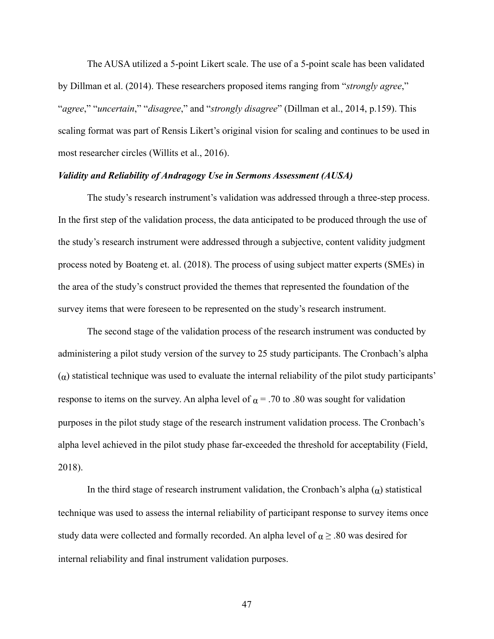The AUSA utilized a 5-point Likert scale. The use of a 5-point scale has been validated by Dillman et al. (2014). These researchers proposed items ranging from "*strongly agree*," "*agree*," "*uncertain*," "*disagree*," and "*strongly disagree*" (Dillman et al., 2014, p.159). This scaling format was part of Rensis Likert's original vision for scaling and continues to be used in most researcher circles (Willits et al., 2016).

#### *Validity and Reliability of Andragogy Use in Sermons Assessment (AUSA)*

The study's research instrument's validation was addressed through a three-step process. In the first step of the validation process, the data anticipated to be produced through the use of the study's research instrument were addressed through a subjective, content validity judgment process noted by Boateng et. al. (2018). The process of using subject matter experts (SMEs) in the area of the study's construct provided the themes that represented the foundation of the survey items that were foreseen to be represented on the study's research instrument.

The second stage of the validation process of the research instrument was conducted by administering a pilot study version of the survey to 25 study participants. The Cronbach's alpha  $(\alpha)$  statistical technique was used to evaluate the internal reliability of the pilot study participants' response to items on the survey. An alpha level of  $\alpha$  = .70 to .80 was sought for validation purposes in the pilot study stage of the research instrument validation process. The Cronbach's alpha level achieved in the pilot study phase far-exceeded the threshold for acceptability (Field, 2018).

In the third stage of research instrument validation, the Cronbach's alpha  $(\alpha)$  statistical technique was used to assess the internal reliability of participant response to survey items once study data were collected and formally recorded. An alpha level of  $\alpha \geq .80$  was desired for internal reliability and final instrument validation purposes.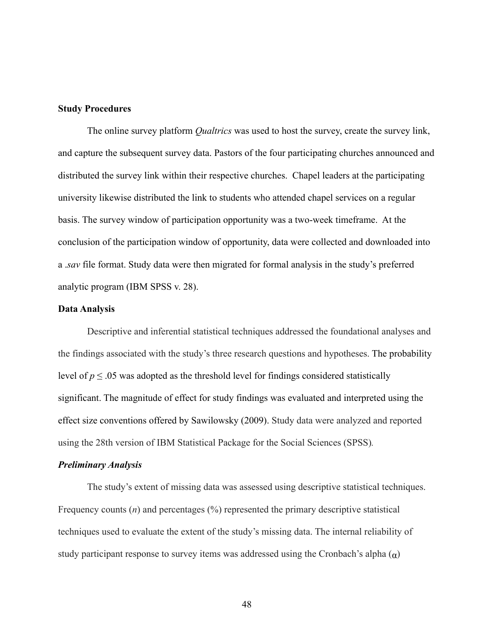# **Study Procedures**

The online survey platform *Qualtrics* was used to host the survey, create the survey link, and capture the subsequent survey data. Pastors of the four participating churches announced and distributed the survey link within their respective churches. Chapel leaders at the participating university likewise distributed the link to students who attended chapel services on a regular basis. The survey window of participation opportunity was a two-week timeframe. At the conclusion of the participation window of opportunity, data were collected and downloaded into a .*sav* file format. Study data were then migrated for formal analysis in the study's preferred analytic program (IBM SPSS v. 28).

## **Data Analysis**

Descriptive and inferential statistical techniques addressed the foundational analyses and the findings associated with the study's three research questions and hypotheses. The probability level of  $p \le 0.05$  was adopted as the threshold level for findings considered statistically significant. The magnitude of effect for study findings was evaluated and interpreted using the effect size conventions offered by Sawilowsky (2009). Study data were analyzed and reported using the 28th version of IBM Statistical Package for the Social Sciences (SPSS)*.*

#### *Preliminary Analysis*

The study's extent of missing data was assessed using descriptive statistical techniques. Frequency counts (*n*) and percentages (%) represented the primary descriptive statistical techniques used to evaluate the extent of the study's missing data. The internal reliability of study participant response to survey items was addressed using the Cronbach's alpha  $(\alpha)$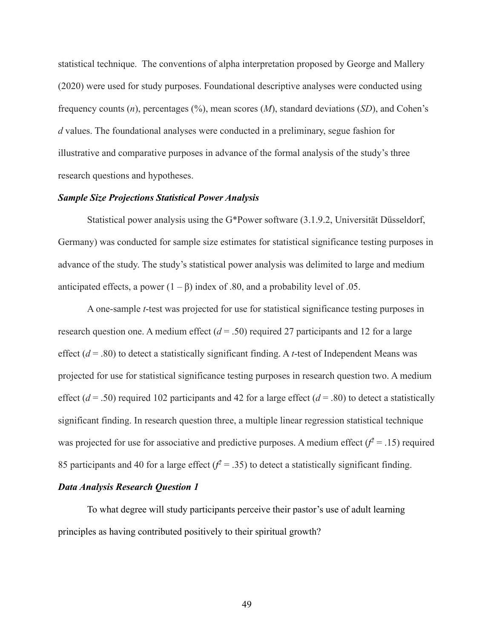statistical technique. The conventions of alpha interpretation proposed by George and Mallery (2020) were used for study purposes. Foundational descriptive analyses were conducted using frequency counts (*n*), percentages (%), mean scores (*M*), standard deviations (*SD*), and Cohen's *d* values. The foundational analyses were conducted in a preliminary, segue fashion for illustrative and comparative purposes in advance of the formal analysis of the study's three research questions and hypotheses.

### *Sample Size Projections Statistical Power Analysis*

Statistical power analysis using the G\*Power software (3.1.9.2, Universität Düsseldorf, Germany) was conducted for sample size estimates for statistical significance testing purposes in advance of the study. The study's statistical power analysis was delimited to large and medium anticipated effects, a power  $(1 – β)$  index of .80, and a probability level of .05.

A one-sample *t*-test was projected for use for statistical significance testing purposes in research question one. A medium effect  $(d = .50)$  required 27 participants and 12 for a large effect (*d* = .80) to detect a statistically significant finding. A *t*-test of Independent Means was projected for use for statistical significance testing purposes in research question two. A medium effect ( $d = .50$ ) required 102 participants and 42 for a large effect ( $d = .80$ ) to detect a statistically significant finding. In research question three, a multiple linear regression statistical technique was projected for use for associative and predictive purposes. A medium effect  $(f^2 = .15)$  required 85 participants and 40 for a large effect  $(f^2 = .35)$  to detect a statistically significant finding.

# *Data Analysis Research Question 1*

To what degree will study participants perceive their pastor's use of adult learning principles as having contributed positively to their spiritual growth?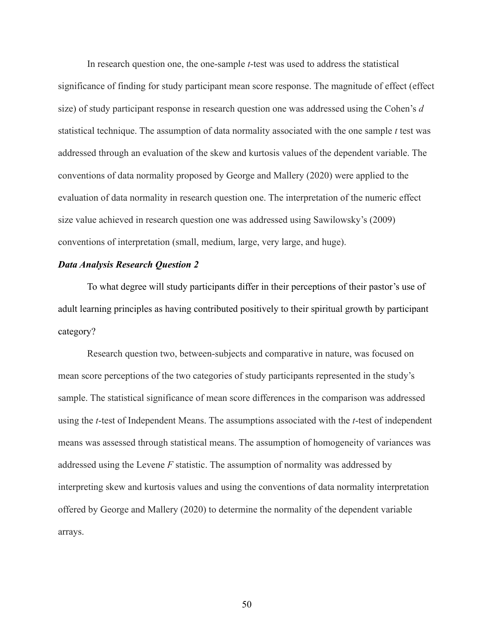In research question one, the one-sample *t*-test was used to address the statistical significance of finding for study participant mean score response. The magnitude of effect (effect size) of study participant response in research question one was addressed using the Cohen's *d*  statistical technique. The assumption of data normality associated with the one sample *t* test was addressed through an evaluation of the skew and kurtosis values of the dependent variable. The conventions of data normality proposed by George and Mallery (2020) were applied to the evaluation of data normality in research question one. The interpretation of the numeric effect size value achieved in research question one was addressed using Sawilowsky's (2009) conventions of interpretation (small, medium, large, very large, and huge).

## *Data Analysis Research Question 2*

To what degree will study participants differ in their perceptions of their pastor's use of adult learning principles as having contributed positively to their spiritual growth by participant category?

Research question two, between-subjects and comparative in nature, was focused on mean score perceptions of the two categories of study participants represented in the study's sample. The statistical significance of mean score differences in the comparison was addressed using the *t*-test of Independent Means. The assumptions associated with the *t*-test of independent means was assessed through statistical means. The assumption of homogeneity of variances was addressed using the Levene *F* statistic. The assumption of normality was addressed by interpreting skew and kurtosis values and using the conventions of data normality interpretation offered by George and Mallery (2020) to determine the normality of the dependent variable arrays.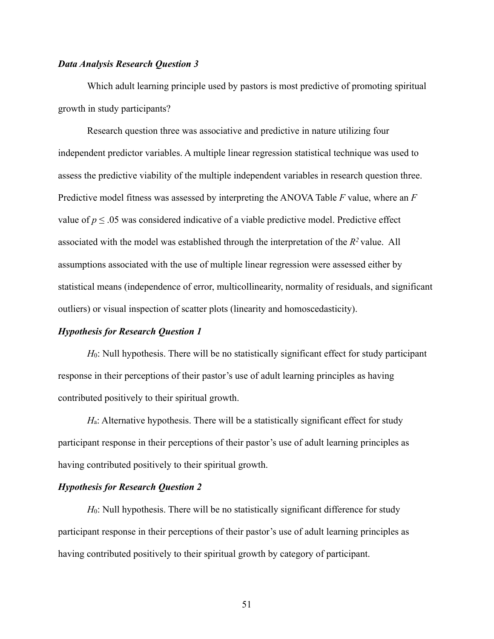# *Data Analysis Research Question 3*

Which adult learning principle used by pastors is most predictive of promoting spiritual growth in study participants?

Research question three was associative and predictive in nature utilizing four independent predictor variables. A multiple linear regression statistical technique was used to assess the predictive viability of the multiple independent variables in research question three. Predictive model fitness was assessed by interpreting the ANOVA Table *F* value, where an *F*  value of  $p \le 0.05$  was considered indicative of a viable predictive model. Predictive effect associated with the model was established through the interpretation of the *R2* value. All assumptions associated with the use of multiple linear regression were assessed either by statistical means (independence of error, multicollinearity, normality of residuals, and significant outliers) or visual inspection of scatter plots (linearity and homoscedasticity).

#### *Hypothesis for Research Question 1*

*H*0: Null hypothesis. There will be no statistically significant effect for study participant response in their perceptions of their pastor's use of adult learning principles as having contributed positively to their spiritual growth.

*H*<sub>a</sub>: Alternative hypothesis. There will be a statistically significant effect for study participant response in their perceptions of their pastor's use of adult learning principles as having contributed positively to their spiritual growth.

#### *Hypothesis for Research Question 2*

*H*<sub>0</sub>: Null hypothesis. There will be no statistically significant difference for study participant response in their perceptions of their pastor's use of adult learning principles as having contributed positively to their spiritual growth by category of participant.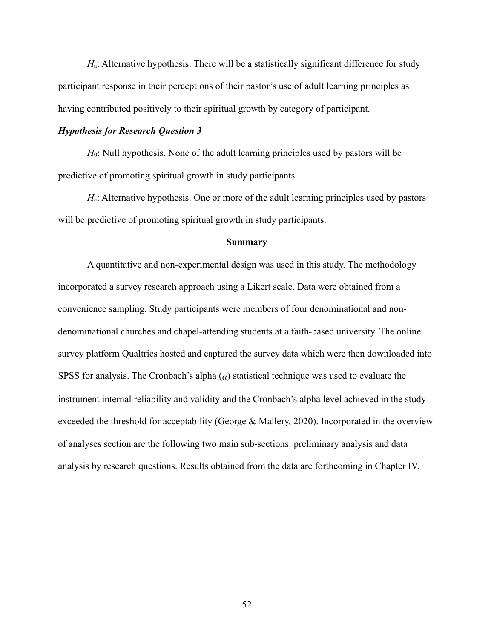*H*a: Alternative hypothesis. There will be a statistically significant difference for study participant response in their perceptions of their pastor's use of adult learning principles as having contributed positively to their spiritual growth by category of participant.

### *Hypothesis for Research Question 3*

*H*<sub>0</sub>: Null hypothesis. None of the adult learning principles used by pastors will be predictive of promoting spiritual growth in study participants.

*H*a: Alternative hypothesis. One or more of the adult learning principles used by pastors will be predictive of promoting spiritual growth in study participants.

#### **Summary**

A quantitative and non-experimental design was used in this study. The methodology incorporated a survey research approach using a Likert scale. Data were obtained from a convenience sampling. Study participants were members of four denominational and nondenominational churches and chapel-attending students at a faith-based university. The online survey platform Qualtrics hosted and captured the survey data which were then downloaded into SPSS for analysis. The Cronbach's alpha  $(\alpha)$  statistical technique was used to evaluate the instrument internal reliability and validity and the Cronbach's alpha level achieved in the study exceeded the threshold for acceptability (George & Mallery, 2020). Incorporated in the overview of analyses section are the following two main sub-sections: preliminary analysis and data analysis by research questions. Results obtained from the data are forthcoming in Chapter IV.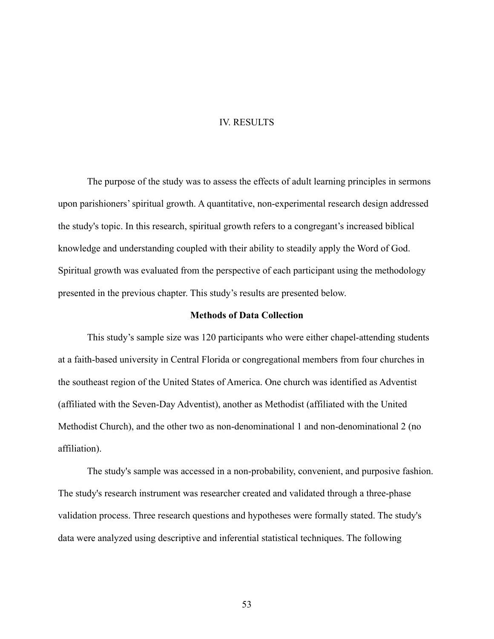### IV. RESULTS

The purpose of the study was to assess the effects of adult learning principles in sermons upon parishioners' spiritual growth. A quantitative, non-experimental research design addressed the study's topic. In this research, spiritual growth refers to a congregant's increased biblical knowledge and understanding coupled with their ability to steadily apply the Word of God. Spiritual growth was evaluated from the perspective of each participant using the methodology presented in the previous chapter. This study's results are presented below.

# **Methods of Data Collection**

This study's sample size was 120 participants who were either chapel-attending students at a faith-based university in Central Florida or congregational members from four churches in the southeast region of the United States of America. One church was identified as Adventist (affiliated with the Seven-Day Adventist), another as Methodist (affiliated with the United Methodist Church), and the other two as non-denominational 1 and non-denominational 2 (no affiliation).

The study's sample was accessed in a non-probability, convenient, and purposive fashion. The study's research instrument was researcher created and validated through a three-phase validation process. Three research questions and hypotheses were formally stated. The study's data were analyzed using descriptive and inferential statistical techniques. The following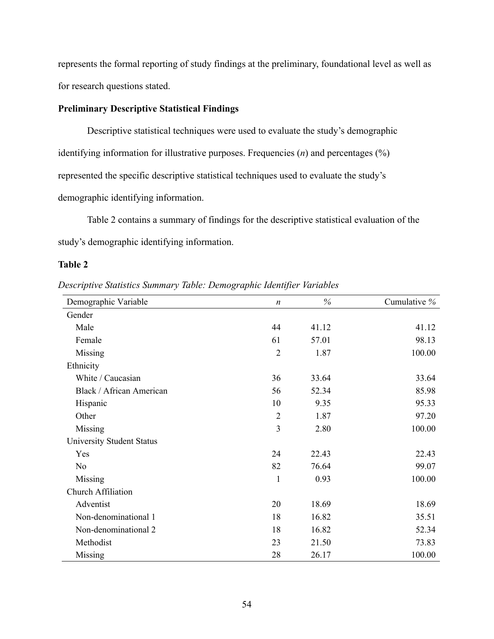represents the formal reporting of study findings at the preliminary, foundational level as well as for research questions stated.

# **Preliminary Descriptive Statistical Findings**

Descriptive statistical techniques were used to evaluate the study's demographic identifying information for illustrative purposes. Frequencies (*n*) and percentages (%) represented the specific descriptive statistical techniques used to evaluate the study's demographic identifying information.

Table 2 contains a summary of findings for the descriptive statistical evaluation of the study's demographic identifying information.

# **Table 2**

*Descriptive Statistics Summary Table: Demographic Identifier Variables*

| Demographic Variable      | $\boldsymbol{n}$ | $\%$  | Cumulative % |
|---------------------------|------------------|-------|--------------|
| Gender                    |                  |       |              |
| Male                      | 44               | 41.12 | 41.12        |
| Female                    | 61               | 57.01 | 98.13        |
| Missing                   | $\overline{2}$   | 1.87  | 100.00       |
| Ethnicity                 |                  |       |              |
| White / Caucasian         | 36               | 33.64 | 33.64        |
| Black / African American  | 56               | 52.34 | 85.98        |
| Hispanic                  | 10               | 9.35  | 95.33        |
| Other                     | $\overline{2}$   | 1.87  | 97.20        |
| Missing                   | 3                | 2.80  | 100.00       |
| University Student Status |                  |       |              |
| Yes                       | 24               | 22.43 | 22.43        |
| N <sub>o</sub>            | 82               | 76.64 | 99.07        |
| Missing                   | $\mathbf 1$      | 0.93  | 100.00       |
| Church Affiliation        |                  |       |              |
| Adventist                 | 20               | 18.69 | 18.69        |
| Non-denominational 1      | 18               | 16.82 | 35.51        |
| Non-denominational 2      | 18               | 16.82 | 52.34        |
| Methodist                 | 23               | 21.50 | 73.83        |
| Missing                   | 28               | 26.17 | 100.00       |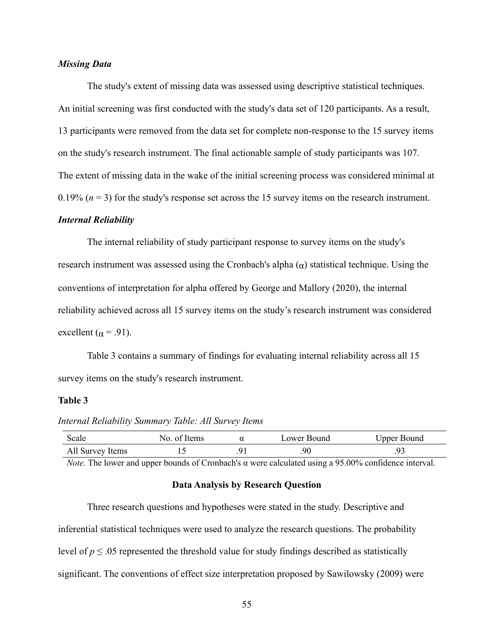# *Missing Data*

The study's extent of missing data was assessed using descriptive statistical techniques. An initial screening was first conducted with the study's data set of 120 participants. As a result, 13 participants were removed from the data set for complete non-response to the 15 survey items on the study's research instrument. The final actionable sample of study participants was 107. The extent of missing data in the wake of the initial screening process was considered minimal at  $0.19\%$  ( $n = 3$ ) for the study's response set across the 15 survey items on the research instrument.

### *Internal Reliability*

The internal reliability of study participant response to survey items on the study's research instrument was assessed using the Cronbach's alpha  $(\alpha)$  statistical technique. Using the conventions of interpretation for alpha offered by George and Mallory (2020), the internal reliability achieved across all 15 survey items on the study's research instrument was considered excellent ( $\alpha$  = .91).

Table 3 contains a summary of findings for evaluating internal reliability across all 15 survey items on the study's research instrument.

# **Table 3**

*Internal Reliability Summary Table: All Survey Items*

| Scale            | Items<br>-01 | ower Bound | Jpper Bound |
|------------------|--------------|------------|-------------|
| All Survey Items |              | .90        | ر ر.        |

*Note.* The lower and upper bounds of Cronbach's α were calculated using a 95.00% confidence interval.

### **Data Analysis by Research Question**

| Three research questions and hypotheses were stated in the study. Descriptive and                    |
|------------------------------------------------------------------------------------------------------|
| inferential statistical techniques were used to analyze the research questions. The probability      |
| level of $p \leq 0.05$ represented the threshold value for study findings described as statistically |
| significant. The conventions of effect size interpretation proposed by Sawilowsky (2009) were        |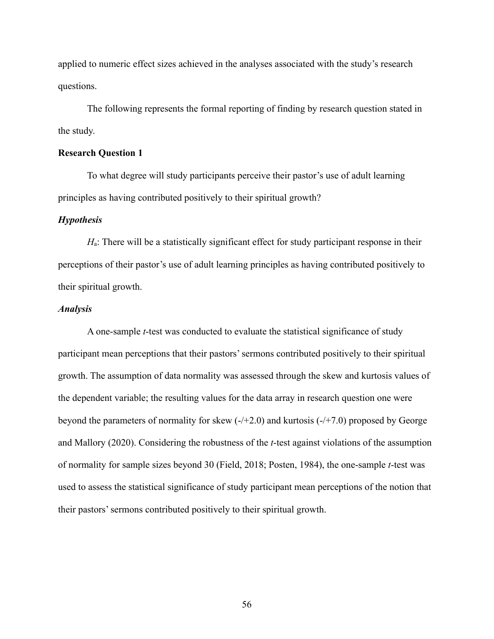applied to numeric effect sizes achieved in the analyses associated with the study's research questions.

The following represents the formal reporting of finding by research question stated in the study.

### **Research Question 1**

To what degree will study participants perceive their pastor's use of adult learning principles as having contributed positively to their spiritual growth?

### *Hypothesis*

*H*a: There will be a statistically significant effect for study participant response in their perceptions of their pastor's use of adult learning principles as having contributed positively to their spiritual growth.

# *Analysis*

A one-sample *t*-test was conducted to evaluate the statistical significance of study participant mean perceptions that their pastors'sermons contributed positively to their spiritual growth. The assumption of data normality was assessed through the skew and kurtosis values of the dependent variable; the resulting values for the data array in research question one were beyond the parameters of normality for skew  $(-/+2.0)$  and kurtosis  $(-/+7.0)$  proposed by George and Mallory (2020). Considering the robustness of the *t*-test against violations of the assumption of normality for sample sizes beyond 30 (Field, 2018; Posten, 1984), the one-sample *t*-test was used to assess the statistical significance of study participant mean perceptions of the notion that their pastors'sermons contributed positively to their spiritual growth.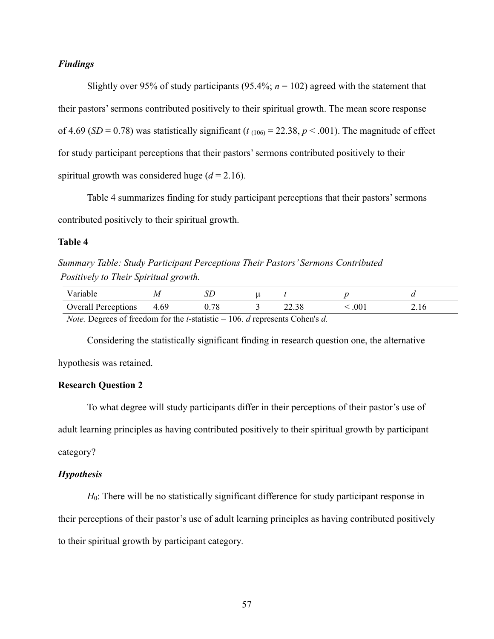# *Findings*

Slightly over 95% of study participants (95.4%;  $n = 102$ ) agreed with the statement that their pastors'sermons contributed positively to their spiritual growth. The mean score response of 4.69 (*SD* = 0.78) was statistically significant ( $t_{(106)}$  = 22.38,  $p < .001$ ). The magnitude of effect for study participant perceptions that their pastors'sermons contributed positively to their spiritual growth was considered huge  $(d = 2.16)$ .

Table 4 summarizes finding for study participant perceptions that their pastors'sermons contributed positively to their spiritual growth.

# **Table 4**

*Summary Table: Study Participant Perceptions Their Pastors' Sermons Contributed Positively to Their Spiritual growth.*

| Variah.                                                                                                                                                                                                                                                                                                                             |      |            |  |       |                  |  |
|-------------------------------------------------------------------------------------------------------------------------------------------------------------------------------------------------------------------------------------------------------------------------------------------------------------------------------------|------|------------|--|-------|------------------|--|
| <b>Overall Perceptions</b>                                                                                                                                                                                                                                                                                                          | 4.69 | $\rm 0.78$ |  | 22.38 | .00 <sub>1</sub> |  |
| $\mathcal{M}_{\mathcal{A}}$ . $\mathbf{D}_{\mathcal{A}}$ and $\mathcal{L}_{\mathcal{A}}$ is the solution of $\mathcal{M}_{\mathcal{A}}$ is the solution of $\mathcal{M}_{\mathcal{A}}$ is the solution of $\mathcal{A}_{\mathcal{A}}$ is the solution of $\mathcal{A}_{\mathcal{A}}$ is the solution of $\mathcal{A}_{\mathcal{A}}$ |      |            |  |       |                  |  |

*Note.* Degrees of freedom for the *t*-statistic = 106. *d* represents Cohen's *d.*

Considering the statistically significant finding in research question one, the alternative

hypothesis was retained.

# **Research Question 2**

To what degree will study participants differ in their perceptions of their pastor's use of adult learning principles as having contributed positively to their spiritual growth by participant category?

# *Hypothesis*

*H*<sub>0</sub>: There will be no statistically significant difference for study participant response in their perceptions of their pastor's use of adult learning principles as having contributed positively to their spiritual growth by participant category*.*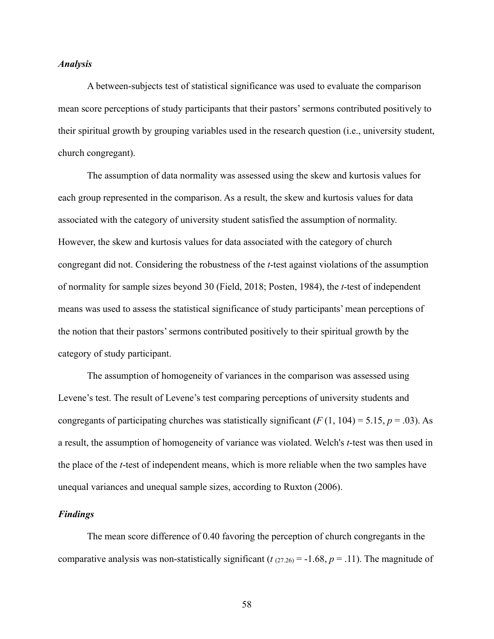# *Analysis*

A between-subjects test of statistical significance was used to evaluate the comparison mean score perceptions of study participants that their pastors'sermons contributed positively to their spiritual growth by grouping variables used in the research question (i.e., university student, church congregant).

The assumption of data normality was assessed using the skew and kurtosis values for each group represented in the comparison. As a result, the skew and kurtosis values for data associated with the category of university student satisfied the assumption of normality. However, the skew and kurtosis values for data associated with the category of church congregant did not. Considering the robustness of the *t*-test against violations of the assumption of normality for sample sizes beyond 30 (Field, 2018; Posten, 1984), the *t*-test of independent means was used to assess the statistical significance of study participants' mean perceptions of the notion that their pastors'sermons contributed positively to their spiritual growth by the category of study participant.

The assumption of homogeneity of variances in the comparison was assessed using Levene's test. The result of Levene's test comparing perceptions of university students and congregants of participating churches was statistically significant  $(F(1, 104) = 5.15, p = .03)$ . As a result, the assumption of homogeneity of variance was violated. Welch's *t*-test was then used in the place of the *t*-test of independent means, which is more reliable when the two samples have unequal variances and unequal sample sizes, according to Ruxton (2006).

# *Findings*

The mean score difference of 0.40 favoring the perception of church congregants in the comparative analysis was non-statistically significant ( $t_{(27.26)} = -1.68$ ,  $p = .11$ ). The magnitude of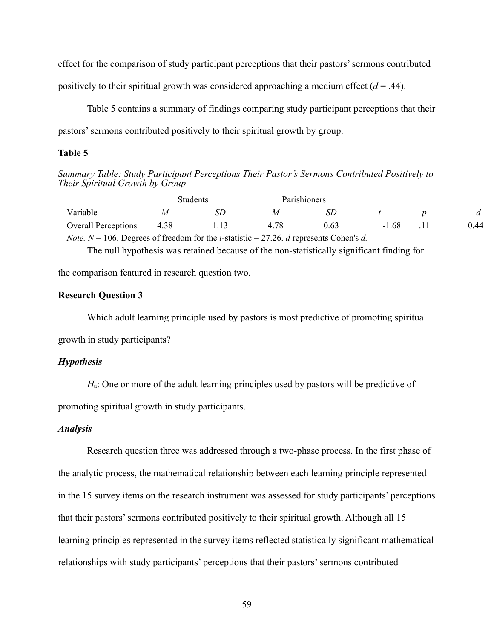effect for the comparison of study participant perceptions that their pastors'sermons contributed

positively to their spiritual growth was considered approaching a medium effect  $(d = .44)$ .

Table 5 contains a summary of findings comparing study participant perceptions that their pastors'sermons contributed positively to their spiritual growth by group.

### **Table 5**

*Summary Table: Study Participant Perceptions Their Pastor's Sermons Contributed Positively to Their Spiritual Growth by Group*

|                            |                             | Parishioners<br>Students |           |      |         |   |          |
|----------------------------|-----------------------------|--------------------------|-----------|------|---------|---|----------|
| Variable                   |                             | IJΓ                      | М         | SL   |         |   |          |
| <b>Overall Perceptions</b> | 4.38                        | .                        |           | 0.63 | $-1.68$ | . | $0.44\,$ |
| $\overline{\phantom{a}}$   | $\sim$ $\sim$ $\sim$ $\sim$ | $\sim$ $\sim$ $\sim$     | $- - - -$ | .    |         |   |          |

*Note. N* = 106. Degrees of freedom for the *t*-statistic = 27.26. *d* represents Cohen's *d.*

The null hypothesis was retained because of the non-statistically significant finding for

the comparison featured in research question two.

# **Research Question 3**

Which adult learning principle used by pastors is most predictive of promoting spiritual

growth in study participants?

# *Hypothesis*

*H*<sub>a</sub>: One or more of the adult learning principles used by pastors will be predictive of

promoting spiritual growth in study participants.

# *Analysis*

Research question three was addressed through a two-phase process. In the first phase of the analytic process, the mathematical relationship between each learning principle represented in the 15 survey items on the research instrument was assessed for study participants' perceptions that their pastors'sermons contributed positively to their spiritual growth. Although all 15 learning principles represented in the survey items reflected statistically significant mathematical relationships with study participants' perceptions that their pastors'sermons contributed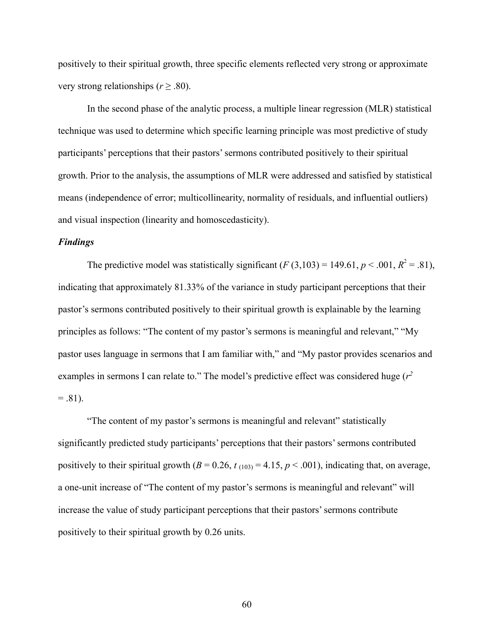positively to their spiritual growth, three specific elements reflected very strong or approximate very strong relationships ( $r \geq .80$ ).

In the second phase of the analytic process, a multiple linear regression (MLR) statistical technique was used to determine which specific learning principle was most predictive of study participants' perceptions that their pastors'sermons contributed positively to their spiritual growth. Prior to the analysis, the assumptions of MLR were addressed and satisfied by statistical means (independence of error; multicollinearity, normality of residuals, and influential outliers) and visual inspection (linearity and homoscedasticity).

# *Findings*

The predictive model was statistically significant  $(F(3,103) = 149.61, p < .001, R^2 = .81)$ , indicating that approximately 81.33% of the variance in study participant perceptions that their pastor's sermons contributed positively to their spiritual growth is explainable by the learning principles as follows: "The content of my pastor's sermons is meaningful and relevant," "My pastor uses language in sermons that I am familiar with," and "My pastor provides scenarios and examples in sermons I can relate to." The model's predictive effect was considered huge (*r2*   $= .81$ ).

"The content of my pastor's sermons is meaningful and relevant" statistically significantly predicted study participants' perceptions that their pastors'sermons contributed positively to their spiritual growth  $(B = 0.26, t_{(103)} = 4.15, p < .001)$ , indicating that, on average, a one-unit increase of "The content of my pastor's sermons is meaningful and relevant" will increase the value of study participant perceptions that their pastors'sermons contribute positively to their spiritual growth by 0.26 units.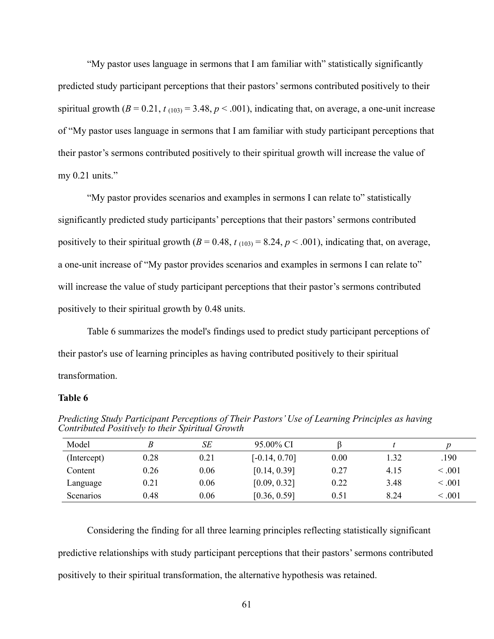"My pastor uses language in sermons that I am familiar with" statistically significantly predicted study participant perceptions that their pastors'sermons contributed positively to their spiritual growth  $(B = 0.21, t_{(103)} = 3.48, p < .001)$ , indicating that, on average, a one-unit increase of "My pastor uses language in sermons that I am familiar with study participant perceptions that their pastor's sermons contributed positively to their spiritual growth will increase the value of my  $0.21$  units."

"My pastor provides scenarios and examples in sermons I can relate to" statistically significantly predicted study participants' perceptions that their pastors'sermons contributed positively to their spiritual growth  $(B = 0.48, t_{(103)} = 8.24, p < .001)$ , indicating that, on average, a one-unit increase of "My pastor provides scenarios and examples in sermons I can relate to" will increase the value of study participant perceptions that their pastor's sermons contributed positively to their spiritual growth by 0.48 units.

Table 6 summarizes the model's findings used to predict study participant perceptions of their pastor's use of learning principles as having contributed positively to their spiritual transformation.

#### **Table 6**

| Model       | B    | SE   | 95.00% CI       |      |      |         |
|-------------|------|------|-----------------|------|------|---------|
| (Intercept) | 0.28 | 0.21 | $[-0.14, 0.70]$ | 0.00 | 1.32 | .190    |
| Content     | 0.26 | 0.06 | [0.14, 0.39]    | 0.27 | 4.15 | < 0.001 |
| Language    | 0.21 | 0.06 | [0.09, 0.32]    | 0.22 | 3.48 | < 0.001 |
| Scenarios   | 0.48 | 0.06 | [0.36, 0.59]    | 0.51 | 8.24 | < 0.001 |

*Predicting Study Participant Perceptions of Their Pastors'Use of Learning Principles as having Contributed Positively to their Spiritual Growth*

Considering the finding for all three learning principles reflecting statistically significant predictive relationships with study participant perceptions that their pastors'sermons contributed positively to their spiritual transformation, the alternative hypothesis was retained.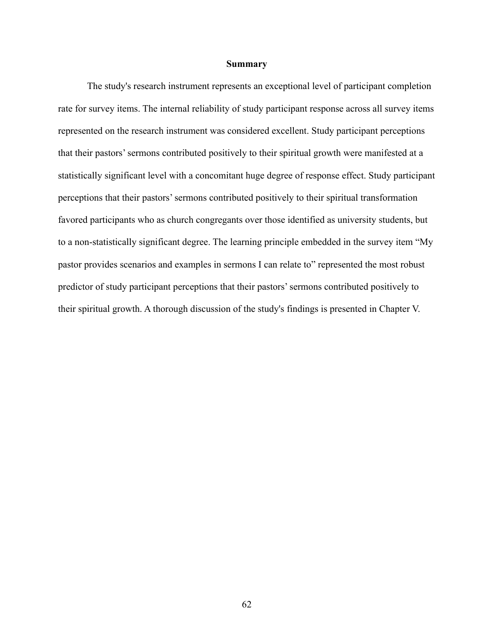#### **Summary**

The study's research instrument represents an exceptional level of participant completion rate for survey items. The internal reliability of study participant response across all survey items represented on the research instrument was considered excellent. Study participant perceptions that their pastors'sermons contributed positively to their spiritual growth were manifested at a statistically significant level with a concomitant huge degree of response effect. Study participant perceptions that their pastors'sermons contributed positively to their spiritual transformation favored participants who as church congregants over those identified as university students, but to a non-statistically significant degree. The learning principle embedded in the survey item "My pastor provides scenarios and examples in sermons I can relate to" represented the most robust predictor of study participant perceptions that their pastors'sermons contributed positively to their spiritual growth. A thorough discussion of the study's findings is presented in Chapter V.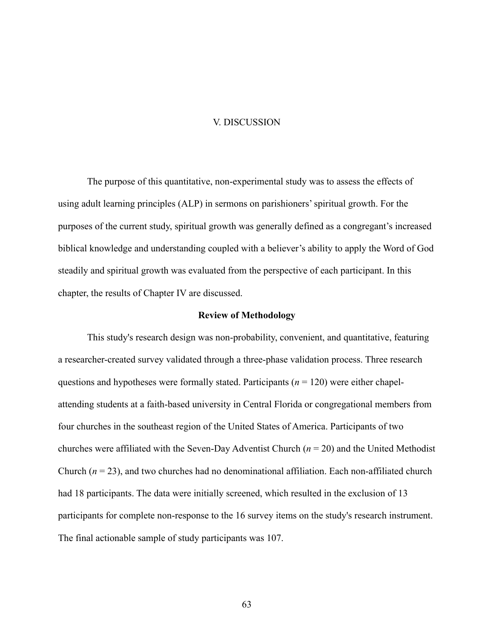#### V. DISCUSSION

The purpose of this quantitative, non-experimental study was to assess the effects of using adult learning principles (ALP) in sermons on parishioners' spiritual growth. For the purposes of the current study, spiritual growth was generally defined as a congregant's increased biblical knowledge and understanding coupled with a believer's ability to apply the Word of God steadily and spiritual growth was evaluated from the perspective of each participant. In this chapter, the results of Chapter IV are discussed.

#### **Review of Methodology**

This study's research design was non-probability, convenient, and quantitative, featuring a researcher-created survey validated through a three-phase validation process. Three research questions and hypotheses were formally stated. Participants (*n* = 120) were either chapelattending students at a faith-based university in Central Florida or congregational members from four churches in the southeast region of the United States of America. Participants of two churches were affiliated with the Seven-Day Adventist Church (*n* = 20) and the United Methodist Church  $(n = 23)$ , and two churches had no denominational affiliation. Each non-affiliated church had 18 participants. The data were initially screened, which resulted in the exclusion of 13 participants for complete non-response to the 16 survey items on the study's research instrument. The final actionable sample of study participants was 107.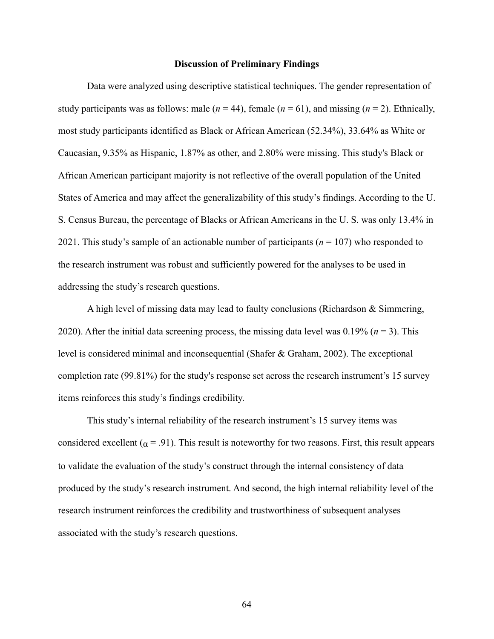#### **Discussion of Preliminary Findings**

Data were analyzed using descriptive statistical techniques. The gender representation of study participants was as follows: male  $(n = 44)$ , female  $(n = 61)$ , and missing  $(n = 2)$ . Ethnically, most study participants identified as Black or African American (52.34%), 33.64% as White or Caucasian, 9.35% as Hispanic, 1.87% as other, and 2.80% were missing. This study's Black or African American participant majority is not reflective of the overall population of the United States of America and may affect the generalizability of this study's findings. According to the U. S. Census Bureau, the percentage of Blacks or African Americans in the U. S. was only 13.4% in 2021. This study's sample of an actionable number of participants (*n* = 107) who responded to the research instrument was robust and sufficiently powered for the analyses to be used in addressing the study's research questions.

A high level of missing data may lead to faulty conclusions (Richardson & Simmering, 2020). After the initial data screening process, the missing data level was 0.19% (*n* = 3). This level is considered minimal and inconsequential (Shafer & Graham, 2002). The exceptional completion rate (99.81%) for the study's response set across the research instrument's 15 survey items reinforces this study's findings credibility.

This study's internal reliability of the research instrument's 15 survey items was considered excellent ( $\alpha$  = .91). This result is noteworthy for two reasons. First, this result appears to validate the evaluation of the study's construct through the internal consistency of data produced by the study's research instrument. And second, the high internal reliability level of the research instrument reinforces the credibility and trustworthiness of subsequent analyses associated with the study's research questions.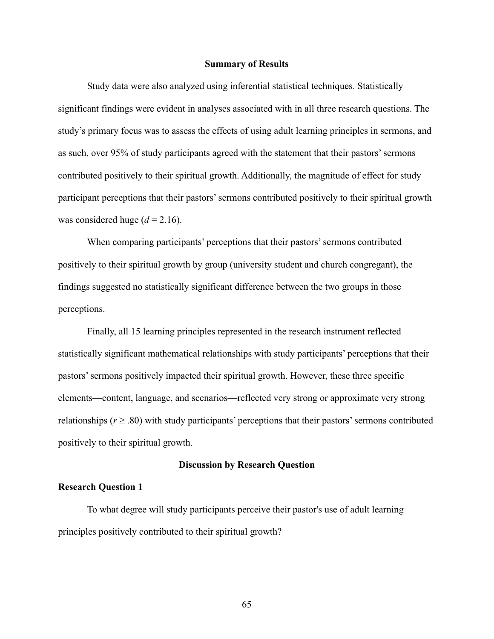#### **Summary of Results**

Study data were also analyzed using inferential statistical techniques. Statistically significant findings were evident in analyses associated with in all three research questions. The study's primary focus was to assess the effects of using adult learning principles in sermons, and as such, over 95% of study participants agreed with the statement that their pastors'sermons contributed positively to their spiritual growth. Additionally, the magnitude of effect for study participant perceptions that their pastors'sermons contributed positively to their spiritual growth was considered huge  $(d = 2.16)$ .

When comparing participants' perceptions that their pastors' sermons contributed positively to their spiritual growth by group (university student and church congregant), the findings suggested no statistically significant difference between the two groups in those perceptions.

Finally, all 15 learning principles represented in the research instrument reflected statistically significant mathematical relationships with study participants' perceptions that their pastors'sermons positively impacted their spiritual growth. However, these three specific elements—content, language, and scenarios—reflected very strong or approximate very strong relationships ( $r \geq .80$ ) with study participants' perceptions that their pastors' sermons contributed positively to their spiritual growth.

#### **Discussion by Research Question**

#### **Research Question 1**

To what degree will study participants perceive their pastor's use of adult learning principles positively contributed to their spiritual growth?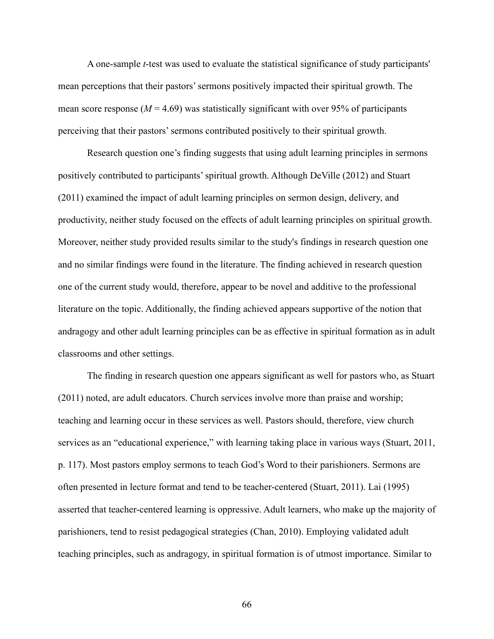A one-sample *t*-test was used to evaluate the statistical significance of study participants' mean perceptions that their pastors'sermons positively impacted their spiritual growth. The mean score response  $(M = 4.69)$  was statistically significant with over 95% of participants perceiving that their pastors'sermons contributed positively to their spiritual growth.

Research question one's finding suggests that using adult learning principles in sermons positively contributed to participants' spiritual growth. Although DeVille (2012) and Stuart (2011) examined the impact of adult learning principles on sermon design, delivery, and productivity, neither study focused on the effects of adult learning principles on spiritual growth. Moreover, neither study provided results similar to the study's findings in research question one and no similar findings were found in the literature. The finding achieved in research question one of the current study would, therefore, appear to be novel and additive to the professional literature on the topic. Additionally, the finding achieved appears supportive of the notion that andragogy and other adult learning principles can be as effective in spiritual formation as in adult classrooms and other settings.

The finding in research question one appears significant as well for pastors who, as Stuart (2011) noted, are adult educators. Church services involve more than praise and worship; teaching and learning occur in these services as well. Pastors should, therefore, view church services as an "educational experience," with learning taking place in various ways (Stuart, 2011, p. 117). Most pastors employ sermons to teach God's Word to their parishioners. Sermons are often presented in lecture format and tend to be teacher-centered (Stuart, 2011). Lai (1995) asserted that teacher-centered learning is oppressive. Adult learners, who make up the majority of parishioners, tend to resist pedagogical strategies (Chan, 2010). Employing validated adult teaching principles, such as andragogy, in spiritual formation is of utmost importance. Similar to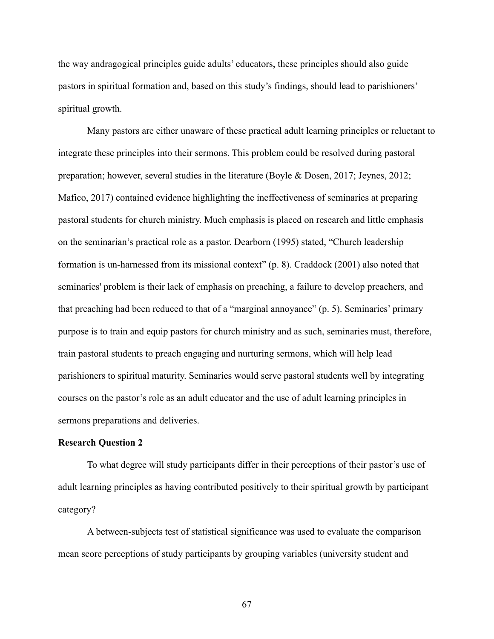the way andragogical principles guide adults' educators, these principles should also guide pastors in spiritual formation and, based on this study's findings, should lead to parishioners' spiritual growth.

Many pastors are either unaware of these practical adult learning principles or reluctant to integrate these principles into their sermons. This problem could be resolved during pastoral preparation; however, several studies in the literature (Boyle & Dosen, 2017; Jeynes, 2012; Mafico, 2017) contained evidence highlighting the ineffectiveness of seminaries at preparing pastoral students for church ministry. Much emphasis is placed on research and little emphasis on the seminarian's practical role as a pastor. Dearborn (1995) stated, "Church leadership formation is un-harnessed from its missional context" (p. 8). Craddock (2001) also noted that seminaries' problem is their lack of emphasis on preaching, a failure to develop preachers, and that preaching had been reduced to that of a "marginal annoyance" (p. 5). Seminaries' primary purpose is to train and equip pastors for church ministry and as such, seminaries must, therefore, train pastoral students to preach engaging and nurturing sermons, which will help lead parishioners to spiritual maturity. Seminaries would serve pastoral students well by integrating courses on the pastor's role as an adult educator and the use of adult learning principles in sermons preparations and deliveries.

#### **Research Question 2**

To what degree will study participants differ in their perceptions of their pastor's use of adult learning principles as having contributed positively to their spiritual growth by participant category?

A between-subjects test of statistical significance was used to evaluate the comparison mean score perceptions of study participants by grouping variables (university student and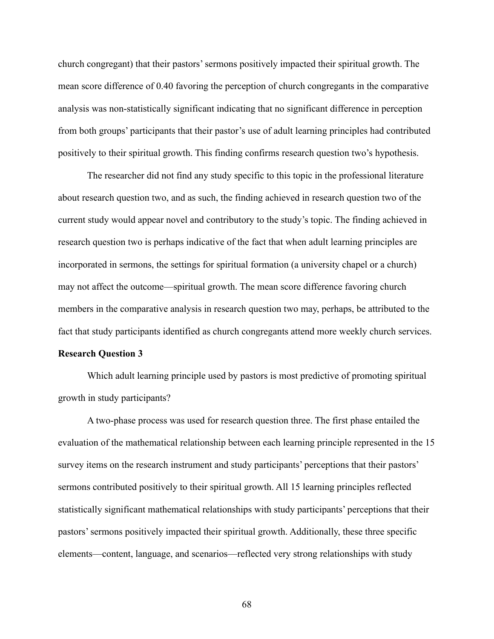church congregant) that their pastors'sermons positively impacted their spiritual growth. The mean score difference of 0.40 favoring the perception of church congregants in the comparative analysis was non-statistically significant indicating that no significant difference in perception from both groups' participants that their pastor's use of adult learning principles had contributed positively to their spiritual growth. This finding confirms research question two's hypothesis.

The researcher did not find any study specific to this topic in the professional literature about research question two, and as such, the finding achieved in research question two of the current study would appear novel and contributory to the study's topic. The finding achieved in research question two is perhaps indicative of the fact that when adult learning principles are incorporated in sermons, the settings for spiritual formation (a university chapel or a church) may not affect the outcome—spiritual growth. The mean score difference favoring church members in the comparative analysis in research question two may, perhaps, be attributed to the fact that study participants identified as church congregants attend more weekly church services.

#### **Research Question 3**

Which adult learning principle used by pastors is most predictive of promoting spiritual growth in study participants?

A two-phase process was used for research question three. The first phase entailed the evaluation of the mathematical relationship between each learning principle represented in the 15 survey items on the research instrument and study participants' perceptions that their pastors' sermons contributed positively to their spiritual growth. All 15 learning principles reflected statistically significant mathematical relationships with study participants' perceptions that their pastors'sermons positively impacted their spiritual growth. Additionally, these three specific elements—content, language, and scenarios—reflected very strong relationships with study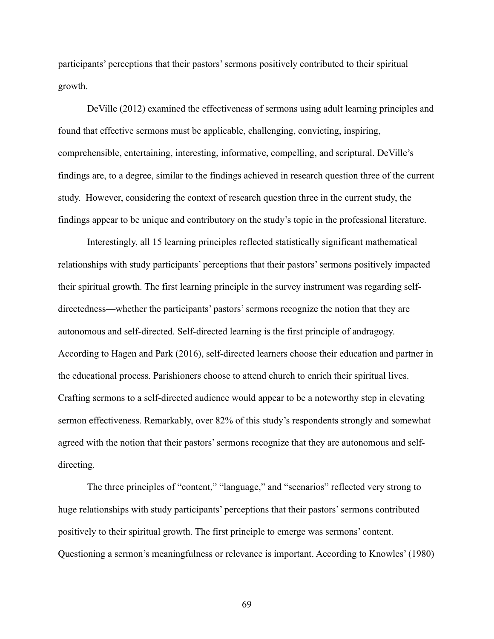participants' perceptions that their pastors'sermons positively contributed to their spiritual growth.

DeVille (2012) examined the effectiveness of sermons using adult learning principles and found that effective sermons must be applicable, challenging, convicting, inspiring, comprehensible, entertaining, interesting, informative, compelling, and scriptural. DeVille's findings are, to a degree, similar to the findings achieved in research question three of the current study. However, considering the context of research question three in the current study, the findings appear to be unique and contributory on the study's topic in the professional literature.

Interestingly, all 15 learning principles reflected statistically significant mathematical relationships with study participants' perceptions that their pastors'sermons positively impacted their spiritual growth. The first learning principle in the survey instrument was regarding selfdirectedness—whether the participants' pastors'sermons recognize the notion that they are autonomous and self-directed. Self-directed learning is the first principle of andragogy. According to Hagen and Park (2016), self-directed learners choose their education and partner in the educational process. Parishioners choose to attend church to enrich their spiritual lives. Crafting sermons to a self-directed audience would appear to be a noteworthy step in elevating sermon effectiveness. Remarkably, over 82% of this study's respondents strongly and somewhat agreed with the notion that their pastors'sermons recognize that they are autonomous and selfdirecting.

The three principles of "content," "language," and "scenarios" reflected very strong to huge relationships with study participants' perceptions that their pastors'sermons contributed positively to their spiritual growth. The first principle to emerge was sermons' content. Questioning a sermon's meaningfulness or relevance is important. According to Knowles' (1980)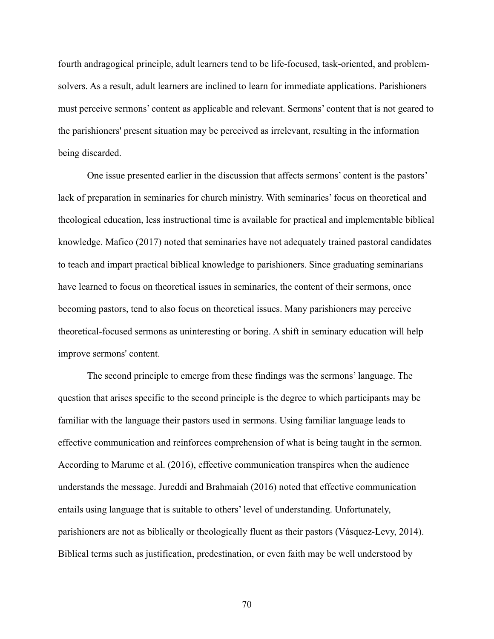fourth andragogical principle, adult learners tend to be life-focused, task-oriented, and problemsolvers. As a result, adult learners are inclined to learn for immediate applications. Parishioners must perceive sermons' content as applicable and relevant. Sermons' content that is not geared to the parishioners' present situation may be perceived as irrelevant, resulting in the information being discarded.

One issue presented earlier in the discussion that affects sermons' content is the pastors' lack of preparation in seminaries for church ministry. With seminaries' focus on theoretical and theological education, less instructional time is available for practical and implementable biblical knowledge. Mafico (2017) noted that seminaries have not adequately trained pastoral candidates to teach and impart practical biblical knowledge to parishioners. Since graduating seminarians have learned to focus on theoretical issues in seminaries, the content of their sermons, once becoming pastors, tend to also focus on theoretical issues. Many parishioners may perceive theoretical-focused sermons as uninteresting or boring. A shift in seminary education will help improve sermons' content.

The second principle to emerge from these findings was the sermons' language. The question that arises specific to the second principle is the degree to which participants may be familiar with the language their pastors used in sermons. Using familiar language leads to effective communication and reinforces comprehension of what is being taught in the sermon. According to Marume et al. (2016), effective communication transpires when the audience understands the message. Jureddi and Brahmaiah (2016) noted that effective communication entails using language that is suitable to others' level of understanding. Unfortunately, parishioners are not as biblically or theologically fluent as their pastors (Vásquez-Levy, 2014). Biblical terms such as justification, predestination, or even faith may be well understood by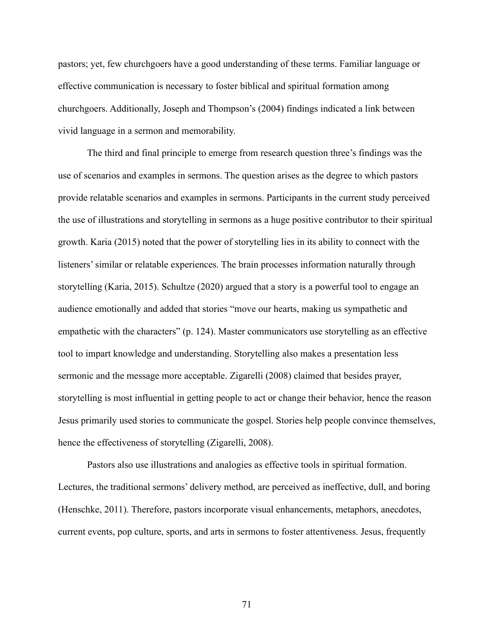pastors; yet, few churchgoers have a good understanding of these terms. Familiar language or effective communication is necessary to foster biblical and spiritual formation among churchgoers. Additionally, Joseph and Thompson's (2004) findings indicated a link between vivid language in a sermon and memorability.

The third and final principle to emerge from research question three's findings was the use of scenarios and examples in sermons. The question arises as the degree to which pastors provide relatable scenarios and examples in sermons. Participants in the current study perceived the use of illustrations and storytelling in sermons as a huge positive contributor to their spiritual growth. Karia (2015) noted that the power of storytelling lies in its ability to connect with the listeners' similar or relatable experiences. The brain processes information naturally through storytelling (Karia, 2015). Schultze (2020) argued that a story is a powerful tool to engage an audience emotionally and added that stories "move our hearts, making us sympathetic and empathetic with the characters" (p. 124). Master communicators use storytelling as an effective tool to impart knowledge and understanding. Storytelling also makes a presentation less sermonic and the message more acceptable. Zigarelli (2008) claimed that besides prayer, storytelling is most influential in getting people to act or change their behavior, hence the reason Jesus primarily used stories to communicate the gospel. Stories help people convince themselves, hence the effectiveness of storytelling (Zigarelli, 2008).

Pastors also use illustrations and analogies as effective tools in spiritual formation. Lectures, the traditional sermons' delivery method, are perceived as ineffective, dull, and boring (Henschke, 2011). Therefore, pastors incorporate visual enhancements, metaphors, anecdotes, current events, pop culture, sports, and arts in sermons to foster attentiveness. Jesus, frequently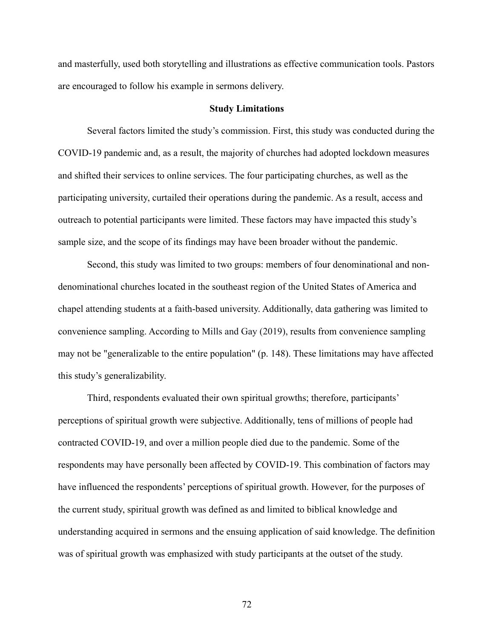and masterfully, used both storytelling and illustrations as effective communication tools. Pastors are encouraged to follow his example in sermons delivery.

### **Study Limitations**

Several factors limited the study's commission. First, this study was conducted during the COVID-19 pandemic and, as a result, the majority of churches had adopted lockdown measures and shifted their services to online services. The four participating churches, as well as the participating university, curtailed their operations during the pandemic. As a result, access and outreach to potential participants were limited. These factors may have impacted this study's sample size, and the scope of its findings may have been broader without the pandemic.

Second, this study was limited to two groups: members of four denominational and nondenominational churches located in the southeast region of the United States of America and chapel attending students at a faith-based university. Additionally, data gathering was limited to convenience sampling. According to Mills and Gay (2019), results from convenience sampling may not be "generalizable to the entire population" (p. 148). These limitations may have affected this study's generalizability.

Third, respondents evaluated their own spiritual growths; therefore, participants' perceptions of spiritual growth were subjective. Additionally, tens of millions of people had contracted COVID-19, and over a million people died due to the pandemic. Some of the respondents may have personally been affected by COVID-19. This combination of factors may have influenced the respondents' perceptions of spiritual growth. However, for the purposes of the current study, spiritual growth was defined as and limited to biblical knowledge and understanding acquired in sermons and the ensuing application of said knowledge. The definition was of spiritual growth was emphasized with study participants at the outset of the study.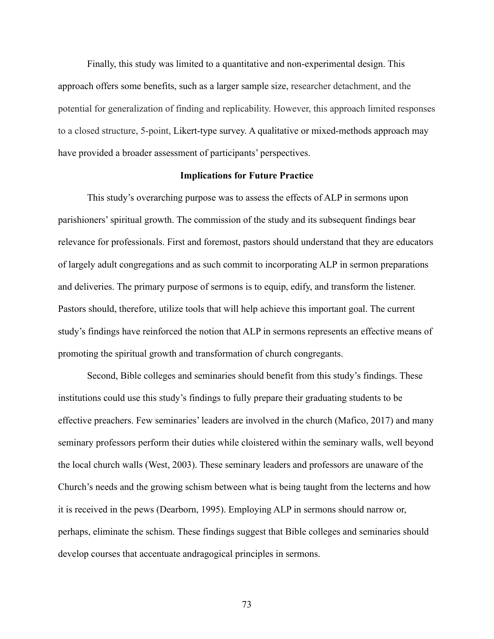Finally, this study was limited to a quantitative and non-experimental design. This approach offers some benefits, such as a larger sample size, researcher detachment, and the potential for generalization of finding and replicability. However, this approach limited responses to a closed structure, 5-point, Likert-type survey. A qualitative or mixed-methods approach may have provided a broader assessment of participants' perspectives.

#### **Implications for Future Practice**

This study's overarching purpose was to assess the effects of ALP in sermons upon parishioners' spiritual growth. The commission of the study and its subsequent findings bear relevance for professionals. First and foremost, pastors should understand that they are educators of largely adult congregations and as such commit to incorporating ALP in sermon preparations and deliveries. The primary purpose of sermons is to equip, edify, and transform the listener. Pastors should, therefore, utilize tools that will help achieve this important goal. The current study's findings have reinforced the notion that ALP in sermons represents an effective means of promoting the spiritual growth and transformation of church congregants.

Second, Bible colleges and seminaries should benefit from this study's findings. These institutions could use this study's findings to fully prepare their graduating students to be effective preachers. Few seminaries' leaders are involved in the church (Mafico, 2017) and many seminary professors perform their duties while cloistered within the seminary walls, well beyond the local church walls (West, 2003). These seminary leaders and professors are unaware of the Church's needs and the growing schism between what is being taught from the lecterns and how it is received in the pews (Dearborn, 1995). Employing ALP in sermons should narrow or, perhaps, eliminate the schism. These findings suggest that Bible colleges and seminaries should develop courses that accentuate andragogical principles in sermons.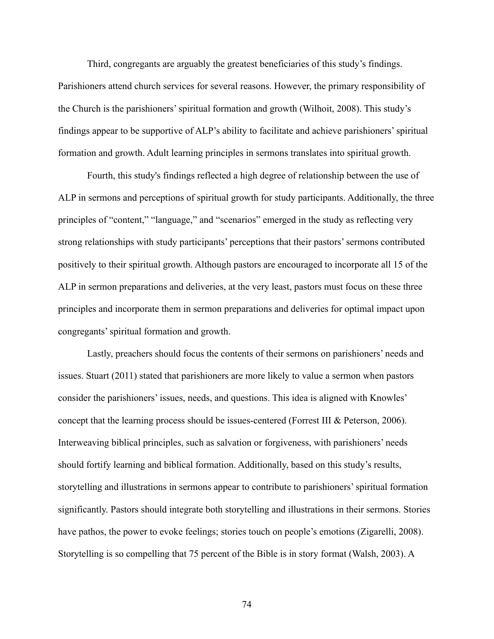Third, congregants are arguably the greatest beneficiaries of this study's findings. Parishioners attend church services for several reasons. However, the primary responsibility of the Church is the parishioners' spiritual formation and growth (Wilhoit, 2008). This study's findings appear to be supportive of ALP's ability to facilitate and achieve parishioners' spiritual formation and growth. Adult learning principles in sermons translates into spiritual growth.

Fourth, this study's findings reflected a high degree of relationship between the use of ALP in sermons and perceptions of spiritual growth for study participants. Additionally, the three principles of "content," "language," and "scenarios" emerged in the study as reflecting very strong relationships with study participants' perceptions that their pastors'sermons contributed positively to their spiritual growth. Although pastors are encouraged to incorporate all 15 of the ALP in sermon preparations and deliveries, at the very least, pastors must focus on these three principles and incorporate them in sermon preparations and deliveries for optimal impact upon congregants'spiritual formation and growth.

Lastly, preachers should focus the contents of their sermons on parishioners' needs and issues. Stuart (2011) stated that parishioners are more likely to value a sermon when pastors consider the parishioners' issues, needs, and questions. This idea is aligned with Knowles' concept that the learning process should be issues-centered (Forrest III & Peterson, 2006). Interweaving biblical principles, such as salvation or forgiveness, with parishioners' needs should fortify learning and biblical formation. Additionally, based on this study's results, storytelling and illustrations in sermons appear to contribute to parishioners' spiritual formation significantly. Pastors should integrate both storytelling and illustrations in their sermons. Stories have pathos, the power to evoke feelings; stories touch on people's emotions (Zigarelli, 2008). Storytelling is so compelling that 75 percent of the Bible is in story format (Walsh, 2003). A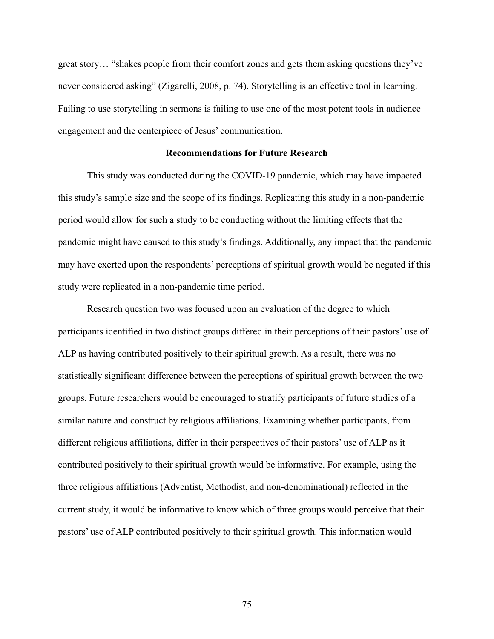great story… "shakes people from their comfort zones and gets them asking questions they've never considered asking" (Zigarelli, 2008, p. 74). Storytelling is an effective tool in learning. Failing to use storytelling in sermons is failing to use one of the most potent tools in audience engagement and the centerpiece of Jesus' communication.

#### **Recommendations for Future Research**

This study was conducted during the COVID-19 pandemic, which may have impacted this study's sample size and the scope of its findings. Replicating this study in a non-pandemic period would allow for such a study to be conducting without the limiting effects that the pandemic might have caused to this study's findings. Additionally, any impact that the pandemic may have exerted upon the respondents' perceptions of spiritual growth would be negated if this study were replicated in a non-pandemic time period.

Research question two was focused upon an evaluation of the degree to which participants identified in two distinct groups differed in their perceptions of their pastors' use of ALP as having contributed positively to their spiritual growth. As a result, there was no statistically significant difference between the perceptions of spiritual growth between the two groups. Future researchers would be encouraged to stratify participants of future studies of a similar nature and construct by religious affiliations. Examining whether participants, from different religious affiliations, differ in their perspectives of their pastors' use of ALP as it contributed positively to their spiritual growth would be informative. For example, using the three religious affiliations (Adventist, Methodist, and non-denominational) reflected in the current study, it would be informative to know which of three groups would perceive that their pastors' use of ALP contributed positively to their spiritual growth. This information would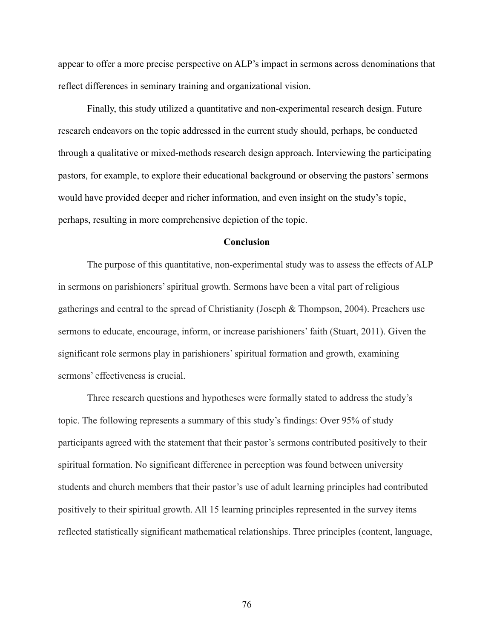appear to offer a more precise perspective on ALP's impact in sermons across denominations that reflect differences in seminary training and organizational vision.

Finally, this study utilized a quantitative and non-experimental research design. Future research endeavors on the topic addressed in the current study should, perhaps, be conducted through a qualitative or mixed-methods research design approach. Interviewing the participating pastors, for example, to explore their educational background or observing the pastors' sermons would have provided deeper and richer information, and even insight on the study's topic, perhaps, resulting in more comprehensive depiction of the topic.

#### **Conclusion**

The purpose of this quantitative, non-experimental study was to assess the effects of ALP in sermons on parishioners' spiritual growth. Sermons have been a vital part of religious gatherings and central to the spread of Christianity (Joseph & Thompson, 2004). Preachers use sermons to educate, encourage, inform, or increase parishioners' faith (Stuart, 2011). Given the significant role sermons play in parishioners' spiritual formation and growth, examining sermons' effectiveness is crucial.

Three research questions and hypotheses were formally stated to address the study's topic. The following represents a summary of this study's findings: Over 95% of study participants agreed with the statement that their pastor's sermons contributed positively to their spiritual formation. No significant difference in perception was found between university students and church members that their pastor's use of adult learning principles had contributed positively to their spiritual growth. All 15 learning principles represented in the survey items reflected statistically significant mathematical relationships. Three principles (content, language,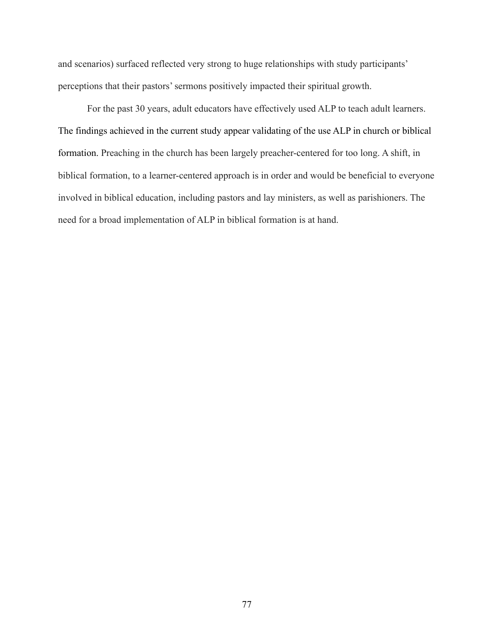and scenarios) surfaced reflected very strong to huge relationships with study participants' perceptions that their pastors' sermons positively impacted their spiritual growth.

For the past 30 years, adult educators have effectively used ALP to teach adult learners. The findings achieved in the current study appear validating of the use ALP in church or biblical formation. Preaching in the church has been largely preacher-centered for too long. A shift, in biblical formation, to a learner-centered approach is in order and would be beneficial to everyone involved in biblical education, including pastors and lay ministers, as well as parishioners. The need for a broad implementation of ALP in biblical formation is at hand.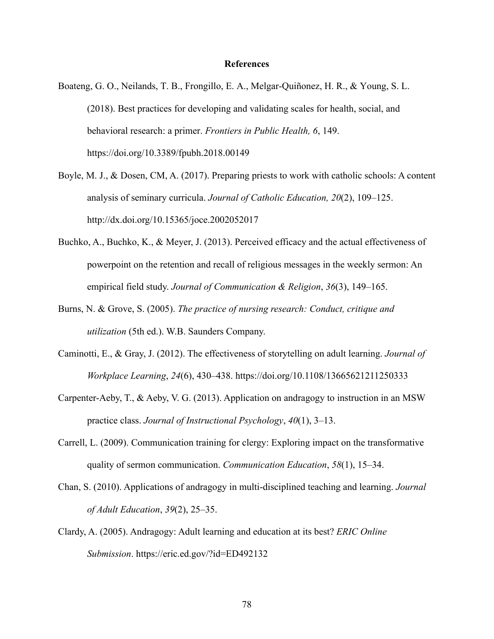#### **References**

- Boateng, G. O., Neilands, T. B., Frongillo, E. A., Melgar-Quiñonez, H. R., & Young, S. L. (2018). Best practices for developing and validating scales for health, social, and behavioral research: a primer. *Frontiers in Public Health, 6*, 149. https://doi.org/10.3389/fpubh.2018.00149
- Boyle, M. J., & Dosen, CM, A. (2017). Preparing priests to work with catholic schools: A content analysis of seminary curricula. *Journal of Catholic Education, 20*(2), 109–125. http://dx.doi.org/10.15365/joce.2002052017
- Buchko, A., Buchko, K., & Meyer, J. (2013). Perceived efficacy and the actual effectiveness of powerpoint on the retention and recall of religious messages in the weekly sermon: An empirical field study. *Journal of Communication & Religion*, *36*(3), 149–165.
- Burns, N. & Grove, S. (2005). *The practice of nursing research: Conduct, critique and utilization* (5th ed.). W.B. Saunders Company.
- Caminotti, E., & Gray, J. (2012). The effectiveness of storytelling on adult learning. *Journal of Workplace Learning*, *24*(6), 430–438. https://doi.org/10.1108/13665621211250333
- Carpenter-Aeby, T., & Aeby, V. G. (2013). Application on andragogy to instruction in an MSW practice class. *Journal of Instructional Psychology*, *40*(1), 3–13.
- Carrell, L. (2009). Communication training for clergy: Exploring impact on the transformative quality of sermon communication. *Communication Education*, *58*(1), 15–34.
- Chan, S. (2010). Applications of andragogy in multi-disciplined teaching and learning. *Journal of Adult Education*, *39*(2), 25–35.
- Clardy, A. (2005). Andragogy: Adult learning and education at its best? *ERIC Online Submission*. https://eric.ed.gov/?id=ED492132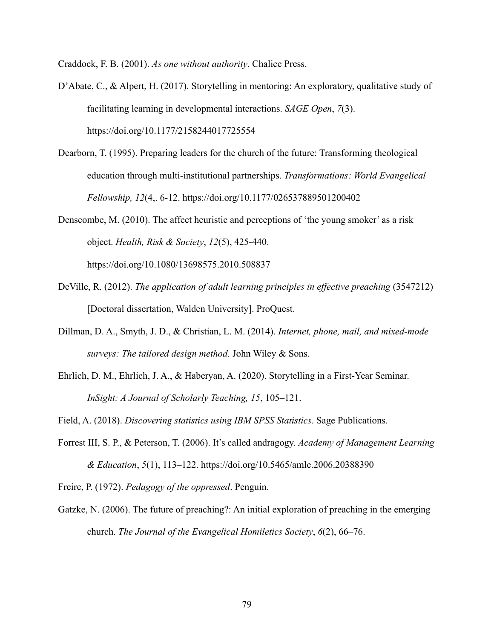Craddock, F. B. (2001). *As one without authority*. Chalice Press.

- D'Abate, C., & Alpert, H. (2017). Storytelling in mentoring: An exploratory, qualitative study of facilitating learning in developmental interactions. *SAGE Open*, *7*(3). https://doi.org/10.1177/2158244017725554
- Dearborn, T. (1995). Preparing leaders for the church of the future: Transforming theological education through multi-institutional partnerships. *Transformations: World Evangelical Fellowship, 12*(4,. 6-12. https://doi.org/10.1177/026537889501200402
- Denscombe, M. (2010). The affect heuristic and perceptions of 'the young smoker' as a risk object. *Health, Risk & Society*, *12*(5), 425-440.

https://doi.org/10.1080/13698575.2010.508837

- DeVille, R. (2012). *The application of adult learning principles in effective preaching* (3547212) [Doctoral dissertation, Walden University]. ProQuest.
- Dillman, D. A., Smyth, J. D., & Christian, L. M. (2014). *Internet, phone, mail, and mixed-mode surveys: The tailored design method*. John Wiley & Sons.
- Ehrlich, D. M., Ehrlich, J. A., & Haberyan, A. (2020). Storytelling in a First-Year Seminar. *InSight: A Journal of Scholarly Teaching, 15*, 105–121.
- Field, A. (2018). *Discovering statistics using IBM SPSS Statistics*. Sage Publications.
- Forrest III, S. P., & Peterson, T. (2006). It's called andragogy. *Academy of Management Learning & Education*, *5*(1), 113–122. https://doi.org/10.5465/amle.2006.20388390

Freire, P. (1972). *Pedagogy of the oppressed*. Penguin.

Gatzke, N. (2006). The future of preaching?: An initial exploration of preaching in the emerging church. *The Journal of the Evangelical Homiletics Society*, *6*(2), 66–76.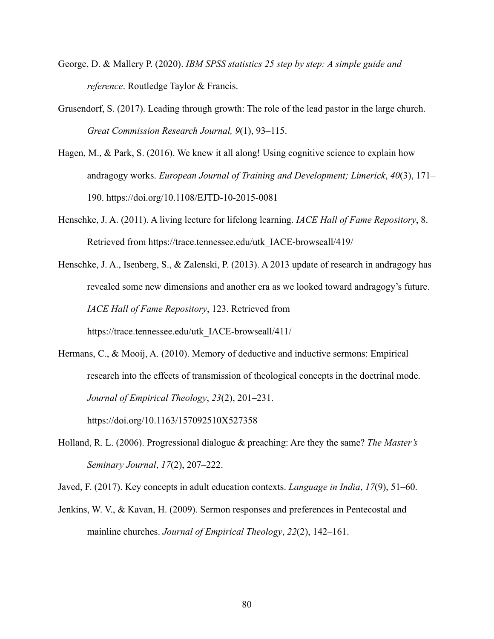- George, D. & Mallery P. (2020). *IBM SPSS statistics 25 step by step: A simple guide and reference*. Routledge Taylor & Francis.
- Grusendorf, S. (2017). Leading through growth: The role of the lead pastor in the large church. *Great Commission Research Journal, 9*(1), 93–115.
- Hagen, M., & Park, S. (2016). We knew it all along! Using cognitive science to explain how andragogy works. *European Journal of Training and Development; Limerick*, *40*(3), 171– 190. https://doi.org/10.1108/EJTD-10-2015-0081
- Henschke, J. A. (2011). A living lecture for lifelong learning. *IACE Hall of Fame Repository*, 8. Retrieved from https://trace.tennessee.edu/utk\_IACE-browseall/419/
- Henschke, J. A., Isenberg, S., & Zalenski, P. (2013). A 2013 update of research in andragogy has revealed some new dimensions and another era as we looked toward andragogy's future. *IACE Hall of Fame Repository*, 123. Retrieved from https://trace.tennessee.edu/utk\_IACE-browseall/411/

Hermans, C., & Mooij, A. (2010). Memory of deductive and inductive sermons: Empirical

research into the effects of transmission of theological concepts in the doctrinal mode. *Journal of Empirical Theology*, *23*(2), 201–231.

https://doi.org/10.1163/157092510X527358

Holland, R. L. (2006). Progressional dialogue & preaching: Are they the same? *The Master's Seminary Journal*, *17*(2), 207–222.

Javed, F. (2017). Key concepts in adult education contexts. *Language in India*, *17*(9), 51–60.

Jenkins, W. V., & Kavan, H. (2009). Sermon responses and preferences in Pentecostal and mainline churches. *Journal of Empirical Theology*, *22*(2), 142–161.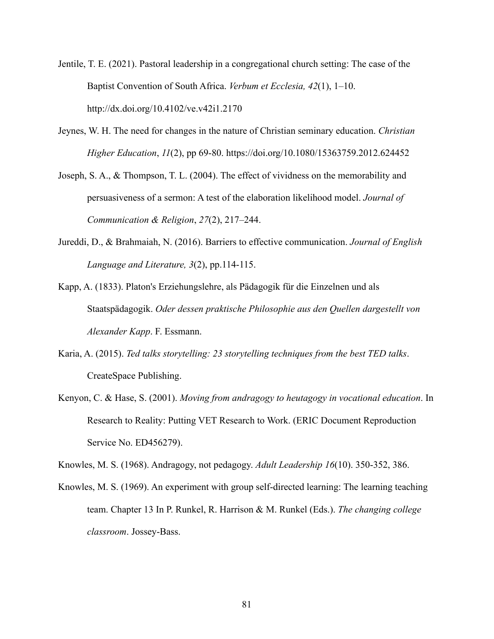Jentile, T. E. (2021). Pastoral leadership in a congregational church setting: The case of the Baptist Convention of South Africa. *Verbum et Ecclesia, 42*(1), 1–10. http://dx.doi.org/10.4102/ve.v42i1.2170

Jeynes, W. H. The need for changes in the nature of Christian seminary education. *Christian Higher Education*, *11*(2), pp 69-80. https://doi.org/10.1080/15363759.2012.624452

Joseph, S. A., & Thompson, T. L. (2004). The effect of vividness on the memorability and persuasiveness of a sermon: A test of the elaboration likelihood model. *Journal of Communication & Religion*, *27*(2), 217–244.

- Jureddi, D., & Brahmaiah, N. (2016). Barriers to effective communication. *Journal of English Language and Literature, 3*(2), pp.114-115.
- Kapp, A. (1833). Platon's Erziehungslehre, als Pädagogik für die Einzelnen und als Staatspädagogik. *Oder dessen praktische Philosophie aus den Quellen dargestellt von Alexander Kapp*. F. Essmann.
- Karia, A. (2015). *Ted talks storytelling: 23 storytelling techniques from the best TED talks*. CreateSpace Publishing.
- Kenyon, C. & Hase, S. (2001). *Moving from andragogy to heutagogy in vocational education*. In Research to Reality: Putting VET Research to Work. (ERIC Document Reproduction Service No. ED456279).

Knowles, M. S. (1968). Andragogy, not pedagogy. *Adult Leadership 16*(10). 350-352, 386.

Knowles, M. S. (1969). An experiment with group self-directed learning: The learning teaching team. Chapter 13 In P. Runkel, R. Harrison & M. Runkel (Eds.). *The changing college classroom*. Jossey-Bass.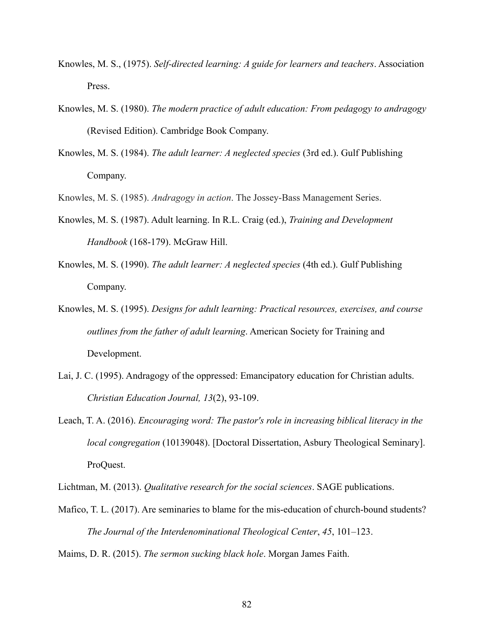- Knowles, M. S., (1975). *Self-directed learning: A guide for learners and teachers*. Association Press.
- Knowles, M. S. (1980). *The modern practice of adult education: From pedagogy to andragogy* (Revised Edition). Cambridge Book Company.
- Knowles, M. S. (1984). *The adult learner: A neglected species* (3rd ed.). Gulf Publishing Company.

Knowles, M. S. (1985). *Andragogy in action*. The Jossey-Bass Management Series.

- Knowles, M. S. (1987). Adult learning. In R.L. Craig (ed.), *Training and Development Handbook* (168-179). McGraw Hill.
- Knowles, M. S. (1990). *The adult learner: A neglected species* (4th ed.). Gulf Publishing Company.
- Knowles, M. S. (1995). *Designs for adult learning: Practical resources, exercises, and course outlines from the father of adult learning*. American Society for Training and Development.
- Lai, J. C. (1995). Andragogy of the oppressed: Emancipatory education for Christian adults. *Christian Education Journal, 13*(2), 93-109.
- Leach, T. A. (2016). *Encouraging word: The pastor's role in increasing biblical literacy in the local congregation* (10139048). [Doctoral Dissertation, Asbury Theological Seminary]. ProQuest.

Lichtman, M. (2013). *Qualitative research for the social sciences*. SAGE publications.

Mafico, T. L. (2017). Are seminaries to blame for the mis-education of church-bound students? *The Journal of the Interdenominational Theological Center*, *45*, 101–123.

Maims, D. R. (2015). *The sermon sucking black hole*. Morgan James Faith.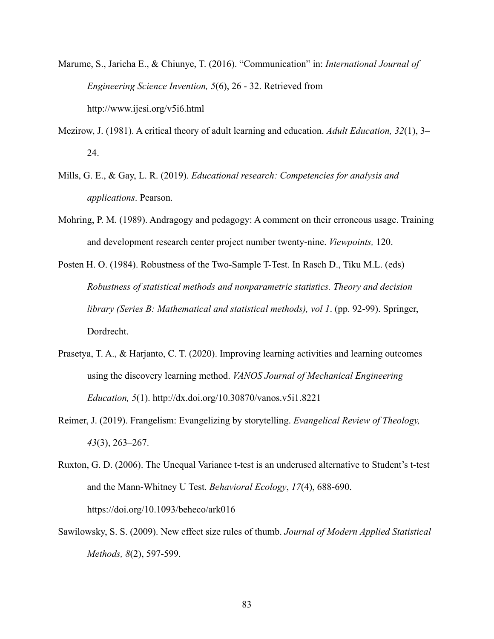- Marume, S., Jaricha E., & Chiunye, T. (2016). "Communication" in: *International Journal of Engineering Science Invention, 5*(6), 26 - 32. Retrieved from http://www.ijesi.org/v5i6.html
- Mezirow, J. (1981). A critical theory of adult learning and education. *Adult Education, 32*(1), 3– 24.
- Mills, G. E., & Gay, L. R. (2019). *Educational research: Competencies for analysis and applications*. Pearson.
- Mohring, P. M. (1989). Andragogy and pedagogy: A comment on their erroneous usage. Training and development research center project number twenty-nine. *Viewpoints,* 120.
- Posten H. O. (1984). Robustness of the Two-Sample T-Test. In Rasch D., Tiku M.L. (eds) *Robustness of statistical methods and nonparametric statistics. Theory and decision library (Series B: Mathematical and statistical methods), vol 1*. (pp. 92-99). Springer, Dordrecht.
- Prasetya, T. A., & Harjanto, C. T. (2020). Improving learning activities and learning outcomes using the discovery learning method. *VANOS Journal of Mechanical Engineering Education, 5*(1). http://dx.doi.org/10.30870/vanos.v5i1.8221
- Reimer, J. (2019). Frangelism: Evangelizing by storytelling. *Evangelical Review of Theology, 43*(3), 263–267.
- Ruxton, G. D. (2006). The Unequal Variance t-test is an underused alternative to Student's t-test and the Mann-Whitney U Test. *Behavioral Ecology*, *17*(4), 688-690. https://doi.org/10.1093/beheco/ark016
- Sawilowsky, S. S. (2009). New effect size rules of thumb. *Journal of Modern Applied Statistical Methods, 8*(2), 597-599.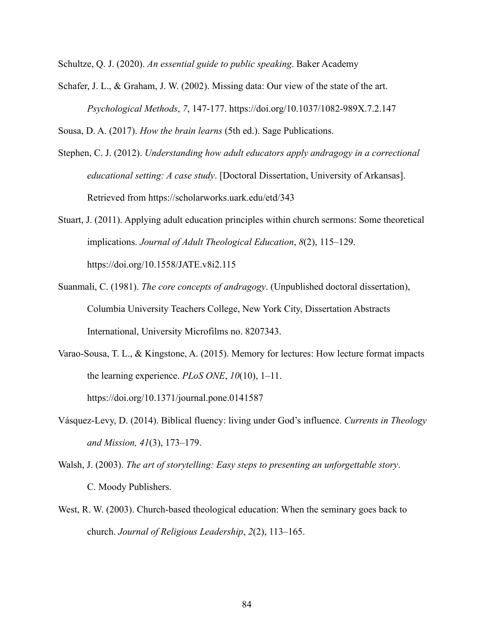Schultze, Q. J. (2020). *An essential guide to public speaking*. Baker Academy

Schafer, J. L., & Graham, J. W. (2002). Missing data: Our view of the state of the art. *Psychological Methods*, *7*, 147-177. https://doi.org/10.1037/1082-989X.7.2.147

Sousa, D. A. (2017). *How the brain learns* (5th ed.). Sage Publications.

Stephen, C. J. (2012). *Understanding how adult educators apply andragogy in a correctional educational setting: A case study*. [Doctoral Dissertation, University of Arkansas]. Retrieved from https://scholarworks.uark.edu/etd/343

Stuart, J. (2011). Applying adult education principles within church sermons: Some theoretical implications. *Journal of Adult Theological Education*, *8*(2), 115–129. https://doi.org/10.1558/JATE.v8i2.115

- Suanmali, C. (1981). *The core concepts of andragogy*. (Unpublished doctoral dissertation), Columbia University Teachers College, New York City, Dissertation Abstracts International, University Microfilms no. 8207343.
- Varao-Sousa, T. L., & Kingstone, A. (2015). Memory for lectures: How lecture format impacts the learning experience. *PLoS ONE*, *10*(10), 1–11. https://doi.org/10.1371/journal.pone.0141587
- Vásquez-Levy, D. (2014). Biblical fluency: living under God's influence. *Currents in Theology and Mission, 41*(3), 173–179.
- Walsh, J. (2003). *The art of storytelling: Easy steps to presenting an unforgettable story*. C. Moody Publishers.
- West, R. W. (2003). Church-based theological education: When the seminary goes back to church. *Journal of Religious Leadership*, *2*(2), 113–165.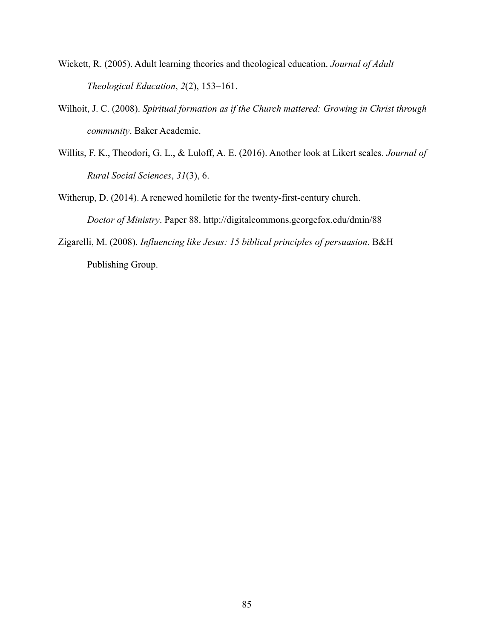- Wickett, R. (2005). Adult learning theories and theological education. *Journal of Adult Theological Education*, *2*(2), 153–161.
- Wilhoit, J. C. (2008). *Spiritual formation as if the Church mattered: Growing in Christ through community*. Baker Academic.
- Willits, F. K., Theodori, G. L., & Luloff, A. E. (2016). Another look at Likert scales. *Journal of Rural Social Sciences*, *31*(3), 6.

Witherup, D. (2014). A renewed homiletic for the twenty-first-century church. *Doctor of Ministry*. Paper 88. http://digitalcommons.georgefox.edu/dmin/88

Zigarelli, M. (2008). *Influencing like Jesus: 15 biblical principles of persuasion*. B&H Publishing Group.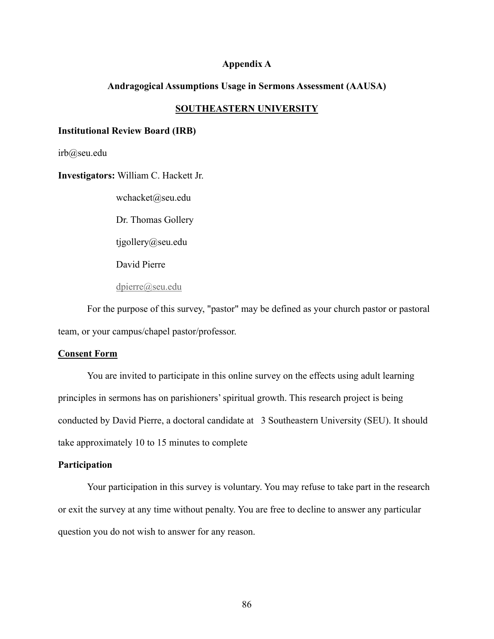#### **Appendix A**

#### **Andragogical Assumptions Usage in Sermons Assessment (AAUSA)**

#### **SOUTHEASTERN UNIVERSITY**

#### **Institutional Review Board (IRB)**

irb@seu.edu

**Investigators:** William C. Hackett Jr.

wchacket@seu.edu

Dr. Thomas Gollery

tjgollery@seu.edu

David Pierre

dpierre@seu.edu

For the purpose of this survey, "pastor" may be defined as your church pastor or pastoral team, or your campus/chapel pastor/professor.

#### **Consent Form**

You are invited to participate in this online survey on the effects using adult learning principles in sermons has on parishioners' spiritual growth. This research project is being conducted by David Pierre, a doctoral candidate at 3 Southeastern University (SEU). It should take approximately 10 to 15 minutes to complete

#### **Participation**

Your participation in this survey is voluntary. You may refuse to take part in the research or exit the survey at any time without penalty. You are free to decline to answer any particular question you do not wish to answer for any reason.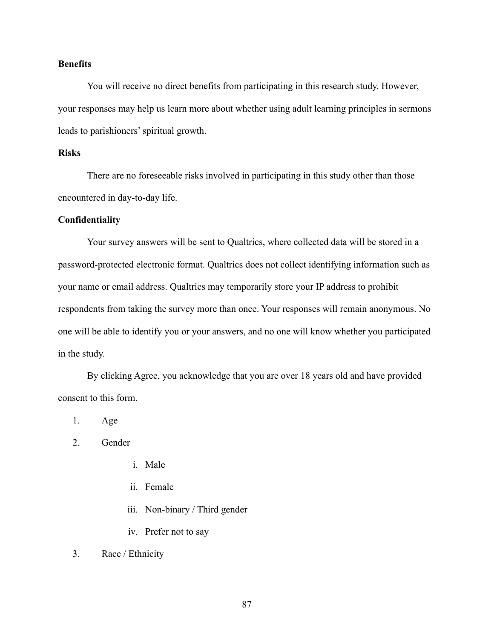## **Benefits**

You will receive no direct benefits from participating in this research study. However, your responses may help us learn more about whether using adult learning principles in sermons leads to parishioners' spiritual growth.

## **Risks**

There are no foreseeable risks involved in participating in this study other than those encountered in day-to-day life.

#### **Confidentiality**

Your survey answers will be sent to Qualtrics, where collected data will be stored in a password-protected electronic format. Qualtrics does not collect identifying information such as your name or email address. Qualtrics may temporarily store your IP address to prohibit respondents from taking the survey more than once. Your responses will remain anonymous. No one will be able to identify you or your answers, and no one will know whether you participated in the study.

By clicking Agree, you acknowledge that you are over 18 years old and have provided consent to this form.

1. Age

- 2. Gender
	- i. Male
	- ii. Female
	- iii. Non-binary / Third gender
	- iv. Prefer not to say
- 3. Race / Ethnicity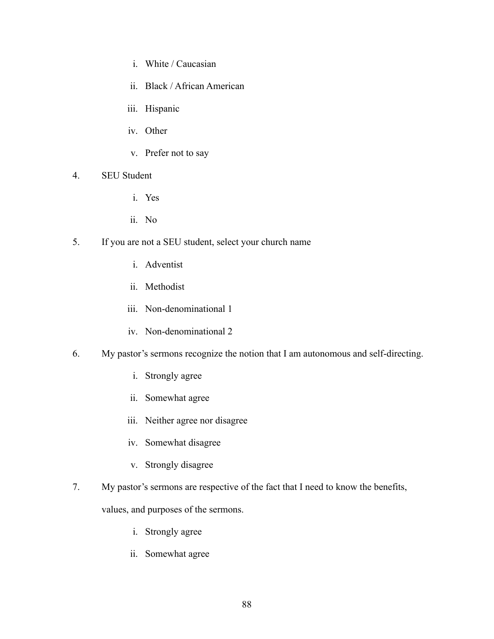- i. White / Caucasian
- ii. Black / African American
- iii. Hispanic
- iv. Other
- v. Prefer not to say
- 4. SEU Student
	- i. Yes
	- ii. No
- 5. If you are not a SEU student, select your church name
	- i. Adventist
	- ii. Methodist
	- iii. Non-denominational 1
	- iv. Non-denominational 2
- 6. My pastor's sermons recognize the notion that I am autonomous and self-directing.
	- i. Strongly agree
	- ii. Somewhat agree
	- iii. Neither agree nor disagree
	- iv. Somewhat disagree
	- v. Strongly disagree
- 7. My pastor's sermons are respective of the fact that I need to know the benefits,

values, and purposes of the sermons.

- i. Strongly agree
- ii. Somewhat agree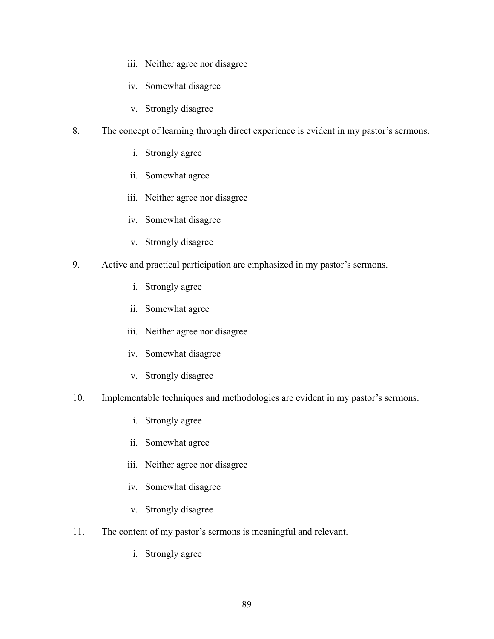- iii. Neither agree nor disagree
- iv. Somewhat disagree
- v. Strongly disagree
- 8. The concept of learning through direct experience is evident in my pastor's sermons.
	- i. Strongly agree
	- ii. Somewhat agree
	- iii. Neither agree nor disagree
	- iv. Somewhat disagree
	- v. Strongly disagree
- 9. Active and practical participation are emphasized in my pastor's sermons.
	- i. Strongly agree
	- ii. Somewhat agree
	- iii. Neither agree nor disagree
	- iv. Somewhat disagree
	- v. Strongly disagree
- 10. Implementable techniques and methodologies are evident in my pastor's sermons.
	- i. Strongly agree
	- ii. Somewhat agree
	- iii. Neither agree nor disagree
	- iv. Somewhat disagree
	- v. Strongly disagree
- 11. The content of my pastor's sermons is meaningful and relevant.
	- i. Strongly agree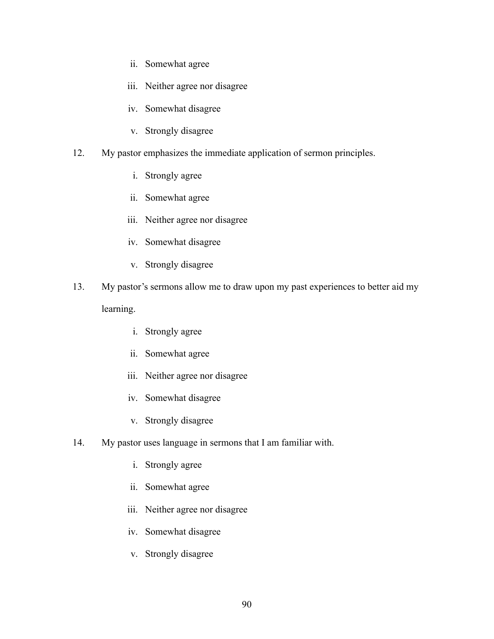- ii. Somewhat agree
- iii. Neither agree nor disagree
- iv. Somewhat disagree
- v. Strongly disagree
- 12. My pastor emphasizes the immediate application of sermon principles.
	- i. Strongly agree
	- ii. Somewhat agree
	- iii. Neither agree nor disagree
	- iv. Somewhat disagree
	- v. Strongly disagree
- 13. My pastor's sermons allow me to draw upon my past experiences to better aid my learning.
	- i. Strongly agree
	- ii. Somewhat agree
	- iii. Neither agree nor disagree
	- iv. Somewhat disagree
	- v. Strongly disagree
- 14. My pastor uses language in sermons that I am familiar with.
	- i. Strongly agree
	- ii. Somewhat agree
	- iii. Neither agree nor disagree
	- iv. Somewhat disagree
	- v. Strongly disagree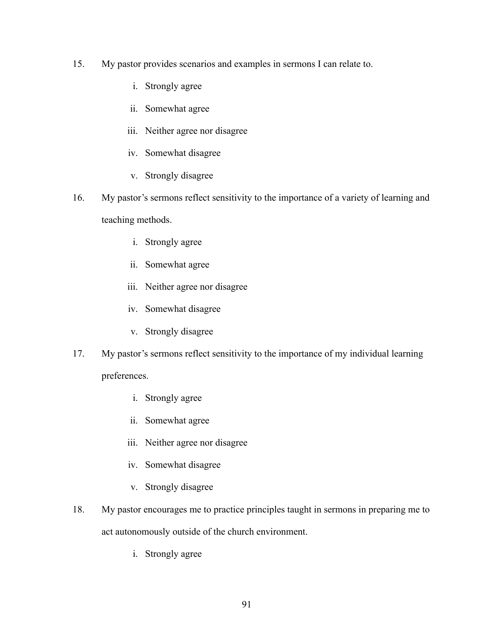- 15. My pastor provides scenarios and examples in sermons I can relate to.
	- i. Strongly agree
	- ii. Somewhat agree
	- iii. Neither agree nor disagree
	- iv. Somewhat disagree
	- v. Strongly disagree
- 16. My pastor's sermons reflect sensitivity to the importance of a variety of learning and teaching methods.
	- i. Strongly agree
	- ii. Somewhat agree
	- iii. Neither agree nor disagree
	- iv. Somewhat disagree
	- v. Strongly disagree
- 17. My pastor's sermons reflect sensitivity to the importance of my individual learning

preferences.

- i. Strongly agree
- ii. Somewhat agree
- iii. Neither agree nor disagree
- iv. Somewhat disagree
- v. Strongly disagree
- 18. My pastor encourages me to practice principles taught in sermons in preparing me to act autonomously outside of the church environment.
	- i. Strongly agree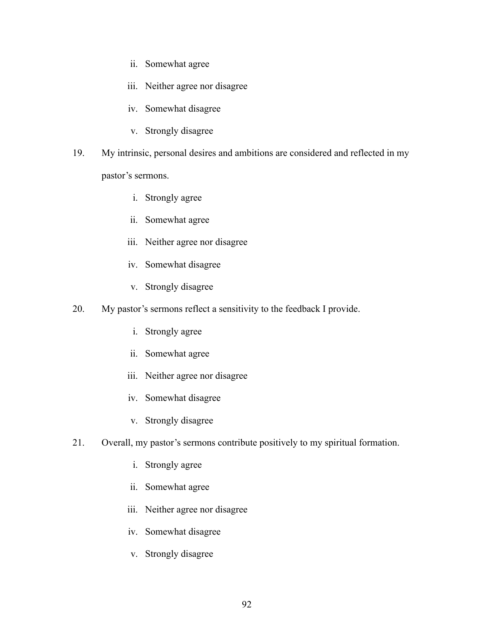- ii. Somewhat agree
- iii. Neither agree nor disagree
- iv. Somewhat disagree
- v. Strongly disagree
- 19. My intrinsic, personal desires and ambitions are considered and reflected in my

pastor's sermons.

- i. Strongly agree
- ii. Somewhat agree
- iii. Neither agree nor disagree
- iv. Somewhat disagree
- v. Strongly disagree
- 20. My pastor's sermons reflect a sensitivity to the feedback I provide.
	- i. Strongly agree
	- ii. Somewhat agree
	- iii. Neither agree nor disagree
	- iv. Somewhat disagree
	- v. Strongly disagree
- 21. Overall, my pastor's sermons contribute positively to my spiritual formation.
	- i. Strongly agree
	- ii. Somewhat agree
	- iii. Neither agree nor disagree
	- iv. Somewhat disagree
	- v. Strongly disagree